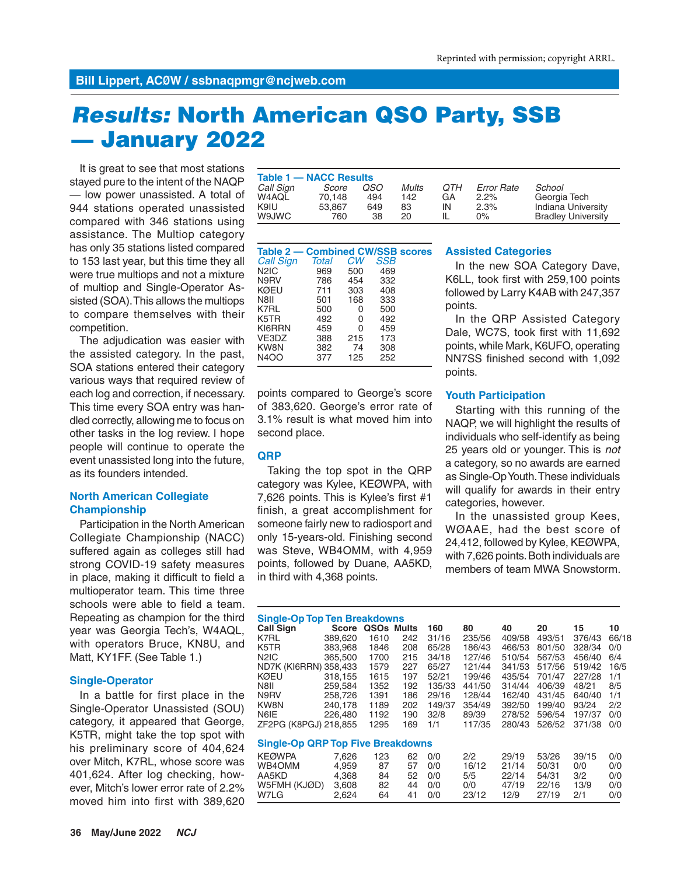# *Results:* **North American QSO Party, SSB — January 2022**

It is great to see that most stations stayed pure to the intent of the NAQP — low power unassisted. A total of 944 stations operated unassisted compared with 346 stations using assistance. The Multiop category has only 35 stations listed compared to 153 last year, but this time they all were true multiops and not a mixture of multiop and Single-Operator Assisted (SOA). This allows the multiops to compare themselves with their competition.

The adjudication was easier with the assisted category. In the past, SOA stations entered their category various ways that required review of each log and correction, if necessary. This time every SOA entry was handled correctly, allowing me to focus on other tasks in the log review. I hope people will continue to operate the event unassisted long into the future, as its founders intended.

# **North American Collegiate Championship**

Participation in the North American Collegiate Championship (NACC) suffered again as colleges still had strong COVID-19 safety measures in place, making it difficult to field a multioperator team. This time three schools were able to field a team. Repeating as champion for the third year was Georgia Tech's, W4AQL, with operators Bruce, KN8U, and Matt, KY1FF. (See Table 1.)

# **Single-Operator**

In a battle for first place in the Single-Operator Unassisted (SOU) category, it appeared that George, K5TR, might take the top spot with his preliminary score of 404,624 over Mitch, K7RL, whose score was 401,624. After log checking, however, Mitch's lower error rate of 2.2% moved him into first with 389,620

| Table 1 - NACC Results |        |     |              |     |                   |                           |
|------------------------|--------|-----|--------------|-----|-------------------|---------------------------|
| Call Sign              | Score  | OSO | <b>Mults</b> | OTH | <b>Error Rate</b> | School                    |
| W4AQL                  | 70.148 | 494 | 142          | GA  | $2.2\%$           | Georgia Tech              |
| K9IU                   | 53.867 | 649 | 83           | IN  | 2.3%              | Indiana University        |
| W9JWC                  | 760    | 38  | 20.          |     | 0%                | <b>Bradley University</b> |

| <b>Table 2 – Combined CW/SSB scores</b> |       |     |     |  |
|-----------------------------------------|-------|-----|-----|--|
| <b>Call Sign</b>                        | Total | СW  | SSB |  |
| N <sub>2</sub> IC                       | 969   | 500 | 469 |  |
| N9RV                                    | 786   | 454 | 332 |  |
| KØEU                                    | 711   | 303 | 408 |  |
| N8II                                    | 501   | 168 | 333 |  |
| K7RL                                    | 500   | 0   | 500 |  |
| K5TR                                    | 492   | 0   | 492 |  |
| KI6RRN                                  | 459   | ი   | 459 |  |
| VE3DZ                                   | 388   | 215 | 173 |  |
| KW8N                                    | 382   | 74  | 308 |  |
| N4OO                                    | 377   | 125 | 252 |  |

points compared to George's score of 383,620. George's error rate of 3.1% result is what moved him into second place.

# **QRP**

Taking the top spot in the QRP category was Kylee, KEØWPA, with 7,626 points. This is Kylee's first #1 finish, a great accomplishment for someone fairly new to radiosport and only 15-years-old. Finishing second was Steve, WB4OMM, with 4,959 points, followed by Duane, AA5KD, in third with 4,368 points.

#### **Assisted Categories**

In the new SOA Category Dave, K6LL, took first with 259,100 points followed by Larry K4AB with 247,357 points.

In the QRP Assisted Category Dale, WC7S, took first with 11,692 points, while Mark, K6UFO, operating NN7SS finished second with 1,092 points.

#### **Youth Participation**

Starting with this running of the NAQP, we will highlight the results of individuals who self-identify as being 25 years old or younger. This is *not* a category, so no awards are earned as Single-Op Youth. These individuals will qualify for awards in their entry categories, however.

In the unassisted group Kees, WØAAE, had the best score of 24,412, followed by Kylee, KEØWPA, with 7,626 points. Both individuals are members of team MWA Snowstorm.

| <b>Single-Op Top Ten Breakdowns</b>      |              |                        |     |        |        |        |        |        |       |  |  |  |
|------------------------------------------|--------------|------------------------|-----|--------|--------|--------|--------|--------|-------|--|--|--|
| <b>Call Sign</b>                         | <b>Score</b> | QSO <sub>s</sub> Mults |     | 160    | 80     | 40     | 20     | 15     | 10    |  |  |  |
| K7RL                                     | 389,620      | 1610                   | 242 | 31/16  | 235/56 | 409/58 | 493/51 | 376/43 | 66/18 |  |  |  |
| K5TR                                     | 383.968      | 1846                   | 208 | 65/28  | 186/43 | 466/53 | 801/50 | 328/34 | 0/0   |  |  |  |
| N <sub>2</sub> IC                        | 365,500      | 1700                   | 215 | 34/18  | 127/46 | 510/54 | 567/53 | 456/40 | 6/4   |  |  |  |
| ND7K (KI6RRN) 358,433                    |              | 1579                   | 227 | 65/27  | 121/44 | 341/53 | 517/56 | 519/42 | 16/5  |  |  |  |
| KØEU                                     | 318.155      | 1615                   | 197 | 52/21  | 199/46 | 435/54 | 701/47 | 227/28 | 1/1   |  |  |  |
| N8II                                     | 259.584      | 1352                   | 192 | 135/33 | 441/50 | 314/44 | 406/39 | 48/21  | 8/5   |  |  |  |
| N9RV                                     | 258.726      | 1391                   | 186 | 29/16  | 128/44 | 162/40 | 431/45 | 640/40 | 1/1   |  |  |  |
| KW8N                                     | 240.178      | 1189                   | 202 | 149/37 | 354/49 | 392/50 | 199/40 | 93/24  | 2/2   |  |  |  |
| N6IE                                     | 226,480      | 1192                   | 190 | 32/8   | 89/39  | 278/52 | 596/54 | 197/37 | 0/0   |  |  |  |
| ZF2PG (K8PGJ) 218,855                    |              | 1295                   | 169 | 1/1    | 117/35 | 280/43 | 526/52 | 371/38 | 0/0   |  |  |  |
|                                          |              |                        |     |        |        |        |        |        |       |  |  |  |
| <b>Single-Op QRP Top Five Breakdowns</b> |              |                        |     |        |        |        |        |        |       |  |  |  |
| <b>KEØWPA</b>                            | 7.626        | 123                    | 62  | 0/0    | 2/2    | 29/19  | 53/26  | 39/15  | 0/0   |  |  |  |
| WB4OMM                                   | 4.959        | 87                     | 57  | 0/0    | 16/12  | 21/14  | 50/31  | 0/0    | 0/0   |  |  |  |
| AA5KD                                    | 4.368        | 84                     | 52  | 0/0    | 5/5    | 22/14  | 54/31  | 3/2    | 0/0   |  |  |  |
| W5FMH (KJØD)                             | 3.608        | 82                     | 44  | 0/0    | 0/0    | 47/19  | 22/16  | 13/9   | 0/0   |  |  |  |

W7LG 2,624 64 41 0/0 23/12 12/9 27/19 2/1 0/0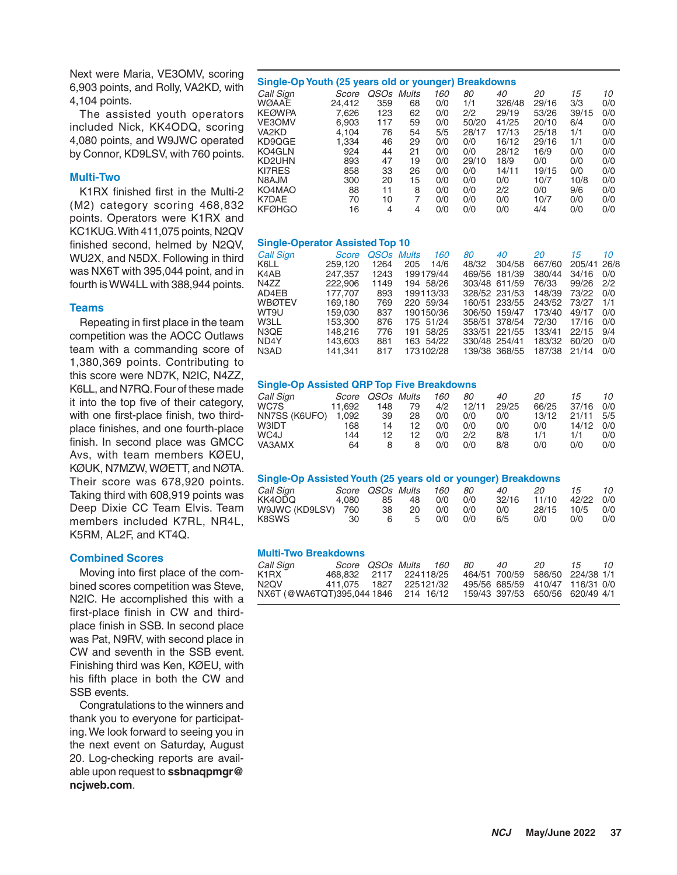Next were Maria, VE3OMV, scoring 6,903 points, and Rolly, VA2KD, with 4,104 points.

The assisted youth operators included Nick, KK4ODQ, scoring 4,080 points, and W9JWC operated by Connor, KD9LSV, with 760 points.

## **Multi-Two**

K1RX finished first in the Multi-2 (M2) category scoring 468,832 points. Operators were K1RX and KC1KUG. With 411,075 points, N2QV finished second, helmed by N2QV, WU2X, and N5DX. Following in third was NX6T with 395,044 point, and in fourth is WW4LL with 388,944 points.

#### **Teams**

Repeating in first place in the team competition was the AOCC Outlaws team with a commanding score of 1,380,369 points. Contributing to this score were ND7K, N2IC, N4ZZ, K6LL, and N7RQ. Four of these made it into the top five of their category, with one first-place finish, two thirdplace finishes, and one fourth-place finish. In second place was GMCC Avs, with team members KØEU, KØUK, N7MZW, WØETT, and NØTA. Their score was 678,920 points. Taking third with 608,919 points was Deep Dixie CC Team Elvis. Team members included K7RL, NR4L, K5RM, AL2F, and KT4Q.

## **Combined Scores**

Moving into first place of the combined scores competition was Steve, N2IC. He accomplished this with a first-place finish in CW and thirdplace finish in SSB. In second place was Pat, N9RV, with second place in CW and seventh in the SSB event. Finishing third was Ken, KØEU, with his fifth place in both the CW and SSB events.

Congratulations to the winners and thank you to everyone for participating. We look forward to seeing you in the next event on Saturday, August 20. Log-checking reports are available upon request to **ssbnaqpmgr@ ncjweb.com**.

#### **Single-Op Youth (25 years old or younger) Breakdowns**

| Call Sign     | Score  | QSOs | Mults | 160 | 80    | 40     | 20    | 15    | 10  |
|---------------|--------|------|-------|-----|-------|--------|-------|-------|-----|
| <b>WØAAE</b>  | 24.412 | 359  | 68    | 0/0 | 1/1   | 326/48 | 29/16 | 3/3   | 0/0 |
| <b>KEØWPA</b> | 7.626  | 123  | 62    | 0/0 | 2/2   | 29/19  | 53/26 | 39/15 | 0/0 |
| <b>VE3OMV</b> | 6,903  | 117  | 59    | 0/0 | 50/20 | 41/25  | 20/10 | 6/4   | 0/0 |
| VA2KD         | 4.104  | 76   | 54    | 5/5 | 28/17 | 17/13  | 25/18 | 1/1   | 0/0 |
| KD9QGE        | 1.334  | 46   | 29    | 0/0 | 0/0   | 16/12  | 29/16 | 1/1   | 0/0 |
| KO4GLN        | 924    | 44   | 21    | 0/0 | 0/0   | 28/12  | 16/9  | 0/0   | 0/0 |
| KD2UHN        | 893    | 47   | 19    | 0/0 | 29/10 | 18/9   | 0/0   | 0/0   | 0/0 |
| <b>KI7RES</b> | 858    | 33   | 26    | 0/0 | 0/0   | 14/11  | 19/15 | 0/0   | 0/0 |
| N8AJM         | 300    | 20   | 15    | 0/0 | 0/0   | 0/0    | 10/7  | 10/8  | 0/0 |
| KO4MAO        | 88     | 11   | 8     | 0/0 | 0/0   | 2/2    | 0/0   | 9/6   | 0/0 |
| K7DAE         | 70     | 10   |       | 0/0 | 0/0   | 0/0    | 10/7  | 0/0   | 0/0 |
| <b>KFØHGO</b> | 16     | 4    | 4     | 0/0 | 0/0   | 0/0    | 4/4   | 0/0   | 0/0 |
|               |        |      |       |     |       |        |       |       |     |

#### **Single-Operator Assisted Top 10**

| <b>Call Sign</b> | Score   | <b>OSOs Mults</b> |           | 160   | 80            | 40            | 20     | 15          | 10  |
|------------------|---------|-------------------|-----------|-------|---------------|---------------|--------|-------------|-----|
| K6LL             | 259.120 | 1264              | 205       | 14/6  | 48/32         | 304/58        | 667/60 | 205/41 26/8 |     |
| K4AB             | 247.357 | 1243              | 199179/44 |       |               | 469/56 181/39 | 380/44 | 34/16       | 0/0 |
| N4ZZ             | 222.906 | 1149              | 194 58/26 |       |               | 303/48 611/59 | 76/33  | 99/26       | 2/2 |
| AD4EB            | 177.707 | 893               | 199113/33 |       |               | 328/52 231/53 | 148/39 | 73/22       | 0/0 |
| <b>WBØTEV</b>    | 169.180 | 769               | 220 59/34 |       |               | 160/51 233/55 | 243/52 | 73/27       | 1/1 |
| WT9U             | 159.030 | 837               | 190150/36 |       | 306/50 159/47 |               | 173/40 | 49/17       | 0/0 |
| W3LL             | 153.300 | 876               | 175 51/24 |       |               | 358/51 378/54 | 72/30  | 17/16       | 0/0 |
| N3OE             | 148.216 | 776               | 191       | 58/25 |               | 333/51 221/55 | 133/41 | 22/15       | 9/4 |
| ND4Y             | 143.603 | 881               | 163 54/22 |       | 330/48 254/41 |               | 183/32 | 60/20       | 0/0 |
| N3AD             | 141.341 | 817               | 173102/28 |       |               | 139/38 368/55 | 187/38 | 21/14       | 0/0 |

#### **Single-Op Assisted QRP Top Five Breakdowns**

| Call Sign     | Score  | QSOs Mults |    | 160 | 80    | 40    | 20    | 15    | 10  |
|---------------|--------|------------|----|-----|-------|-------|-------|-------|-----|
| WC7S          | 11.692 | 148        | 79 | 4/2 | 12/11 | 29/25 | 66/25 | 37/16 | 0/0 |
| NN7SS (K6UFO) | 1,092  | 39         | 28 | 0/0 | 0/0   | 0/0   | 13/12 | 21/11 | 5/5 |
| W3IDT         | 168    | 14         | 12 | 0/0 | 0/0   | 0/0   | 0/0   | 14/12 | 0/0 |
| WC4J          | 144    | 12         | 12 | 0/0 | 2/2   | 8/8   | 1/1   | 1/1   | 0/0 |
| VA3AMX        | 64     |            |    | 0/0 | 0/0   | 8/8   | 0/0   | 0/0   | 0/0 |
|               |        |            |    |     |       |       |       |       |     |

#### **Single-Op Assisted Youth (25 years old or younger) Breakdowns**

| Call Sign          |       | Score QSOs Mults |     | 160 | - 80 | 40    | 20    | 15        | $10^{-1}$ |
|--------------------|-------|------------------|-----|-----|------|-------|-------|-----------|-----------|
| KK4ODO             | 4.080 | 85               | -48 | 0/0 | 0/0  | 32/16 | 11/10 | 42/22 0/0 |           |
| W9JWC (KD9LSV) 760 |       | 38               | 20  | 0/0 | 0/0  | 0/0   | 28/15 | 10/5 0/0  |           |
| K8SWS              | 30    | 6                | - 5 | 0/0 | 0/0  | 6/5   | 0/0   | 0/0       | 0/0       |

#### **Multi-Two Breakdowns**

| Call Sign                            |                          | Score QSOs Mults 160 80 |  | 40 | 20                              | 15 10 |  |
|--------------------------------------|--------------------------|-------------------------|--|----|---------------------------------|-------|--|
| K1RX                                 | 468.832 2117 224118/25   |                         |  |    | 464/51 700/59 586/50 224/38 1/1 |       |  |
| N2OV M                               | 411.075  1827  225121/32 |                         |  |    | 495/56 685/59 410/47 116/31 0/0 |       |  |
| NX6T (@WA6TQT)395,044 1846 214 16/12 |                          |                         |  |    | 159/43 397/53 650/56 620/49 4/1 |       |  |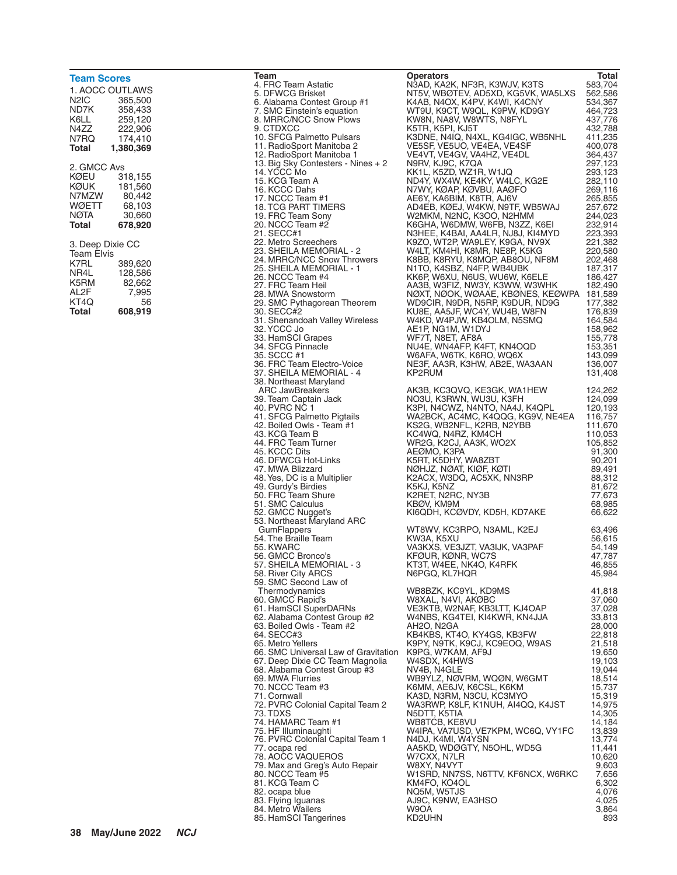| <b>Team Scores</b>                                                                     |                                                                                     |
|----------------------------------------------------------------------------------------|-------------------------------------------------------------------------------------|
| N2IC<br>ND7K<br>K6LL<br>N4ZZ<br>N7RQ<br>Total                                          | 1. AOCC OUTLAWS<br>365,500<br>358.433<br>259,120<br>222,906<br>174,410<br>1,380,369 |
| 2. GMCC Avs<br>KØEU<br>KØUK<br>N7MZW<br>WØETT<br>NØTA<br>Total                         | 318,155<br>181,560<br>80,442<br>68,103<br>30,660<br>678,920                         |
| 3. Deep Dixie CC<br><b>Team Elvis</b><br>K7RL<br>NR4L<br>K5RM<br>AL2F<br>KT4Q<br>Total | 389,620<br>128,586<br>82,662<br>7,995<br>56<br>608.919                              |

37. SHEILA MEMORIAL - 4 38. Northeast Maryland<br>ARC JawBreakers 53. Northeast Maryland ARC 58. River City ARCS 59. SMC Second Law of<br>Thermodynamics

Team **Total**<br>2. Total **Channel Communist Constructs Deperators** Operators<br>4. FRC Team Astatic Miss National National National National National National Department 4. FRC Team Astatic **Article State Constructs In Ann Astatic Article State State State State State State State**<br>1930 S. DFWCG Brisket **State State State State State State State State State State State State State State Sta** 5. DFWCG Brisket NT5V, WBØTEV, AD5XD, KG5VK, WA5LXS 562,586 6. Alabama Contest Group #1 K4AB, N4OX, K4PV, K4WI, K4CNY 534,367 7. SMC Einstein's equation WT9U, K9CT, W9QL, K9PW, KD9GY 464,723 8. MRRC/NCC Snow Plows KW8N, NA8V, W8WTS, N8FYL 437,776 9. CTDXCC K5TR, K5PI, KJ5T 432,788 10. SFCG Palmetto Pulsars K3DNE, N4IQ, N4XL, KG4IGC, WB5NHL 411,235 11. RadioSport Manitoba 2 VE5SF, VE5UO, VE4EA, VE4SF 400,078 12. RadioSport Manitoba 1 VE4VT, VE4GV, VA4HZ, VE4DL 364,437 13. Big Sky Contesters - Nines + 2 N9RV, KJ9C, K7QA 297,123 14. YCCC Mo KK1L, K5ZD, WZ1R, W1JQ 293,123 15. KCG Team A ND4Y, WX4W, KE4KY, W4LC, KG2E 282,110 16. KCCC Dahs N7WY, KØAP, KØVBU, AAØFO 269,116<br>17. NCCC Team #1 AE6Y, KA6BIM, K8TR, AJ6V 265,855 17. NCCC Team #1 AE6Y, KA6BIM, K8TR, AJ6V 265,855 18. TCG PART TIMERS AD4EB, KØEJ, W4KW, N9TF, WB5WAJ 257,672 19. FRC Team Sony W2MKM, N2NC, K3OO, N2HMM 244,023<br>20. NCCC Team #2 K6GHA, W6DMW, W6FB, N3ZZ, K6El 232,914 20. NCCC Team #2 K6GHA, W6DMW, W6FB, N3ZZ, K6EI 232,914 21. SECC#1 N3HEE, K4BAI, AA4LR, NJ8J, KI4MYD 223,393 22. Metro Screechers K9ZO, WT2P, WA9LEY, K9GA, NV9X 221,382 23. SHEILA MEMORIAL - 2 W4LT, KM4HI, K8MR, NE8P, K5KG 220,580 24. MRRC/NCC Snow Throwers K8BB, K8RYU, K8MQP, AB8OU, NF8M 202,468<br>25. SHEILA MEMORIAL - 1 N1TO, K4SBZ, N4FP, WB4UBK 187,317 26. NCCC Team #4 KK6P, W6XU, N6US, WU6W, K6ELE 186,427 27. FRC Team Heil AA3B, W3FIZ, NW3Y, K3WW, W3WHK 182,490 28. MWA Snowstorm NØXT, NØOK, WØAAE, KBØNES, KEØWPA 181,589 29. SMC Pythagorean Theorem WD9CIR, N9DR, N5RP, K9DUR, ND9G 177,382 30. SECC#2 KU8E, AA5JF, WC4Y, WU4B, W8FN 176,839 31. Shenandoah Valley Wireless W4KD, W4PJW, KB4OLM, N5SMQ 164,584 32. AE1P, NG1M, W1DYJ 158,962<br>WF7T, N8ET, AF8A 155,778 33. HamSCI Grapes WF7T, N8ET, AF8A 155,778 34. SFCG Pinnacle NU4E, WN4AFP, K4FT, KN4OQD 153,351 35. SCCC #1 W6AFA, W6TK, K6RO, WQ6X 143,099<br>36. FRC Team Electro-Voice NE3F, AA3R, K3HW, AB2E, WA3AAN 136,007 36. FRC Team Electro-Voice NE3F, AA3R, K3HW, AB2E, WA3AAN 136,007 ARC JawBreakers AK3B, KC3QVQ, KE3GK, WA1HEW 124,262 39. Team Captain Jack NO3U, K3RWN, WU3U, K3FH 124,099 40. PVRC NC 1 K3PI, N4CWZ, N4NTO, NA4J, K4QPL 120,193 41. SFCG Palmetto Pigtails WA2BCK, AC4MC, K4QQG, KG9V, NE4EA 116,757 42. Boiled Owls - Team #1 KS2G, WB2NFL, K2RB, N2YBB 111,670<br>43. KCG Team B KC4WQ, N4RZ, KM4CH 110,053 43. KCG Team B KC4WQ, N4RZ, KM4CH 110,053 44. FRC Team Turner WR2G, K2CJ, AA3K, WO2X 105,852 45. KCCC Dits AEØMO, K3PA<br>46. DFWCG Hot-Links K5RT, K5DHY, WA8ZBT 90,201 46. DFWCG Hot-Links K5RT, K5DHY, WA8ZBT 90,201<br>47. MWA Blizzard NØHJZ, NØAT, KIØF, KØTI 89,491 47. MWA Blizzard NØHJZ, NØAT, KIØF, KØTI 89,491 48. Yes, DC is a Multiplier K2ACX, W3DQ, AC5XK, NN3RP 88,312 49. Gurdy's Birdies K5KJ, K5NZ<br>50. FRC Team Shure K2RET, N2RC, NY3B 77,673 51. SMC Calculus KBØV, KM9M 68,985 KI6QDH, KCØVDY, KD5H, KD7AKE WT8WV, KC3RPO, N3AML, K2EJ 63,496<br>KW3A, K5XU 66,615 54. The Braille Team KW3A, K5XU 56,615 55. KWARC VA3KXS, VE3JZT, VA3IJK, VA3PAF 54,149 56. GMCC Bronco's KFØUR, KØNR, WC7S 47,787 55, KTAT, WAT IN KATA MEMORIAL ARABA AG, SHEILA AG, SHEILA AG, SHEILA AG, SHEILA AG, SHEILA AG, SHEI<br>TATA AG, SHEILA AG, SHEILA AG, SHEILA AG, SHEILA AG, SHEILA AG, SHEILA AG, SHEILA AG, SHEILA AG, SHEILA AG, SH Thermodynamics WB8BZK, KC9YL, KD9MS 41,818 60. GMCC Rapid's W8XAL, N4VI, AKØBC 37,060 61. HamSCI SuperDARNs VE3KTB, W2NAF, KB3LTT, KJ4OAP 37,028 62. Alabama Contest Group #2 W4NBS, KG4TEI, KI4KWR, KN4JJA 33,813 63. Boiled Owls - Team #2 <sup>AH2O,</sup> N2GA 28,000<br>64. SECC#3 KB4KBS, KT4O, KY4GS, KB3FW 22,818 64. SECC#3 KB4KBS, KT4O, KY4GS, KB3FW 22,818 65, K9PY, N9TK, K9CJ, KC9EOQ, W9AS 21,518<br>19,650 19,650 K9PG, W7KAM, AF9J 66. SMC Universal Law of Gravitation K9PG, W7KAM, AF9J 19,650<br>67. Deep Dixie CC Team Magnolia 19.103 WASDX, K4HWS 67. Deep Dixie CC Team Magnolia W4SDX, K4HWS 19,103 68. Alabama Contest Group #3 NV4B, N4GLE 19,044<br>69. MWA Flurries 18.514 WB9YLZ, NØVRM, WOØN, W6GMT 18.514 69. MWA Flurries WB9YLZ, NØVRM, WQØN, W6GMT 18,514 70. K6MM, AE6JV, K6CSL, K6KM<br>15,737 KA3D, N3RM, N3CU, KC3MYO 71. Cornwall KA3D, N3RM, N3CU, KC3MYO 15,319 72. PVRC Colonial Capital Team 2 WA3RWP, K8LF, K1NUH, AI4QQ, K4JST 14,975 73. TDXS N5DTT, K5TIA 14,305 74. HAMARC Team #1 WB8TCB, KE8VU 14,184<br>75. TF Illuminaughti W4IPA, VA7USD, VE7KPM, WC6Q, VY1FC 13,839 75. HF Illuminaughti W4IPA, VA7USD, VE7KPM, WC6Q, VY1FC 13,839 76. PVRC Colonial Capital Team 1 N4DJ, K4MI, W4YSN 13,774 77. ocapa red AA5KD, WDØGTY, N5OHL, WD5G 11,441 78. AOCC VAQUEROS W7CXX, N7LR 10,620 79. Max and Greg's Auto Repair W8XY, N4VYT 9,603 80. NCCC Team #5 W1SRD, NN7SS, N6TTV, KF6NCX, W6RKC 7,656 81. KCG Team C KM4FO, KO4OL 6,302 82. ocapa blue NQ5M, W5TJS 4,076 83. Flying Iguanas AJ9C, K9NW, EA3HSO 4,025 84. Metro Wailers W9OA 3,864 85. HamSCI Tangerines KD2UHN 893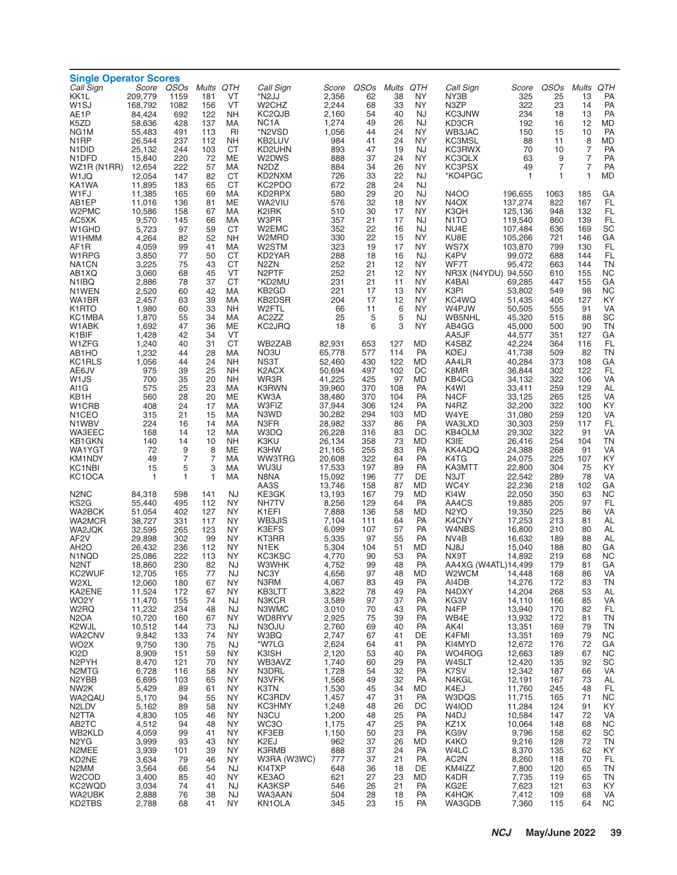| <b>Single Operator Scores</b>             |                  |                              |              |                 |                                |                  |            |                 |                        |                                  |                    |              |                 |                 |
|-------------------------------------------|------------------|------------------------------|--------------|-----------------|--------------------------------|------------------|------------|-----------------|------------------------|----------------------------------|--------------------|--------------|-----------------|-----------------|
| Call Sign<br>KK1L                         | 209,779          | Score QSOs Mults QTH<br>1159 | 181          | VT              | Call Sign<br>*N2JJ             | Score<br>2,356   | QSOs<br>62 | Mults QTH<br>38 | ΝY                     | Call Sign<br>NY3B                | Score<br>325       | QSOs<br>25   | Mults QTH<br>13 | PA              |
| W <sub>1</sub> SJ                         | 168,792          | 1082                         | 156          | VT              | W <sub>2</sub> CH <sub>Z</sub> | 2,244            | 68         | 33              | <b>NY</b>              | N3ZP                             | 322                | 23           | 14              | PA              |
| AE1P                                      | 84,424           | 692                          | 122          | <b>NH</b>       | KC <sub>2</sub> QJB            | 2,160            | 54         | 40              | <b>NJ</b>              | <b>KC3JNW</b>                    | 234                | 18           | 13              | PA              |
| K5ZD                                      | 58,636           | 428                          | 137          | МA              | NC <sub>1</sub> A              | 1,274            | 49         | 26              | <b>NJ</b>              | KD3CR                            | 192                | 16           | 12              | <b>MD</b>       |
| NG <sub>1</sub> M<br>N <sub>1</sub> RP    | 55.483<br>26,544 | 491<br>237                   | 113<br>112   | RI<br><b>NH</b> | *N2VSD<br>KB2LUV               | 1,056<br>984     | 44<br>41   | 24<br>24        | <b>NY</b><br>NY        | WB3JAC<br>KC3MSL                 | 150<br>88          | 15<br>11     | 10<br>8         | PA<br><b>MD</b> |
| N <sub>1</sub> DID                        | 25,132           | 244                          | 103          | СT              | KD2UHN                         | 893              | 47         | 19              | NJ                     | KC3RWX                           | 70                 | 10           | $\overline{7}$  | PA              |
| N <sub>1</sub> DFD                        | 15,840           | 220                          | 72           | <b>ME</b>       | W2DWS                          | 888              | 37         | 24              | <b>NY</b>              | KC3QLX                           | 63                 | 9            | 7               | PA              |
| WZ1R (N1RR)                               | 12,654           | 222                          | 57           | МA              | N <sub>2</sub> D <sub>Z</sub>  | 884              | 34         | 26              | NY                     | KC3PSX                           | 49                 | 7            | $\overline{7}$  | PA              |
| W1JQ                                      | 12,054           | 147                          | 82           | <b>CT</b>       | KD2NXM                         | 726              | 33         | 22              | <b>NJ</b>              | *KO4PGC                          | 1                  | $\mathbf{1}$ | 1               | <b>MD</b>       |
| KA1WA                                     | 11,895           | 183                          | 65           | <b>CT</b>       | KC2PDO                         | 672              | 28<br>29   | 24              | <b>NJ</b>              |                                  |                    |              |                 |                 |
| W1FJ<br>AB1EP                             | 11,385<br>11,016 | 165<br>136                   | 69<br>81     | МA<br>MЕ        | KD2RPX<br>WA2VIU               | 580<br>576       | 32         | 20<br>18        | <b>NJ</b><br>NY        | <b>N4OO</b><br>N <sub>4</sub> OX | 196,655<br>137,274 | 1063<br>822  | 185<br>167      | GA<br>FL        |
| W2PMC                                     | 10,586           | 158                          | 67           | МA              | K2IRK                          | 510              | 30         | 17              | NY                     | K3QH                             | 125,136            | 948          | 132             | FL              |
| AC5XK                                     | 9,570            | 145                          | 66           | МA              | W3PR                           | 357              | 21         | 17              | <b>NJ</b>              | N <sub>1</sub> TO                | 119,540            | 860          | 139             | <b>FL</b>       |
| W <sub>1</sub> GHD                        | 5,723            | 97                           | 59           | <b>CT</b>       | W2EMC                          | 352              | 22         | 16              | <b>NJ</b>              | NU4E                             | 107,484            | 636          | 169             | SC              |
| W1HMM                                     | 4,264<br>4,059   | 82                           | 52<br>41     | <b>NH</b><br>МA | W2MRD<br>W2STM                 | 330<br>323       | 22<br>19   | 15<br>17        | <b>NY</b><br><b>NY</b> | KU8E<br>WS7X                     | 105,266<br>103,870 | 721<br>799   | 146<br>130      | GA<br>FL        |
| AF1R<br>W1RPG                             | 3,850            | 99<br>77                     | 50           | <b>CT</b>       | KD2YAR                         | 288              | 18         | 16              | NJ                     | K4PV                             | 99,072             | 688          | 144             | FL              |
| NA <sub>1</sub> CN                        | 3,225            | 75                           | 43           | <b>CT</b>       | N <sub>2</sub> ZN              | 252              | 21         | 12              | <b>NY</b>              | WF7T                             | 95,472             | 663          | 144             | <b>TN</b>       |
| AB1XQ                                     | 3,060            | 68                           | 45           | VT              | N <sub>2</sub> PTF             | 252              | 21         | 12              | <b>NY</b>              | NR3X (N4YDU) 94,550              |                    | 610          | 155             | <b>NC</b>       |
| N <sub>1</sub> IBQ                        | 2,886            | 78                           | 37           | <b>CT</b>       | *KD2MU                         | 231              | 21         | 11              | <b>NY</b>              | K4BAI                            | 69,285             | 447          | 155             | GA              |
| N1WEN<br>WA1BR                            | 2,520            | 60                           | 42<br>39     | МA<br>МA        | KB <sub>2</sub> GD<br>KB2DSR   | 221<br>204       | 17<br>17   | 13<br>12        | <b>NY</b><br><b>NY</b> | K3PI<br>KC4WQ                    | 53,802<br>51.435   | 549<br>405   | 98              | <b>NC</b><br>KY |
| K1RTO                                     | 2,457<br>1,980   | 63<br>60                     | 33           | <b>NH</b>       | W2FTL                          | 66               | 11         | 6               | NY                     | W4PJW                            | 50,505             | 555          | 127<br>91       | VA              |
| KC1MBA                                    | 1,870            | 55                           | 34           | МA              | AC2ZZ                          | 25               | 5          | 5               | <b>NJ</b>              | WB5NHL                           | 45,320             | 515          | 88              | SC              |
| W1ABK                                     | 1,692            | 47                           | 36           | ME              | KC2JRQ                         | 18               | 6          | 3               | <b>NY</b>              | AB4GG                            | 45,000             | 500          | 90              | <b>TN</b>       |
| K1BIF                                     | 1,428            | 42                           | 34           | VT              |                                |                  |            |                 |                        | AA5JF                            | 44,577             | 351          | 127             | GA              |
| W1ZFG<br>AB1HO                            | 1,240<br>1,232   | 40<br>44                     | 31<br>28     | <b>CT</b><br>МA | WB2ZAB<br>NO3U                 | 82,931<br>65,778 | 653<br>577 | 127<br>114      | MD<br>PA               | K4SBZ<br>KØEJ                    | 42,224<br>41,738   | 364<br>509   | 116<br>82       | FL<br><b>TN</b> |
| KC1RLS                                    | 1,056            | 44                           | 24           | <b>NH</b>       | NS3T                           | 52,460           | 430        | 122             | MD                     | AA4LR                            | 40,284             | 373          | 108             | GA              |
| AE6JV                                     | 975              | 39                           | 25           | <b>NH</b>       | K <sub>2</sub> ACX             | 50,694           | 497        | 102             | DC                     | K8MR                             | 36,844             | 302          | 122             | FL              |
| W1JS                                      | 700              | 35                           | 20           | <b>NH</b>       | WR3R                           | 41,225           | 425        | 97              | MD                     | KB4CG                            | 34,132             | 322          | 106             | VA              |
| AI1G                                      | 575              | 25                           | 23           | МA              | K3RWN                          | 39,960           | 370        | 108             | PA                     | K4WI                             | 33,411             | 259          | 129             | AL              |
| KB1H<br>W <sub>1</sub> CRB                | 560<br>408       | 28<br>24                     | 20<br>17     | ME<br>МA        | KW3A<br>W3FIZ                  | 38,480<br>37,944 | 370<br>306 | 104<br>124      | PA<br>PA               | N <sub>4</sub> CF<br>N4RZ        | 33,125<br>32,200   | 265<br>322   | 125<br>100      | VA<br>KY        |
| N <sub>1</sub> CEO                        | 315              | 21                           | 15           | МA              | N3WD                           | 30,282           | 294        | 103             | MD                     | W4YE                             | 31,080             | 259          | 120             | VA              |
| N1WBV                                     | 224              | 16                           | 14           | MA              | N3FR                           | 28,982           | 337        | 86              | PA                     | WA3LXD                           | 30,303             | 259          | 117             | FL              |
| <b>WA3EEC</b>                             | 168              | 14                           | 12           | МA              | W3DQ                           | 26,228           | 316        | 83              | DC                     | KB4OLM                           | 29,302             | 322          | 91              | VA              |
| KB1GKN                                    | 140              | 14                           | 10           | <b>NH</b>       | K3KU                           | 26,134           | 358        | 73              | MD                     | K3IE                             | 26,416             | 254          | 104             | <b>TN</b>       |
| WA1YGT<br>KM1NDY                          | 72<br>49         | 9<br>$\overline{7}$          | 8<br>7       | <b>ME</b><br>МA | K3HW<br><b>WW3TRG</b>          | 21,165<br>20,608 | 255<br>322 | 83<br>64        | PA<br>PA               | KK4ADQ<br>K4TG                   | 24,388<br>24,075   | 268<br>225   | 91<br>107       | VA<br>KY        |
| KC <sub>1</sub> N <sub>BI</sub>           | 15               | 5                            | 3            | МA              | WU3U                           | 17,533           | 197        | 89              | PA                     | KA3MTT                           | 22,800             | 304          | 75              | KY              |
| KC1OCA                                    | $\mathbf{1}$     | $\mathbf{1}$                 | $\mathbf{1}$ | МA              | N8NA                           | 15,092           | 196        | 77              | DE                     | N3JT                             | 22,542             | 289          | 78              | VA              |
|                                           |                  |                              |              |                 | AA3S                           | 13,746           | 158        | 87              | MD                     | WC4Y                             | 22,236             | 218          | 102             | GA              |
| N <sub>2</sub> N <sub>C</sub>             | 84,318           | 598                          | 141          | NJ              | KE3GK                          | 13,193           | 167        | 79              | MD<br>PA               | KI4W                             | 22,050             | 350          | 63<br>97        | <b>NC</b><br>FL |
| KS2G<br>WA2BCK                            | 55,440<br>51,054 | 495<br>402                   | 112<br>127   | NY.<br>NY.      | NH7TV<br>K1EFI                 | 8,256<br>7,888   | 129<br>136 | 64<br>58        | <b>MD</b>              | AA4CS<br>N <sub>2</sub> YO       | 19,885<br>19,350   | 205<br>225   | 86              | VA              |
| WA2MCR                                    | 38,727           | 331                          | 117          | NY.             | WB3JIS                         | 7,104            | 111        | 64              | PA                     | K4CNY                            | 17,253             | 213          | 81              | AL              |
| WA2JQK                                    | 32,595           | 265                          | 123          | NY.             | K3EFS                          | 6.099            | 107        | 57              | PA                     | W4NBS                            | 16,800             | 210          | 80              | AL              |
| AF <sub>2</sub> V                         | 29,898           | 302                          | 99           | <b>NY</b>       | KT3RR                          | 5,335            | 97         | 55              | PA                     | NV4B                             | 16,632             | 189          | 88              | AL              |
| AH <sub>2</sub> O<br>N <sub>1</sub> NQD   | 26,432<br>25.086 | 236<br>222                   | 112<br>113   | NY<br><b>NY</b> | N1EK<br>KC3KSC                 | 5,304<br>4,770   | 104<br>90  | 51<br>53        | MD<br>PA               | NJ8J<br>NX9T                     | 15,040<br>14,892   | 188<br>219   | 80<br>68        | GA<br><b>NC</b> |
| N2NT                                      | 18,860           | 230                          | 82           | NJ              | W3WHK                          | 4.752            | 99         | 48              | <b>PA</b>              | AA4XG (W4ATL)14,499              |                    | 179          | 81              | GA              |
| KC2WUF                                    | 12,705           | 165                          | 77           | NJ              | NC3Y                           | 4,656            | 97         | 48              | MD                     | W <sub>2</sub> WCM               | 14,448             | 168          | 86              | VA              |
| W2XL                                      | 12,060           | 180                          | 67           | NY              | N3RM                           | 4,067            | 83         | 49              | PA                     | AI4DB                            | 14,276             | 172          | 83              | TN              |
| KA2ENE                                    | 11,524           | 172                          | 67           | NY              | KB3LTT                         | 3,822            | 78         | 49              | PA                     | N4DXY<br>KG3V                    | 14,204             | 268          | 53              | AL<br>VA        |
| WO <sub>2</sub> Y<br>W <sub>2</sub> RQ    | 11,470<br>11,232 | 155<br>234                   | 74<br>48     | NJ<br>NJ        | N3KCR<br>N3WMC                 | 3,589<br>3,010   | 97<br>70   | 37<br>43        | PA<br>PA               | N4FP                             | 14,110<br>13,940   | 166<br>170   | 85<br>82        | FL              |
| N <sub>2</sub> OA                         | 10,720           | 160                          | 67           | NY              | WD8RYV                         | 2,925            | 75         | 39              | PA                     | WB4E                             | 13.932             | 172          | 81              | <b>TN</b>       |
| K2WJL                                     | 10,512           | 144                          | 73           | NJ              | N3OJU                          | 2,760            | 69         | 40              | PA                     | AK4I                             | 13,351             | 169          | 79              | TN              |
| WA2CNV                                    | 9,842            | 133                          | 74           | NY              | W3BQ                           | 2,747            | 67         | 41              | DE                     | K4FMI                            | 13,351             | 169          | 79              | <b>NC</b>       |
| WO <sub>2</sub> X<br>KI2D                 | 9,750<br>8,909   | 130<br>151                   | 75<br>59     | <b>NJ</b><br>NY | *W7LG<br>K3ISH                 | 2,624<br>2,120   | 64<br>53   | 41<br>40        | PA<br>PA               | KI4MYD<br>WO4ROG                 | 12,672<br>12,663   | 176<br>189   | 72<br>67        | GA<br><b>NC</b> |
| N2PYH                                     | 8,470            | 121                          | 70           | NY.             | WB3AVZ                         | 1,740            | 60         | 29              | PA                     | W4SLT                            | 12,420             | 135          | 92              | SC              |
| N <sub>2</sub> MTG                        | 6,728            | 116                          | 58           | NY              | N3DRL                          | 1,728            | 54         | 32              | PA                     | K7SV                             | 12,342             | 187          | 66              | VA              |
| N2YBB                                     | 6,695            | 103                          | 65           | ΝY              | N3VFK                          | 1,568            | 49         | 32              | PA                     | N4KGL                            | 12,191             | 167          | 73              | AL              |
| NW <sub>2</sub> K                         | 5,429            | 89                           | 61           | NY.             | K3TN                           | 1,530            | 45         | 34              | MD                     | K4EJ                             | 11,760             | 245          | 48              | FL              |
| WA2QAU<br>N <sub>2</sub> L <sub>D</sub> V | 5,170<br>5,162   | 94<br>89                     | 55<br>58     | NY<br>ΝY        | KC3RDV<br><b>KC3HMY</b>        | 1,457<br>1,248   | 47<br>48   | 31<br>26        | PA<br>DC               | W3DQS<br>W4IOD                   | 11,715<br>11,284   | 165<br>124   | 71<br>91        | <b>NC</b><br>KY |
| N <sub>2</sub> TTA                        | 4,830            | 105                          | 46           | NY.             | N3CU                           | 1,200            | 48         | 25              | PA                     | N4DJ                             | 10,584             | 147          | 72              | VA              |
| AB2TC                                     | 4,512            | 94                           | 48           | NY              | WC3O                           | 1,175            | 47         | 25              | PA                     | KZ1X                             | 10,064             | 148          | 68              | <b>NC</b>       |
| WB2KLD                                    | 4,059            | 99                           | 41           | ΝY              | KF3EB                          | 1,150            | 50         | 23              | PA                     | KG9V                             | 9,796              | 158          | 62              | SC              |
| N <sub>2</sub> Y <sub>G</sub>             | 3,999            | 93                           | 43           | NY.             | K2EJ                           | 962              | 37         | 26              | MD                     | K4KO                             | 9,216              | 128          | 72              | <b>TN</b>       |
| N2MEE<br>KD2NE                            | 3,939<br>3,634   | 101<br>79                    | 39<br>46     | NY<br>ΝY        | K3RMB<br>W3RA (W3WC)           | 888<br>777       | 37<br>37   | 24<br>21        | <b>PA</b><br>PA        | W4LC<br>AC <sub>2</sub> N        | 8,370<br>8,260     | 135<br>118   | 62<br>70        | KY<br><b>FL</b> |
| N2MM                                      | 3,564            | 66                           | 54           | <b>NJ</b>       | KI4TXP                         | 648              | 36         | 18              | DE                     | KM4IZZ                           | 7,800              | 120          | 65              | TN              |
| W <sub>2</sub> COD                        | 3,400            | 85                           | 40           | NY              | KE3AO                          | 621              | 27         | 23              | MD                     | K4DR                             | 7,735              | 119          | 65              | TN              |
| KC2WQD                                    | 3,034            | 74                           | 41           | NJ              | KA3KSP                         | 546              | 26         | 21              | PA                     | KG2E                             | 7,623              | 121          | 63              | KY              |
| WA2UBK<br>KD2TBS                          | 2,888<br>2,788   | 76<br>68                     | 38<br>41     | <b>NJ</b><br>NY | WA3AAN<br>KN1OLA               | 504<br>345       | 28<br>23   | 18<br>15        | PA<br>PA               | K4HQK<br>WA3GDB                  | 7,412<br>7,360     | 109<br>115   | 68<br>64        | VA<br><b>NC</b> |
|                                           |                  |                              |              |                 |                                |                  |            |                 |                        |                                  |                    |              |                 |                 |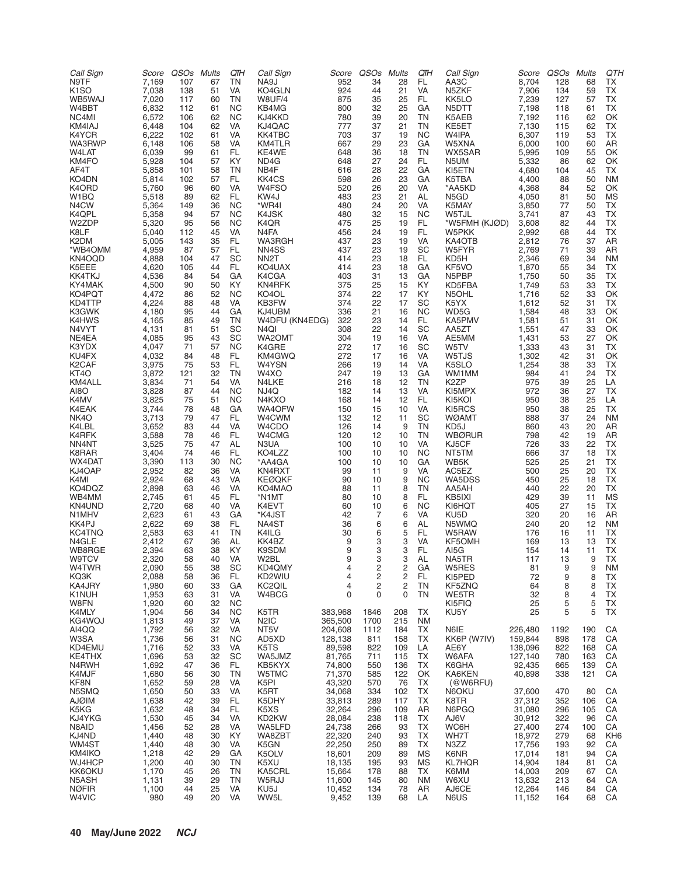| 924<br>K <sub>1</sub> SO<br>7,038<br>KO4GLN<br>44<br>21<br><b>VA</b><br>N5ZKF<br>7,906<br>134<br>59<br>TX<br>138<br>51<br>VA<br>WB5WAJ<br>7,020<br>TN<br>W8UF/4<br>875<br>25<br>FL<br>7,239<br><b>TX</b><br>117<br>60<br>35<br>KK5LO<br>127<br>57<br>W4BBT<br>6,832<br><b>NC</b><br>800<br>32<br>25<br>GA<br>7,198<br>TX<br>112<br>61<br>KB4MG<br>N5DTT<br>118<br>61<br>NC4MI<br>6,572<br><b>NC</b><br>KJ4KKD<br>780<br>20<br>TN<br>K5AEB<br>7,192<br>106<br>62<br>39<br>116<br>62<br>OK<br>KM4IAJ<br>6,448<br>VA<br>KJ4QAC<br>777<br>TN<br><b>TX</b><br>104<br>62<br>37<br>21<br>KE5ET<br>7,130<br>62<br>115<br>K4YCR<br>6,222<br><b>VA</b><br><b>KK4TBC</b><br>703<br>37<br>19<br><b>NC</b><br>W4IPA<br>6,307<br>TX<br>102<br>61<br>119<br>53<br>WA3RWP<br>6,148<br>KM4TLR<br>667<br>23<br>GA<br>W5XNA<br>6,000<br>106<br>58<br>VA<br>29<br>100<br>60<br>AR<br>W4LAT<br>6,039<br>99<br>FL.<br>KE4WE<br>648<br>TN<br>5,995<br>61<br>36<br>18<br>WX5SAR<br>55<br>OK<br>109<br>KM4FO<br>5,928<br>57<br>KY<br>648<br>27<br>24<br>FL<br>5,332<br>62<br>OK<br>104<br>ND4G<br>N5UM<br>86<br>AF4T<br>NB4F<br>616<br>22<br>KI5ETN<br>4,680<br>TX<br>5,858<br>101<br>58<br>TN<br>28<br>GА<br>104<br>45<br>KO4DN<br>5,814<br>102<br>FL.<br>KK4CS<br>598<br>23<br>GA<br>57<br>26<br>K5TBA<br>4,400<br><b>NM</b><br>88<br>50<br>W4FSO<br>520<br>K4ORD<br>5,760<br><b>VA</b><br>20<br>VA<br>4,368<br>52<br>OK<br>96<br>60<br>26<br>*AA5KD<br>84<br>W <sub>1</sub> BQ<br>KW4J<br>483<br>N5GD<br>4,050<br>5,518<br>89<br>62<br>FL.<br>23<br>21<br>AL<br>81<br>50<br>ΜS<br>N <sub>4</sub> CW<br>5,364<br><b>NC</b><br>*WR4I<br>149<br>36<br>480<br>24<br>20<br><b>VA</b><br>K5MAY<br>3,850<br>77<br>TX<br>50<br>480<br>K4QPL<br>5,358<br><b>NC</b><br>K4JSK<br>32<br><b>NC</b><br>3,741<br>43<br>ТX<br>94<br>57<br>15<br>W5TJL<br>87<br>W2ZDP<br>95<br><b>NC</b><br>K4QR<br>475<br>FL<br>*W5FMH (KJØD)<br>3,608<br>44<br>ТX<br>5,320<br>56<br>25<br>19<br>82<br>K8LF<br>VA<br><b>FL</b><br><b>TX</b><br>5,040<br>112<br>45<br>N <sub>4</sub> FA<br>456<br>24<br>19<br>W5PKK<br>2,992<br>68<br>44<br>K <sub>2</sub> DM<br>5,005<br>35<br>FL.<br>WA3RGH<br>437<br>23<br>VA<br>2,812<br>76<br>37<br>AR<br>143<br>19<br>KA4OTB<br>*WB4OMM<br>57<br>FL.<br>NN4SS<br>437<br>SC<br>W5FYR<br>4,959<br>87<br>23<br>19<br>2,769<br>71<br>39<br>AR<br>KN4OQD<br>SC<br>FL.<br>4,888<br>104<br>47<br>NN <sub>2</sub> T<br>414<br>23<br>18<br>KD5H<br>2,346<br>69<br>34<br><b>NM</b><br>414<br>K5EEE<br>4,620<br>44<br>FL.<br>KO4UAX<br>23<br>KF5VO<br>1,870<br>55<br>TX<br>105<br>18<br>GA<br>34<br>KK4TKJ<br>4,536<br>54<br>K4CGA<br>403<br>N5PBP<br>ТX<br>84<br>GА<br>31<br>13<br>GA<br>1,750<br>50<br>35<br>KY4MAK<br>4,500<br>KY<br>375<br><b>TX</b><br>90<br>50<br>KN4RFK<br>25<br>15<br>KY<br>KD5FBA<br>1,749<br>53<br>33<br>KO4PQT<br>4,472<br>52<br><b>NC</b><br>KO4OL<br>374<br>22<br>KY<br>1,716<br>52<br>33<br>OK<br>86<br>17<br>N5OHL<br>KD4TTP<br>4,224<br>48<br>KB3FW<br>374<br>22<br>17<br>SC<br>K5YX<br>1,612<br>52<br>TX<br>88<br>VA<br>31<br>K3GWK<br>4,180<br>GA<br>336<br>95<br>44<br>KJ4UBM<br>21<br>16<br><b>NC</b><br>WD5G<br>1,584<br>48<br>33<br>OK<br>K4HWS<br>4,165<br>85<br>49<br>TN<br>W4DFU (KN4EDG)<br>322<br>23<br>FL<br>KA5PMV<br>1,581<br>OK<br>14<br>51<br>31<br>N4VYT<br>SC<br>308<br>22<br>SC<br>AA5ZT<br>1,551<br>33<br>4,131<br>81<br>51<br>N <sub>4</sub> QI<br>14<br>47<br>OK<br>NE4EA<br>4,085<br>SC<br>304<br>95<br>43<br>WA2OMT<br>19<br><b>VA</b><br>AE5MM<br>1,431<br>53<br>27<br>OK<br>16<br>K3YDX<br>4,047<br>71<br><b>NC</b><br>K4GRE<br>272<br>SC<br>W5TV<br>43<br>TX<br>57<br>17<br>16<br>1,333<br>31<br>KU4FX<br>4,032<br>W5TJS<br>1,302<br>42<br>84<br>48<br>FL.<br>KM4GWQ<br>272<br>17<br>16<br>VA<br>31<br>OK<br>K <sub>2</sub> CAF<br>3,975<br>75<br>FL.<br><b>TX</b><br>53<br>W4YSN<br>266<br>19<br><b>VA</b><br>K5SLO<br>1,254<br>38<br>33<br>14<br>KT4O<br>3,872<br>32<br><b>TN</b><br>247<br>19<br>13<br>GA<br>WM1MM<br>984<br>ТX<br>121<br>W4XO<br>41<br>24<br>KM4ALL<br>54<br>N4LKE<br>216<br>12<br>TN<br>K <sub>2</sub> ZP<br>975<br>3,834<br>71<br>VA<br>18<br>39<br>25<br>LA<br>AI8O<br>3,828<br><b>NC</b><br><b>TX</b><br>87<br>44<br>NJ4Q<br>182<br>13<br>VA<br>KI5MPX<br>972<br>36<br>27<br>14<br>75<br>K4MV<br>3,825<br>51<br><b>NC</b><br>168<br>12<br>FL.<br>950<br>25<br>LA<br>N4KXO<br>14<br>KI5KOI<br>38<br>K4EAK<br>3,744<br>WA4OFW<br>KI5RCS<br>25<br>ТX<br>78<br>48<br>GA<br>150<br>15<br>10<br>VA<br>950<br>38<br>NK4O<br>3,713<br>79<br>FL.<br>132<br>47<br>W4CWM<br>12<br>11<br>SC<br><b>WØAMT</b><br>888<br>37<br>24<br><b>NM</b><br>K4LBL<br>3,652<br>83<br>44<br><b>VA</b><br>W4CDO<br>126<br>9<br>TN<br>43<br>20<br>AR<br>14<br>KD5J<br>860<br>K4RFK<br>78<br>W4CMG<br>10<br>TN<br><b>WBØRUR</b><br>42<br>3,588<br>46<br>FL<br>120<br>12<br>798<br>19<br>AR<br>NN4NT<br>3,525<br>75<br>AL<br>47<br>N3UA<br>100<br><b>VA</b><br>KJ5CF<br>726<br>33<br>22<br>TX<br>10<br>10<br><b>TX</b><br>K8RAR<br>3,404<br>74<br>46<br>FL.<br>KO4LZZ<br>100<br><b>NC</b><br>NT5TM<br>10<br>10<br>666<br>37<br>18<br>3,390<br><b>NC</b><br>*AA4GA<br>WB5K<br>525<br>ТX<br>WX4DAT<br>113<br>30<br>100<br>10<br>10<br>GA<br>25<br>21<br>KJ4OAP<br>2,952<br>82<br>VA<br><b>TX</b><br>36<br>KN4RXT<br>99<br>9<br><b>VA</b><br>AC5EZ<br>500<br>25<br>20<br>11<br><b>TX</b><br>2,924<br>68<br>43<br>VA<br>90<br>9<br><b>NC</b><br>WA5DSS<br>25<br>K4MI<br><b>KEØQKF</b><br>10<br>450<br>18<br>KO4DQZ<br>TN<br>AA5AH<br>22<br>TX<br>2,898<br>63<br>46<br>VA<br>KO4MAO<br>88<br>11<br>8<br>440<br>20<br>WB4MM<br>2,745<br>FL.<br><b>MS</b><br>61<br>45<br>*N1MT<br>80<br>8<br>FL.<br>KB5IXI<br>429<br>39<br>10<br>11<br>KN4UND<br>2,720<br>68<br>40<br>VA<br>60<br>6<br><b>NC</b><br>TX<br>K4EVT<br>10<br>KI6HQT<br>405<br>27<br>15<br>N <sub>1</sub> MHV<br>*K4JST<br>42<br>7<br>KU5D<br>2,623<br>61<br>43<br>GА<br>6<br>VA<br>320<br>20<br>16<br>AR<br>KK4PJ<br>2,622<br>FL.<br>69<br>38<br>NA4ST<br>36<br>6<br>AL<br>N5WMQ<br>240<br>20<br>12<br><b>NM</b><br>6<br><b>KC4TNQ</b><br>2,583<br>K4ILG<br>5<br>FL<br>ТX<br>63<br>41<br>TN<br>30<br>W5RAW<br>176<br>16<br>6<br>11<br>N4GLE<br>KK4BZ<br>9<br>3<br>3<br>VA<br>KF5OMH<br>TX<br>2,412<br>67<br>36<br>AL<br>169<br>13<br>13<br>WB8RGE<br>2,394<br>38<br>KY<br>9<br>3<br><b>TX</b><br>63<br>K9SDM<br>3<br>FL.<br>AI5G<br>154<br>14<br>11<br>9<br>2,320<br>40<br>VA<br>3<br>3<br><b>AL</b><br>TX<br><b>W9TCV</b><br>58<br>W2BL<br>NA5TR<br>117<br>13<br>9<br>2,090<br>KD4QMY<br>$\overline{c}$<br>W4TWR<br>SC<br>GA<br>55<br>38<br>4<br>2<br>W5RES<br>81<br>9<br>9<br>NM<br>KQ3K<br>2,088<br>58<br>36<br>FL.<br>KD2WIU<br>2<br>2<br>FL<br>KI5PED<br>4<br>72<br>9<br>8<br>ТX<br>2<br>KA4JRY<br>1,980<br>33<br>GA<br>KC2QIL<br>4<br>2<br>ΤN<br>KF5ZNQ<br>8<br>8<br>ТX<br>60<br>64<br>K1NUH<br>1,953<br>63<br>31<br>W4BCG<br>0<br>0<br>0<br>TN<br>WE5TR<br>32<br>8<br>4<br>ТX<br>VA<br>W8FN<br>1,920<br>32<br><b>NC</b><br>60<br>KI5FIQ<br>25<br>5<br>5<br>ТX<br>5<br>5<br>K4MLY<br>1,904<br>34<br><b>NC</b><br>383,968<br>208<br>TX<br>TX<br>56<br>K5TR<br>1846<br>KU5Y<br>25<br>37<br>KG4WOJ<br>1,813<br>49<br>N <sub>2</sub> IC<br>365,500<br>1700<br>215<br><b>NM</b><br>VA<br>AI4QQ<br>1,792<br>32<br>VA<br>NT5V<br>56<br>204,608<br>1112<br>184<br>TX<br>N6IE<br>CA<br>226,480<br>1192<br>190<br>W3SA<br>1,736<br>31<br><b>NC</b><br>TX<br>KK6P (W7IV)<br>159,844<br>178<br>CA<br>56<br>AD5XD<br>128,138<br>811<br>158<br>898<br>89,598<br>KD4EMU<br>1,716<br>52<br>33<br>K5TS<br>822<br>AE6Y<br>138,096<br>822<br>168<br>CA<br>VA<br>109<br>LA<br>KE4THX<br>1,696<br>53<br>32<br>SC<br>WA5JMZ<br>81,765<br>711<br>115<br>TX<br>W6AFA<br>127,140<br>780<br>163<br>CA<br>N4RWH<br>1,692<br>36<br>FL<br>KB5KYX<br>74,800<br>TX<br>CA<br>47<br>550<br>136<br>K6GHA<br>92,435<br>139<br>665<br>K4MJF<br>71,370<br>1,680<br>30<br>TN<br>W5TMC<br>585<br>122<br>KA6KEN<br>40,898<br>338<br>121<br>CA<br>56<br>OK<br>KF8N<br>1,652<br>28<br>VA<br>43,320<br>59<br>K5PI<br>570<br>76<br>TX<br>(@W6RFU)<br>N5SMQ<br>1,650<br>33<br>VA<br>K5RT<br>34,068<br>334<br>TX<br>37,600<br>470<br>80<br>CA<br>50<br>102<br>N6OKU<br><b>AJØIM</b><br>1,638<br>42<br>39<br>33,813<br>289<br>117<br>K8TR<br>37,312<br>CA<br>FL<br>K5DHY<br>ТX<br>352<br>106<br>K5KG<br>1,632<br>34<br>FL.<br>K5XS<br>48<br>32,264<br>296<br>109<br>AR<br>N6PGQ<br>31,080<br>296<br>105<br>CA<br>KJ4YKG<br>1,530<br>34<br>VA<br>28,084<br>238<br>AJ6V<br>30,912<br>CA<br>45<br>KD2KW<br>118<br>ТX<br>322<br>96<br>N8AID<br>1,456<br>52<br>28<br>WA5LFD<br>24,738<br>WC6H<br>27,400<br>274<br>100<br>CA<br>VA<br>266<br>93<br>ТX<br>KJ4ND<br>1,440<br>KY<br>WA8ZBT<br>22,320<br>48<br>30<br>240<br>93<br>TX<br>WH7T<br>18,972<br>279<br>68<br>KH <sub>6</sub><br>WM4ST<br>1,440<br>30<br>VA<br>22,250<br>250<br>ТX<br>N3ZZ<br>48<br>K5GN<br>89<br>17,756<br>193<br>92<br>СA<br>KM4IKO<br>1,218<br>29<br>K5OLV<br>18,601<br>209<br>MS<br>K6NR<br>17,014<br>CA<br>42<br>GА<br>89<br>181<br>94<br>WJ4HCP<br>1,200<br>TN<br>K5XU<br>40<br>30<br>18,135<br>195<br>93<br>MS<br><b>KL7HQR</b><br>14,904<br>184<br>CA<br>81<br>KK6OKU<br>1,170<br>26<br>TN<br>KA5CRL<br>14,003<br>45<br>15,664<br>178<br>88<br>ТX<br>K6MM<br>209<br>67<br>СA<br>N5ASH<br>29<br>TN<br>W5RJJ<br>11,600<br>W6XU<br>13,632<br>64<br>1,131<br>39<br>145<br>80<br><b>NM</b><br>213<br>СA<br><b>NØFIR</b><br>1,100<br>25<br>VA<br>44<br>KU5J<br>10,452<br>134<br>78<br>AR<br>AJ6CE<br>12,264<br>CA<br>146<br>84<br>W4VIC<br>49<br>20<br>VA<br>WW5L<br>9,452<br>139<br>68<br>CA<br>980<br>68<br>LA<br>N6US<br>11,152<br>164 | Call Sign<br>N9TF | Score<br>7,169 | QSOs<br>107 | Mults<br>67 | QTH<br>TN | Call Sign<br>NA9J | 952 | Score QSOs<br>34 | Mults<br>28 | QTH<br>FL | Call Sign<br>AA3C | 8,704 | Score QSOs Mults<br>128 | 68 | QTH<br>TX |
|------------------------------------------------------------------------------------------------------------------------------------------------------------------------------------------------------------------------------------------------------------------------------------------------------------------------------------------------------------------------------------------------------------------------------------------------------------------------------------------------------------------------------------------------------------------------------------------------------------------------------------------------------------------------------------------------------------------------------------------------------------------------------------------------------------------------------------------------------------------------------------------------------------------------------------------------------------------------------------------------------------------------------------------------------------------------------------------------------------------------------------------------------------------------------------------------------------------------------------------------------------------------------------------------------------------------------------------------------------------------------------------------------------------------------------------------------------------------------------------------------------------------------------------------------------------------------------------------------------------------------------------------------------------------------------------------------------------------------------------------------------------------------------------------------------------------------------------------------------------------------------------------------------------------------------------------------------------------------------------------------------------------------------------------------------------------------------------------------------------------------------------------------------------------------------------------------------------------------------------------------------------------------------------------------------------------------------------------------------------------------------------------------------------------------------------------------------------------------------------------------------------------------------------------------------------------------------------------------------------------------------------------------------------------------------------------------------------------------------------------------------------------------------------------------------------------------------------------------------------------------------------------------------------------------------------------------------------------------------------------------------------------------------------------------------------------------------------------------------------------------------------------------------------------------------------------------------------------------------------------------------------------------------------------------------------------------------------------------------------------------------------------------------------------------------------------------------------------------------------------------------------------------------------------------------------------------------------------------------------------------------------------------------------------------------------------------------------------------------------------------------------------------------------------------------------------------------------------------------------------------------------------------------------------------------------------------------------------------------------------------------------------------------------------------------------------------------------------------------------------------------------------------------------------------------------------------------------------------------------------------------------------------------------------------------------------------------------------------------------------------------------------------------------------------------------------------------------------------------------------------------------------------------------------------------------------------------------------------------------------------------------------------------------------------------------------------------------------------------------------------------------------------------------------------------------------------------------------------------------------------------------------------------------------------------------------------------------------------------------------------------------------------------------------------------------------------------------------------------------------------------------------------------------------------------------------------------------------------------------------------------------------------------------------------------------------------------------------------------------------------------------------------------------------------------------------------------------------------------------------------------------------------------------------------------------------------------------------------------------------------------------------------------------------------------------------------------------------------------------------------------------------------------------------------------------------------------------------------------------------------------------------------------------------------------------------------------------------------------------------------------------------------------------------------------------------------------------------------------------------------------------------------------------------------------------------------------------------------------------------------------------------------------------------------------------------------------------------------------------------------------------------------------------------------------------------------------------------------------------------------------------------------------------------------------------------------------------------------------------------------------------------------------------------------------------------------------------------------------------------------------------------------------------------------------------------------------------------------------------------------------------------------------------------------------------------------------------------------------------------------------------------------------------------------------------------------------------------------------------------------------------------------------------------------------------------------------------------------------------------------------------------------------------------------------------------------------------------------------------------------------------------------------------------------------------------------------------------------------------------------------------------------------------------------------------------------------------------------------------------------------------------------------------------------------------------------------------------------------------------------------------------------------------------------------------------------------------------------------------------------------------------------------------------------------------------------------------------------------------------------------------------------------------------------------------------------------------------------------------------------------------------------------------------------------------------------------------------------------------------------------------------------------------------------------------------------------------------------------------------------------------------------------------------------------------------------------------------------------------------------------------------------------------------------------------------------------------------------------------------------------------------------------------------------------------------------------------------------------------------------------------------------------------------------------------------------------------------------------------------------------------------------------------------------------------------------------------------------------------------------------------------------------------------------------------------------------------------------------------------------------------------------------------------------------------------------------------------------------------------------------------------------------------------------------------------------------------------------------------------------------------------------------------------------------------------------------------------------------------------------------------------------------------------|-------------------|----------------|-------------|-------------|-----------|-------------------|-----|------------------|-------------|-----------|-------------------|-------|-------------------------|----|-----------|
|                                                                                                                                                                                                                                                                                                                                                                                                                                                                                                                                                                                                                                                                                                                                                                                                                                                                                                                                                                                                                                                                                                                                                                                                                                                                                                                                                                                                                                                                                                                                                                                                                                                                                                                                                                                                                                                                                                                                                                                                                                                                                                                                                                                                                                                                                                                                                                                                                                                                                                                                                                                                                                                                                                                                                                                                                                                                                                                                                                                                                                                                                                                                                                                                                                                                                                                                                                                                                                                                                                                                                                                                                                                                                                                                                                                                                                                                                                                                                                                                                                                                                                                                                                                                                                                                                                                                                                                                                                                                                                                                                                                                                                                                                                                                                                                                                                                                                                                                                                                                                                                                                                                                                                                                                                                                                                                                                                                                                                                                                                                                                                                                                                                                                                                                                                                                                                                                                                                                                                                                                                                                                                                                                                                                                                                                                                                                                                                                                                                                                                                                                                                                                                                                                                                                                                                                                                                                                                                                                                                                                                                                                                                                                                                                                                                                                                                                                                                                                                                                                                                                                                                                                                                                                                                                                                                                                                                                                                                                                                                                                                                                                                                                                                                                                                                                                                                                                                                                                                                                                                                                                                                                                                                                                                                                                                                                                                                                                                                                                                                                                                                                                                                                                                                                                                                                                                                                                                                                                                                                                                                                                |                   |                |             |             |           |                   |     |                  |             |           |                   |       |                         |    |           |
|                                                                                                                                                                                                                                                                                                                                                                                                                                                                                                                                                                                                                                                                                                                                                                                                                                                                                                                                                                                                                                                                                                                                                                                                                                                                                                                                                                                                                                                                                                                                                                                                                                                                                                                                                                                                                                                                                                                                                                                                                                                                                                                                                                                                                                                                                                                                                                                                                                                                                                                                                                                                                                                                                                                                                                                                                                                                                                                                                                                                                                                                                                                                                                                                                                                                                                                                                                                                                                                                                                                                                                                                                                                                                                                                                                                                                                                                                                                                                                                                                                                                                                                                                                                                                                                                                                                                                                                                                                                                                                                                                                                                                                                                                                                                                                                                                                                                                                                                                                                                                                                                                                                                                                                                                                                                                                                                                                                                                                                                                                                                                                                                                                                                                                                                                                                                                                                                                                                                                                                                                                                                                                                                                                                                                                                                                                                                                                                                                                                                                                                                                                                                                                                                                                                                                                                                                                                                                                                                                                                                                                                                                                                                                                                                                                                                                                                                                                                                                                                                                                                                                                                                                                                                                                                                                                                                                                                                                                                                                                                                                                                                                                                                                                                                                                                                                                                                                                                                                                                                                                                                                                                                                                                                                                                                                                                                                                                                                                                                                                                                                                                                                                                                                                                                                                                                                                                                                                                                                                                                                                                                                |                   |                |             |             |           |                   |     |                  |             |           |                   |       |                         |    |           |
|                                                                                                                                                                                                                                                                                                                                                                                                                                                                                                                                                                                                                                                                                                                                                                                                                                                                                                                                                                                                                                                                                                                                                                                                                                                                                                                                                                                                                                                                                                                                                                                                                                                                                                                                                                                                                                                                                                                                                                                                                                                                                                                                                                                                                                                                                                                                                                                                                                                                                                                                                                                                                                                                                                                                                                                                                                                                                                                                                                                                                                                                                                                                                                                                                                                                                                                                                                                                                                                                                                                                                                                                                                                                                                                                                                                                                                                                                                                                                                                                                                                                                                                                                                                                                                                                                                                                                                                                                                                                                                                                                                                                                                                                                                                                                                                                                                                                                                                                                                                                                                                                                                                                                                                                                                                                                                                                                                                                                                                                                                                                                                                                                                                                                                                                                                                                                                                                                                                                                                                                                                                                                                                                                                                                                                                                                                                                                                                                                                                                                                                                                                                                                                                                                                                                                                                                                                                                                                                                                                                                                                                                                                                                                                                                                                                                                                                                                                                                                                                                                                                                                                                                                                                                                                                                                                                                                                                                                                                                                                                                                                                                                                                                                                                                                                                                                                                                                                                                                                                                                                                                                                                                                                                                                                                                                                                                                                                                                                                                                                                                                                                                                                                                                                                                                                                                                                                                                                                                                                                                                                                                                |                   |                |             |             |           |                   |     |                  |             |           |                   |       |                         |    |           |
|                                                                                                                                                                                                                                                                                                                                                                                                                                                                                                                                                                                                                                                                                                                                                                                                                                                                                                                                                                                                                                                                                                                                                                                                                                                                                                                                                                                                                                                                                                                                                                                                                                                                                                                                                                                                                                                                                                                                                                                                                                                                                                                                                                                                                                                                                                                                                                                                                                                                                                                                                                                                                                                                                                                                                                                                                                                                                                                                                                                                                                                                                                                                                                                                                                                                                                                                                                                                                                                                                                                                                                                                                                                                                                                                                                                                                                                                                                                                                                                                                                                                                                                                                                                                                                                                                                                                                                                                                                                                                                                                                                                                                                                                                                                                                                                                                                                                                                                                                                                                                                                                                                                                                                                                                                                                                                                                                                                                                                                                                                                                                                                                                                                                                                                                                                                                                                                                                                                                                                                                                                                                                                                                                                                                                                                                                                                                                                                                                                                                                                                                                                                                                                                                                                                                                                                                                                                                                                                                                                                                                                                                                                                                                                                                                                                                                                                                                                                                                                                                                                                                                                                                                                                                                                                                                                                                                                                                                                                                                                                                                                                                                                                                                                                                                                                                                                                                                                                                                                                                                                                                                                                                                                                                                                                                                                                                                                                                                                                                                                                                                                                                                                                                                                                                                                                                                                                                                                                                                                                                                                                                                |                   |                |             |             |           |                   |     |                  |             |           |                   |       |                         |    |           |
|                                                                                                                                                                                                                                                                                                                                                                                                                                                                                                                                                                                                                                                                                                                                                                                                                                                                                                                                                                                                                                                                                                                                                                                                                                                                                                                                                                                                                                                                                                                                                                                                                                                                                                                                                                                                                                                                                                                                                                                                                                                                                                                                                                                                                                                                                                                                                                                                                                                                                                                                                                                                                                                                                                                                                                                                                                                                                                                                                                                                                                                                                                                                                                                                                                                                                                                                                                                                                                                                                                                                                                                                                                                                                                                                                                                                                                                                                                                                                                                                                                                                                                                                                                                                                                                                                                                                                                                                                                                                                                                                                                                                                                                                                                                                                                                                                                                                                                                                                                                                                                                                                                                                                                                                                                                                                                                                                                                                                                                                                                                                                                                                                                                                                                                                                                                                                                                                                                                                                                                                                                                                                                                                                                                                                                                                                                                                                                                                                                                                                                                                                                                                                                                                                                                                                                                                                                                                                                                                                                                                                                                                                                                                                                                                                                                                                                                                                                                                                                                                                                                                                                                                                                                                                                                                                                                                                                                                                                                                                                                                                                                                                                                                                                                                                                                                                                                                                                                                                                                                                                                                                                                                                                                                                                                                                                                                                                                                                                                                                                                                                                                                                                                                                                                                                                                                                                                                                                                                                                                                                                                                                |                   |                |             |             |           |                   |     |                  |             |           |                   |       |                         |    |           |
|                                                                                                                                                                                                                                                                                                                                                                                                                                                                                                                                                                                                                                                                                                                                                                                                                                                                                                                                                                                                                                                                                                                                                                                                                                                                                                                                                                                                                                                                                                                                                                                                                                                                                                                                                                                                                                                                                                                                                                                                                                                                                                                                                                                                                                                                                                                                                                                                                                                                                                                                                                                                                                                                                                                                                                                                                                                                                                                                                                                                                                                                                                                                                                                                                                                                                                                                                                                                                                                                                                                                                                                                                                                                                                                                                                                                                                                                                                                                                                                                                                                                                                                                                                                                                                                                                                                                                                                                                                                                                                                                                                                                                                                                                                                                                                                                                                                                                                                                                                                                                                                                                                                                                                                                                                                                                                                                                                                                                                                                                                                                                                                                                                                                                                                                                                                                                                                                                                                                                                                                                                                                                                                                                                                                                                                                                                                                                                                                                                                                                                                                                                                                                                                                                                                                                                                                                                                                                                                                                                                                                                                                                                                                                                                                                                                                                                                                                                                                                                                                                                                                                                                                                                                                                                                                                                                                                                                                                                                                                                                                                                                                                                                                                                                                                                                                                                                                                                                                                                                                                                                                                                                                                                                                                                                                                                                                                                                                                                                                                                                                                                                                                                                                                                                                                                                                                                                                                                                                                                                                                                                                                |                   |                |             |             |           |                   |     |                  |             |           |                   |       |                         |    |           |
|                                                                                                                                                                                                                                                                                                                                                                                                                                                                                                                                                                                                                                                                                                                                                                                                                                                                                                                                                                                                                                                                                                                                                                                                                                                                                                                                                                                                                                                                                                                                                                                                                                                                                                                                                                                                                                                                                                                                                                                                                                                                                                                                                                                                                                                                                                                                                                                                                                                                                                                                                                                                                                                                                                                                                                                                                                                                                                                                                                                                                                                                                                                                                                                                                                                                                                                                                                                                                                                                                                                                                                                                                                                                                                                                                                                                                                                                                                                                                                                                                                                                                                                                                                                                                                                                                                                                                                                                                                                                                                                                                                                                                                                                                                                                                                                                                                                                                                                                                                                                                                                                                                                                                                                                                                                                                                                                                                                                                                                                                                                                                                                                                                                                                                                                                                                                                                                                                                                                                                                                                                                                                                                                                                                                                                                                                                                                                                                                                                                                                                                                                                                                                                                                                                                                                                                                                                                                                                                                                                                                                                                                                                                                                                                                                                                                                                                                                                                                                                                                                                                                                                                                                                                                                                                                                                                                                                                                                                                                                                                                                                                                                                                                                                                                                                                                                                                                                                                                                                                                                                                                                                                                                                                                                                                                                                                                                                                                                                                                                                                                                                                                                                                                                                                                                                                                                                                                                                                                                                                                                                                                                |                   |                |             |             |           |                   |     |                  |             |           |                   |       |                         |    |           |
|                                                                                                                                                                                                                                                                                                                                                                                                                                                                                                                                                                                                                                                                                                                                                                                                                                                                                                                                                                                                                                                                                                                                                                                                                                                                                                                                                                                                                                                                                                                                                                                                                                                                                                                                                                                                                                                                                                                                                                                                                                                                                                                                                                                                                                                                                                                                                                                                                                                                                                                                                                                                                                                                                                                                                                                                                                                                                                                                                                                                                                                                                                                                                                                                                                                                                                                                                                                                                                                                                                                                                                                                                                                                                                                                                                                                                                                                                                                                                                                                                                                                                                                                                                                                                                                                                                                                                                                                                                                                                                                                                                                                                                                                                                                                                                                                                                                                                                                                                                                                                                                                                                                                                                                                                                                                                                                                                                                                                                                                                                                                                                                                                                                                                                                                                                                                                                                                                                                                                                                                                                                                                                                                                                                                                                                                                                                                                                                                                                                                                                                                                                                                                                                                                                                                                                                                                                                                                                                                                                                                                                                                                                                                                                                                                                                                                                                                                                                                                                                                                                                                                                                                                                                                                                                                                                                                                                                                                                                                                                                                                                                                                                                                                                                                                                                                                                                                                                                                                                                                                                                                                                                                                                                                                                                                                                                                                                                                                                                                                                                                                                                                                                                                                                                                                                                                                                                                                                                                                                                                                                                                                |                   |                |             |             |           |                   |     |                  |             |           |                   |       |                         |    |           |
|                                                                                                                                                                                                                                                                                                                                                                                                                                                                                                                                                                                                                                                                                                                                                                                                                                                                                                                                                                                                                                                                                                                                                                                                                                                                                                                                                                                                                                                                                                                                                                                                                                                                                                                                                                                                                                                                                                                                                                                                                                                                                                                                                                                                                                                                                                                                                                                                                                                                                                                                                                                                                                                                                                                                                                                                                                                                                                                                                                                                                                                                                                                                                                                                                                                                                                                                                                                                                                                                                                                                                                                                                                                                                                                                                                                                                                                                                                                                                                                                                                                                                                                                                                                                                                                                                                                                                                                                                                                                                                                                                                                                                                                                                                                                                                                                                                                                                                                                                                                                                                                                                                                                                                                                                                                                                                                                                                                                                                                                                                                                                                                                                                                                                                                                                                                                                                                                                                                                                                                                                                                                                                                                                                                                                                                                                                                                                                                                                                                                                                                                                                                                                                                                                                                                                                                                                                                                                                                                                                                                                                                                                                                                                                                                                                                                                                                                                                                                                                                                                                                                                                                                                                                                                                                                                                                                                                                                                                                                                                                                                                                                                                                                                                                                                                                                                                                                                                                                                                                                                                                                                                                                                                                                                                                                                                                                                                                                                                                                                                                                                                                                                                                                                                                                                                                                                                                                                                                                                                                                                                                                                |                   |                |             |             |           |                   |     |                  |             |           |                   |       |                         |    |           |
|                                                                                                                                                                                                                                                                                                                                                                                                                                                                                                                                                                                                                                                                                                                                                                                                                                                                                                                                                                                                                                                                                                                                                                                                                                                                                                                                                                                                                                                                                                                                                                                                                                                                                                                                                                                                                                                                                                                                                                                                                                                                                                                                                                                                                                                                                                                                                                                                                                                                                                                                                                                                                                                                                                                                                                                                                                                                                                                                                                                                                                                                                                                                                                                                                                                                                                                                                                                                                                                                                                                                                                                                                                                                                                                                                                                                                                                                                                                                                                                                                                                                                                                                                                                                                                                                                                                                                                                                                                                                                                                                                                                                                                                                                                                                                                                                                                                                                                                                                                                                                                                                                                                                                                                                                                                                                                                                                                                                                                                                                                                                                                                                                                                                                                                                                                                                                                                                                                                                                                                                                                                                                                                                                                                                                                                                                                                                                                                                                                                                                                                                                                                                                                                                                                                                                                                                                                                                                                                                                                                                                                                                                                                                                                                                                                                                                                                                                                                                                                                                                                                                                                                                                                                                                                                                                                                                                                                                                                                                                                                                                                                                                                                                                                                                                                                                                                                                                                                                                                                                                                                                                                                                                                                                                                                                                                                                                                                                                                                                                                                                                                                                                                                                                                                                                                                                                                                                                                                                                                                                                                                                                |                   |                |             |             |           |                   |     |                  |             |           |                   |       |                         |    |           |
|                                                                                                                                                                                                                                                                                                                                                                                                                                                                                                                                                                                                                                                                                                                                                                                                                                                                                                                                                                                                                                                                                                                                                                                                                                                                                                                                                                                                                                                                                                                                                                                                                                                                                                                                                                                                                                                                                                                                                                                                                                                                                                                                                                                                                                                                                                                                                                                                                                                                                                                                                                                                                                                                                                                                                                                                                                                                                                                                                                                                                                                                                                                                                                                                                                                                                                                                                                                                                                                                                                                                                                                                                                                                                                                                                                                                                                                                                                                                                                                                                                                                                                                                                                                                                                                                                                                                                                                                                                                                                                                                                                                                                                                                                                                                                                                                                                                                                                                                                                                                                                                                                                                                                                                                                                                                                                                                                                                                                                                                                                                                                                                                                                                                                                                                                                                                                                                                                                                                                                                                                                                                                                                                                                                                                                                                                                                                                                                                                                                                                                                                                                                                                                                                                                                                                                                                                                                                                                                                                                                                                                                                                                                                                                                                                                                                                                                                                                                                                                                                                                                                                                                                                                                                                                                                                                                                                                                                                                                                                                                                                                                                                                                                                                                                                                                                                                                                                                                                                                                                                                                                                                                                                                                                                                                                                                                                                                                                                                                                                                                                                                                                                                                                                                                                                                                                                                                                                                                                                                                                                                                                                |                   |                |             |             |           |                   |     |                  |             |           |                   |       |                         |    |           |
|                                                                                                                                                                                                                                                                                                                                                                                                                                                                                                                                                                                                                                                                                                                                                                                                                                                                                                                                                                                                                                                                                                                                                                                                                                                                                                                                                                                                                                                                                                                                                                                                                                                                                                                                                                                                                                                                                                                                                                                                                                                                                                                                                                                                                                                                                                                                                                                                                                                                                                                                                                                                                                                                                                                                                                                                                                                                                                                                                                                                                                                                                                                                                                                                                                                                                                                                                                                                                                                                                                                                                                                                                                                                                                                                                                                                                                                                                                                                                                                                                                                                                                                                                                                                                                                                                                                                                                                                                                                                                                                                                                                                                                                                                                                                                                                                                                                                                                                                                                                                                                                                                                                                                                                                                                                                                                                                                                                                                                                                                                                                                                                                                                                                                                                                                                                                                                                                                                                                                                                                                                                                                                                                                                                                                                                                                                                                                                                                                                                                                                                                                                                                                                                                                                                                                                                                                                                                                                                                                                                                                                                                                                                                                                                                                                                                                                                                                                                                                                                                                                                                                                                                                                                                                                                                                                                                                                                                                                                                                                                                                                                                                                                                                                                                                                                                                                                                                                                                                                                                                                                                                                                                                                                                                                                                                                                                                                                                                                                                                                                                                                                                                                                                                                                                                                                                                                                                                                                                                                                                                                                                                |                   |                |             |             |           |                   |     |                  |             |           |                   |       |                         |    |           |
|                                                                                                                                                                                                                                                                                                                                                                                                                                                                                                                                                                                                                                                                                                                                                                                                                                                                                                                                                                                                                                                                                                                                                                                                                                                                                                                                                                                                                                                                                                                                                                                                                                                                                                                                                                                                                                                                                                                                                                                                                                                                                                                                                                                                                                                                                                                                                                                                                                                                                                                                                                                                                                                                                                                                                                                                                                                                                                                                                                                                                                                                                                                                                                                                                                                                                                                                                                                                                                                                                                                                                                                                                                                                                                                                                                                                                                                                                                                                                                                                                                                                                                                                                                                                                                                                                                                                                                                                                                                                                                                                                                                                                                                                                                                                                                                                                                                                                                                                                                                                                                                                                                                                                                                                                                                                                                                                                                                                                                                                                                                                                                                                                                                                                                                                                                                                                                                                                                                                                                                                                                                                                                                                                                                                                                                                                                                                                                                                                                                                                                                                                                                                                                                                                                                                                                                                                                                                                                                                                                                                                                                                                                                                                                                                                                                                                                                                                                                                                                                                                                                                                                                                                                                                                                                                                                                                                                                                                                                                                                                                                                                                                                                                                                                                                                                                                                                                                                                                                                                                                                                                                                                                                                                                                                                                                                                                                                                                                                                                                                                                                                                                                                                                                                                                                                                                                                                                                                                                                                                                                                                                                |                   |                |             |             |           |                   |     |                  |             |           |                   |       |                         |    |           |
|                                                                                                                                                                                                                                                                                                                                                                                                                                                                                                                                                                                                                                                                                                                                                                                                                                                                                                                                                                                                                                                                                                                                                                                                                                                                                                                                                                                                                                                                                                                                                                                                                                                                                                                                                                                                                                                                                                                                                                                                                                                                                                                                                                                                                                                                                                                                                                                                                                                                                                                                                                                                                                                                                                                                                                                                                                                                                                                                                                                                                                                                                                                                                                                                                                                                                                                                                                                                                                                                                                                                                                                                                                                                                                                                                                                                                                                                                                                                                                                                                                                                                                                                                                                                                                                                                                                                                                                                                                                                                                                                                                                                                                                                                                                                                                                                                                                                                                                                                                                                                                                                                                                                                                                                                                                                                                                                                                                                                                                                                                                                                                                                                                                                                                                                                                                                                                                                                                                                                                                                                                                                                                                                                                                                                                                                                                                                                                                                                                                                                                                                                                                                                                                                                                                                                                                                                                                                                                                                                                                                                                                                                                                                                                                                                                                                                                                                                                                                                                                                                                                                                                                                                                                                                                                                                                                                                                                                                                                                                                                                                                                                                                                                                                                                                                                                                                                                                                                                                                                                                                                                                                                                                                                                                                                                                                                                                                                                                                                                                                                                                                                                                                                                                                                                                                                                                                                                                                                                                                                                                                                                                |                   |                |             |             |           |                   |     |                  |             |           |                   |       |                         |    |           |
|                                                                                                                                                                                                                                                                                                                                                                                                                                                                                                                                                                                                                                                                                                                                                                                                                                                                                                                                                                                                                                                                                                                                                                                                                                                                                                                                                                                                                                                                                                                                                                                                                                                                                                                                                                                                                                                                                                                                                                                                                                                                                                                                                                                                                                                                                                                                                                                                                                                                                                                                                                                                                                                                                                                                                                                                                                                                                                                                                                                                                                                                                                                                                                                                                                                                                                                                                                                                                                                                                                                                                                                                                                                                                                                                                                                                                                                                                                                                                                                                                                                                                                                                                                                                                                                                                                                                                                                                                                                                                                                                                                                                                                                                                                                                                                                                                                                                                                                                                                                                                                                                                                                                                                                                                                                                                                                                                                                                                                                                                                                                                                                                                                                                                                                                                                                                                                                                                                                                                                                                                                                                                                                                                                                                                                                                                                                                                                                                                                                                                                                                                                                                                                                                                                                                                                                                                                                                                                                                                                                                                                                                                                                                                                                                                                                                                                                                                                                                                                                                                                                                                                                                                                                                                                                                                                                                                                                                                                                                                                                                                                                                                                                                                                                                                                                                                                                                                                                                                                                                                                                                                                                                                                                                                                                                                                                                                                                                                                                                                                                                                                                                                                                                                                                                                                                                                                                                                                                                                                                                                                                                                |                   |                |             |             |           |                   |     |                  |             |           |                   |       |                         |    |           |
|                                                                                                                                                                                                                                                                                                                                                                                                                                                                                                                                                                                                                                                                                                                                                                                                                                                                                                                                                                                                                                                                                                                                                                                                                                                                                                                                                                                                                                                                                                                                                                                                                                                                                                                                                                                                                                                                                                                                                                                                                                                                                                                                                                                                                                                                                                                                                                                                                                                                                                                                                                                                                                                                                                                                                                                                                                                                                                                                                                                                                                                                                                                                                                                                                                                                                                                                                                                                                                                                                                                                                                                                                                                                                                                                                                                                                                                                                                                                                                                                                                                                                                                                                                                                                                                                                                                                                                                                                                                                                                                                                                                                                                                                                                                                                                                                                                                                                                                                                                                                                                                                                                                                                                                                                                                                                                                                                                                                                                                                                                                                                                                                                                                                                                                                                                                                                                                                                                                                                                                                                                                                                                                                                                                                                                                                                                                                                                                                                                                                                                                                                                                                                                                                                                                                                                                                                                                                                                                                                                                                                                                                                                                                                                                                                                                                                                                                                                                                                                                                                                                                                                                                                                                                                                                                                                                                                                                                                                                                                                                                                                                                                                                                                                                                                                                                                                                                                                                                                                                                                                                                                                                                                                                                                                                                                                                                                                                                                                                                                                                                                                                                                                                                                                                                                                                                                                                                                                                                                                                                                                                                                |                   |                |             |             |           |                   |     |                  |             |           |                   |       |                         |    |           |
|                                                                                                                                                                                                                                                                                                                                                                                                                                                                                                                                                                                                                                                                                                                                                                                                                                                                                                                                                                                                                                                                                                                                                                                                                                                                                                                                                                                                                                                                                                                                                                                                                                                                                                                                                                                                                                                                                                                                                                                                                                                                                                                                                                                                                                                                                                                                                                                                                                                                                                                                                                                                                                                                                                                                                                                                                                                                                                                                                                                                                                                                                                                                                                                                                                                                                                                                                                                                                                                                                                                                                                                                                                                                                                                                                                                                                                                                                                                                                                                                                                                                                                                                                                                                                                                                                                                                                                                                                                                                                                                                                                                                                                                                                                                                                                                                                                                                                                                                                                                                                                                                                                                                                                                                                                                                                                                                                                                                                                                                                                                                                                                                                                                                                                                                                                                                                                                                                                                                                                                                                                                                                                                                                                                                                                                                                                                                                                                                                                                                                                                                                                                                                                                                                                                                                                                                                                                                                                                                                                                                                                                                                                                                                                                                                                                                                                                                                                                                                                                                                                                                                                                                                                                                                                                                                                                                                                                                                                                                                                                                                                                                                                                                                                                                                                                                                                                                                                                                                                                                                                                                                                                                                                                                                                                                                                                                                                                                                                                                                                                                                                                                                                                                                                                                                                                                                                                                                                                                                                                                                                                                                |                   |                |             |             |           |                   |     |                  |             |           |                   |       |                         |    |           |
|                                                                                                                                                                                                                                                                                                                                                                                                                                                                                                                                                                                                                                                                                                                                                                                                                                                                                                                                                                                                                                                                                                                                                                                                                                                                                                                                                                                                                                                                                                                                                                                                                                                                                                                                                                                                                                                                                                                                                                                                                                                                                                                                                                                                                                                                                                                                                                                                                                                                                                                                                                                                                                                                                                                                                                                                                                                                                                                                                                                                                                                                                                                                                                                                                                                                                                                                                                                                                                                                                                                                                                                                                                                                                                                                                                                                                                                                                                                                                                                                                                                                                                                                                                                                                                                                                                                                                                                                                                                                                                                                                                                                                                                                                                                                                                                                                                                                                                                                                                                                                                                                                                                                                                                                                                                                                                                                                                                                                                                                                                                                                                                                                                                                                                                                                                                                                                                                                                                                                                                                                                                                                                                                                                                                                                                                                                                                                                                                                                                                                                                                                                                                                                                                                                                                                                                                                                                                                                                                                                                                                                                                                                                                                                                                                                                                                                                                                                                                                                                                                                                                                                                                                                                                                                                                                                                                                                                                                                                                                                                                                                                                                                                                                                                                                                                                                                                                                                                                                                                                                                                                                                                                                                                                                                                                                                                                                                                                                                                                                                                                                                                                                                                                                                                                                                                                                                                                                                                                                                                                                                                                                |                   |                |             |             |           |                   |     |                  |             |           |                   |       |                         |    |           |
|                                                                                                                                                                                                                                                                                                                                                                                                                                                                                                                                                                                                                                                                                                                                                                                                                                                                                                                                                                                                                                                                                                                                                                                                                                                                                                                                                                                                                                                                                                                                                                                                                                                                                                                                                                                                                                                                                                                                                                                                                                                                                                                                                                                                                                                                                                                                                                                                                                                                                                                                                                                                                                                                                                                                                                                                                                                                                                                                                                                                                                                                                                                                                                                                                                                                                                                                                                                                                                                                                                                                                                                                                                                                                                                                                                                                                                                                                                                                                                                                                                                                                                                                                                                                                                                                                                                                                                                                                                                                                                                                                                                                                                                                                                                                                                                                                                                                                                                                                                                                                                                                                                                                                                                                                                                                                                                                                                                                                                                                                                                                                                                                                                                                                                                                                                                                                                                                                                                                                                                                                                                                                                                                                                                                                                                                                                                                                                                                                                                                                                                                                                                                                                                                                                                                                                                                                                                                                                                                                                                                                                                                                                                                                                                                                                                                                                                                                                                                                                                                                                                                                                                                                                                                                                                                                                                                                                                                                                                                                                                                                                                                                                                                                                                                                                                                                                                                                                                                                                                                                                                                                                                                                                                                                                                                                                                                                                                                                                                                                                                                                                                                                                                                                                                                                                                                                                                                                                                                                                                                                                                                                |                   |                |             |             |           |                   |     |                  |             |           |                   |       |                         |    |           |
|                                                                                                                                                                                                                                                                                                                                                                                                                                                                                                                                                                                                                                                                                                                                                                                                                                                                                                                                                                                                                                                                                                                                                                                                                                                                                                                                                                                                                                                                                                                                                                                                                                                                                                                                                                                                                                                                                                                                                                                                                                                                                                                                                                                                                                                                                                                                                                                                                                                                                                                                                                                                                                                                                                                                                                                                                                                                                                                                                                                                                                                                                                                                                                                                                                                                                                                                                                                                                                                                                                                                                                                                                                                                                                                                                                                                                                                                                                                                                                                                                                                                                                                                                                                                                                                                                                                                                                                                                                                                                                                                                                                                                                                                                                                                                                                                                                                                                                                                                                                                                                                                                                                                                                                                                                                                                                                                                                                                                                                                                                                                                                                                                                                                                                                                                                                                                                                                                                                                                                                                                                                                                                                                                                                                                                                                                                                                                                                                                                                                                                                                                                                                                                                                                                                                                                                                                                                                                                                                                                                                                                                                                                                                                                                                                                                                                                                                                                                                                                                                                                                                                                                                                                                                                                                                                                                                                                                                                                                                                                                                                                                                                                                                                                                                                                                                                                                                                                                                                                                                                                                                                                                                                                                                                                                                                                                                                                                                                                                                                                                                                                                                                                                                                                                                                                                                                                                                                                                                                                                                                                                                                |                   |                |             |             |           |                   |     |                  |             |           |                   |       |                         |    |           |
|                                                                                                                                                                                                                                                                                                                                                                                                                                                                                                                                                                                                                                                                                                                                                                                                                                                                                                                                                                                                                                                                                                                                                                                                                                                                                                                                                                                                                                                                                                                                                                                                                                                                                                                                                                                                                                                                                                                                                                                                                                                                                                                                                                                                                                                                                                                                                                                                                                                                                                                                                                                                                                                                                                                                                                                                                                                                                                                                                                                                                                                                                                                                                                                                                                                                                                                                                                                                                                                                                                                                                                                                                                                                                                                                                                                                                                                                                                                                                                                                                                                                                                                                                                                                                                                                                                                                                                                                                                                                                                                                                                                                                                                                                                                                                                                                                                                                                                                                                                                                                                                                                                                                                                                                                                                                                                                                                                                                                                                                                                                                                                                                                                                                                                                                                                                                                                                                                                                                                                                                                                                                                                                                                                                                                                                                                                                                                                                                                                                                                                                                                                                                                                                                                                                                                                                                                                                                                                                                                                                                                                                                                                                                                                                                                                                                                                                                                                                                                                                                                                                                                                                                                                                                                                                                                                                                                                                                                                                                                                                                                                                                                                                                                                                                                                                                                                                                                                                                                                                                                                                                                                                                                                                                                                                                                                                                                                                                                                                                                                                                                                                                                                                                                                                                                                                                                                                                                                                                                                                                                                                                                |                   |                |             |             |           |                   |     |                  |             |           |                   |       |                         |    |           |
|                                                                                                                                                                                                                                                                                                                                                                                                                                                                                                                                                                                                                                                                                                                                                                                                                                                                                                                                                                                                                                                                                                                                                                                                                                                                                                                                                                                                                                                                                                                                                                                                                                                                                                                                                                                                                                                                                                                                                                                                                                                                                                                                                                                                                                                                                                                                                                                                                                                                                                                                                                                                                                                                                                                                                                                                                                                                                                                                                                                                                                                                                                                                                                                                                                                                                                                                                                                                                                                                                                                                                                                                                                                                                                                                                                                                                                                                                                                                                                                                                                                                                                                                                                                                                                                                                                                                                                                                                                                                                                                                                                                                                                                                                                                                                                                                                                                                                                                                                                                                                                                                                                                                                                                                                                                                                                                                                                                                                                                                                                                                                                                                                                                                                                                                                                                                                                                                                                                                                                                                                                                                                                                                                                                                                                                                                                                                                                                                                                                                                                                                                                                                                                                                                                                                                                                                                                                                                                                                                                                                                                                                                                                                                                                                                                                                                                                                                                                                                                                                                                                                                                                                                                                                                                                                                                                                                                                                                                                                                                                                                                                                                                                                                                                                                                                                                                                                                                                                                                                                                                                                                                                                                                                                                                                                                                                                                                                                                                                                                                                                                                                                                                                                                                                                                                                                                                                                                                                                                                                                                                                                                |                   |                |             |             |           |                   |     |                  |             |           |                   |       |                         |    |           |
|                                                                                                                                                                                                                                                                                                                                                                                                                                                                                                                                                                                                                                                                                                                                                                                                                                                                                                                                                                                                                                                                                                                                                                                                                                                                                                                                                                                                                                                                                                                                                                                                                                                                                                                                                                                                                                                                                                                                                                                                                                                                                                                                                                                                                                                                                                                                                                                                                                                                                                                                                                                                                                                                                                                                                                                                                                                                                                                                                                                                                                                                                                                                                                                                                                                                                                                                                                                                                                                                                                                                                                                                                                                                                                                                                                                                                                                                                                                                                                                                                                                                                                                                                                                                                                                                                                                                                                                                                                                                                                                                                                                                                                                                                                                                                                                                                                                                                                                                                                                                                                                                                                                                                                                                                                                                                                                                                                                                                                                                                                                                                                                                                                                                                                                                                                                                                                                                                                                                                                                                                                                                                                                                                                                                                                                                                                                                                                                                                                                                                                                                                                                                                                                                                                                                                                                                                                                                                                                                                                                                                                                                                                                                                                                                                                                                                                                                                                                                                                                                                                                                                                                                                                                                                                                                                                                                                                                                                                                                                                                                                                                                                                                                                                                                                                                                                                                                                                                                                                                                                                                                                                                                                                                                                                                                                                                                                                                                                                                                                                                                                                                                                                                                                                                                                                                                                                                                                                                                                                                                                                                                                |                   |                |             |             |           |                   |     |                  |             |           |                   |       |                         |    |           |
|                                                                                                                                                                                                                                                                                                                                                                                                                                                                                                                                                                                                                                                                                                                                                                                                                                                                                                                                                                                                                                                                                                                                                                                                                                                                                                                                                                                                                                                                                                                                                                                                                                                                                                                                                                                                                                                                                                                                                                                                                                                                                                                                                                                                                                                                                                                                                                                                                                                                                                                                                                                                                                                                                                                                                                                                                                                                                                                                                                                                                                                                                                                                                                                                                                                                                                                                                                                                                                                                                                                                                                                                                                                                                                                                                                                                                                                                                                                                                                                                                                                                                                                                                                                                                                                                                                                                                                                                                                                                                                                                                                                                                                                                                                                                                                                                                                                                                                                                                                                                                                                                                                                                                                                                                                                                                                                                                                                                                                                                                                                                                                                                                                                                                                                                                                                                                                                                                                                                                                                                                                                                                                                                                                                                                                                                                                                                                                                                                                                                                                                                                                                                                                                                                                                                                                                                                                                                                                                                                                                                                                                                                                                                                                                                                                                                                                                                                                                                                                                                                                                                                                                                                                                                                                                                                                                                                                                                                                                                                                                                                                                                                                                                                                                                                                                                                                                                                                                                                                                                                                                                                                                                                                                                                                                                                                                                                                                                                                                                                                                                                                                                                                                                                                                                                                                                                                                                                                                                                                                                                                                                                |                   |                |             |             |           |                   |     |                  |             |           |                   |       |                         |    |           |
|                                                                                                                                                                                                                                                                                                                                                                                                                                                                                                                                                                                                                                                                                                                                                                                                                                                                                                                                                                                                                                                                                                                                                                                                                                                                                                                                                                                                                                                                                                                                                                                                                                                                                                                                                                                                                                                                                                                                                                                                                                                                                                                                                                                                                                                                                                                                                                                                                                                                                                                                                                                                                                                                                                                                                                                                                                                                                                                                                                                                                                                                                                                                                                                                                                                                                                                                                                                                                                                                                                                                                                                                                                                                                                                                                                                                                                                                                                                                                                                                                                                                                                                                                                                                                                                                                                                                                                                                                                                                                                                                                                                                                                                                                                                                                                                                                                                                                                                                                                                                                                                                                                                                                                                                                                                                                                                                                                                                                                                                                                                                                                                                                                                                                                                                                                                                                                                                                                                                                                                                                                                                                                                                                                                                                                                                                                                                                                                                                                                                                                                                                                                                                                                                                                                                                                                                                                                                                                                                                                                                                                                                                                                                                                                                                                                                                                                                                                                                                                                                                                                                                                                                                                                                                                                                                                                                                                                                                                                                                                                                                                                                                                                                                                                                                                                                                                                                                                                                                                                                                                                                                                                                                                                                                                                                                                                                                                                                                                                                                                                                                                                                                                                                                                                                                                                                                                                                                                                                                                                                                                                                                |                   |                |             |             |           |                   |     |                  |             |           |                   |       |                         |    |           |
|                                                                                                                                                                                                                                                                                                                                                                                                                                                                                                                                                                                                                                                                                                                                                                                                                                                                                                                                                                                                                                                                                                                                                                                                                                                                                                                                                                                                                                                                                                                                                                                                                                                                                                                                                                                                                                                                                                                                                                                                                                                                                                                                                                                                                                                                                                                                                                                                                                                                                                                                                                                                                                                                                                                                                                                                                                                                                                                                                                                                                                                                                                                                                                                                                                                                                                                                                                                                                                                                                                                                                                                                                                                                                                                                                                                                                                                                                                                                                                                                                                                                                                                                                                                                                                                                                                                                                                                                                                                                                                                                                                                                                                                                                                                                                                                                                                                                                                                                                                                                                                                                                                                                                                                                                                                                                                                                                                                                                                                                                                                                                                                                                                                                                                                                                                                                                                                                                                                                                                                                                                                                                                                                                                                                                                                                                                                                                                                                                                                                                                                                                                                                                                                                                                                                                                                                                                                                                                                                                                                                                                                                                                                                                                                                                                                                                                                                                                                                                                                                                                                                                                                                                                                                                                                                                                                                                                                                                                                                                                                                                                                                                                                                                                                                                                                                                                                                                                                                                                                                                                                                                                                                                                                                                                                                                                                                                                                                                                                                                                                                                                                                                                                                                                                                                                                                                                                                                                                                                                                                                                                                                |                   |                |             |             |           |                   |     |                  |             |           |                   |       |                         |    |           |
|                                                                                                                                                                                                                                                                                                                                                                                                                                                                                                                                                                                                                                                                                                                                                                                                                                                                                                                                                                                                                                                                                                                                                                                                                                                                                                                                                                                                                                                                                                                                                                                                                                                                                                                                                                                                                                                                                                                                                                                                                                                                                                                                                                                                                                                                                                                                                                                                                                                                                                                                                                                                                                                                                                                                                                                                                                                                                                                                                                                                                                                                                                                                                                                                                                                                                                                                                                                                                                                                                                                                                                                                                                                                                                                                                                                                                                                                                                                                                                                                                                                                                                                                                                                                                                                                                                                                                                                                                                                                                                                                                                                                                                                                                                                                                                                                                                                                                                                                                                                                                                                                                                                                                                                                                                                                                                                                                                                                                                                                                                                                                                                                                                                                                                                                                                                                                                                                                                                                                                                                                                                                                                                                                                                                                                                                                                                                                                                                                                                                                                                                                                                                                                                                                                                                                                                                                                                                                                                                                                                                                                                                                                                                                                                                                                                                                                                                                                                                                                                                                                                                                                                                                                                                                                                                                                                                                                                                                                                                                                                                                                                                                                                                                                                                                                                                                                                                                                                                                                                                                                                                                                                                                                                                                                                                                                                                                                                                                                                                                                                                                                                                                                                                                                                                                                                                                                                                                                                                                                                                                                                                                |                   |                |             |             |           |                   |     |                  |             |           |                   |       |                         |    |           |
|                                                                                                                                                                                                                                                                                                                                                                                                                                                                                                                                                                                                                                                                                                                                                                                                                                                                                                                                                                                                                                                                                                                                                                                                                                                                                                                                                                                                                                                                                                                                                                                                                                                                                                                                                                                                                                                                                                                                                                                                                                                                                                                                                                                                                                                                                                                                                                                                                                                                                                                                                                                                                                                                                                                                                                                                                                                                                                                                                                                                                                                                                                                                                                                                                                                                                                                                                                                                                                                                                                                                                                                                                                                                                                                                                                                                                                                                                                                                                                                                                                                                                                                                                                                                                                                                                                                                                                                                                                                                                                                                                                                                                                                                                                                                                                                                                                                                                                                                                                                                                                                                                                                                                                                                                                                                                                                                                                                                                                                                                                                                                                                                                                                                                                                                                                                                                                                                                                                                                                                                                                                                                                                                                                                                                                                                                                                                                                                                                                                                                                                                                                                                                                                                                                                                                                                                                                                                                                                                                                                                                                                                                                                                                                                                                                                                                                                                                                                                                                                                                                                                                                                                                                                                                                                                                                                                                                                                                                                                                                                                                                                                                                                                                                                                                                                                                                                                                                                                                                                                                                                                                                                                                                                                                                                                                                                                                                                                                                                                                                                                                                                                                                                                                                                                                                                                                                                                                                                                                                                                                                                                                |                   |                |             |             |           |                   |     |                  |             |           |                   |       |                         |    |           |
|                                                                                                                                                                                                                                                                                                                                                                                                                                                                                                                                                                                                                                                                                                                                                                                                                                                                                                                                                                                                                                                                                                                                                                                                                                                                                                                                                                                                                                                                                                                                                                                                                                                                                                                                                                                                                                                                                                                                                                                                                                                                                                                                                                                                                                                                                                                                                                                                                                                                                                                                                                                                                                                                                                                                                                                                                                                                                                                                                                                                                                                                                                                                                                                                                                                                                                                                                                                                                                                                                                                                                                                                                                                                                                                                                                                                                                                                                                                                                                                                                                                                                                                                                                                                                                                                                                                                                                                                                                                                                                                                                                                                                                                                                                                                                                                                                                                                                                                                                                                                                                                                                                                                                                                                                                                                                                                                                                                                                                                                                                                                                                                                                                                                                                                                                                                                                                                                                                                                                                                                                                                                                                                                                                                                                                                                                                                                                                                                                                                                                                                                                                                                                                                                                                                                                                                                                                                                                                                                                                                                                                                                                                                                                                                                                                                                                                                                                                                                                                                                                                                                                                                                                                                                                                                                                                                                                                                                                                                                                                                                                                                                                                                                                                                                                                                                                                                                                                                                                                                                                                                                                                                                                                                                                                                                                                                                                                                                                                                                                                                                                                                                                                                                                                                                                                                                                                                                                                                                                                                                                                                                                |                   |                |             |             |           |                   |     |                  |             |           |                   |       |                         |    |           |
|                                                                                                                                                                                                                                                                                                                                                                                                                                                                                                                                                                                                                                                                                                                                                                                                                                                                                                                                                                                                                                                                                                                                                                                                                                                                                                                                                                                                                                                                                                                                                                                                                                                                                                                                                                                                                                                                                                                                                                                                                                                                                                                                                                                                                                                                                                                                                                                                                                                                                                                                                                                                                                                                                                                                                                                                                                                                                                                                                                                                                                                                                                                                                                                                                                                                                                                                                                                                                                                                                                                                                                                                                                                                                                                                                                                                                                                                                                                                                                                                                                                                                                                                                                                                                                                                                                                                                                                                                                                                                                                                                                                                                                                                                                                                                                                                                                                                                                                                                                                                                                                                                                                                                                                                                                                                                                                                                                                                                                                                                                                                                                                                                                                                                                                                                                                                                                                                                                                                                                                                                                                                                                                                                                                                                                                                                                                                                                                                                                                                                                                                                                                                                                                                                                                                                                                                                                                                                                                                                                                                                                                                                                                                                                                                                                                                                                                                                                                                                                                                                                                                                                                                                                                                                                                                                                                                                                                                                                                                                                                                                                                                                                                                                                                                                                                                                                                                                                                                                                                                                                                                                                                                                                                                                                                                                                                                                                                                                                                                                                                                                                                                                                                                                                                                                                                                                                                                                                                                                                                                                                                                                |                   |                |             |             |           |                   |     |                  |             |           |                   |       |                         |    |           |
|                                                                                                                                                                                                                                                                                                                                                                                                                                                                                                                                                                                                                                                                                                                                                                                                                                                                                                                                                                                                                                                                                                                                                                                                                                                                                                                                                                                                                                                                                                                                                                                                                                                                                                                                                                                                                                                                                                                                                                                                                                                                                                                                                                                                                                                                                                                                                                                                                                                                                                                                                                                                                                                                                                                                                                                                                                                                                                                                                                                                                                                                                                                                                                                                                                                                                                                                                                                                                                                                                                                                                                                                                                                                                                                                                                                                                                                                                                                                                                                                                                                                                                                                                                                                                                                                                                                                                                                                                                                                                                                                                                                                                                                                                                                                                                                                                                                                                                                                                                                                                                                                                                                                                                                                                                                                                                                                                                                                                                                                                                                                                                                                                                                                                                                                                                                                                                                                                                                                                                                                                                                                                                                                                                                                                                                                                                                                                                                                                                                                                                                                                                                                                                                                                                                                                                                                                                                                                                                                                                                                                                                                                                                                                                                                                                                                                                                                                                                                                                                                                                                                                                                                                                                                                                                                                                                                                                                                                                                                                                                                                                                                                                                                                                                                                                                                                                                                                                                                                                                                                                                                                                                                                                                                                                                                                                                                                                                                                                                                                                                                                                                                                                                                                                                                                                                                                                                                                                                                                                                                                                                                                |                   |                |             |             |           |                   |     |                  |             |           |                   |       |                         |    |           |
|                                                                                                                                                                                                                                                                                                                                                                                                                                                                                                                                                                                                                                                                                                                                                                                                                                                                                                                                                                                                                                                                                                                                                                                                                                                                                                                                                                                                                                                                                                                                                                                                                                                                                                                                                                                                                                                                                                                                                                                                                                                                                                                                                                                                                                                                                                                                                                                                                                                                                                                                                                                                                                                                                                                                                                                                                                                                                                                                                                                                                                                                                                                                                                                                                                                                                                                                                                                                                                                                                                                                                                                                                                                                                                                                                                                                                                                                                                                                                                                                                                                                                                                                                                                                                                                                                                                                                                                                                                                                                                                                                                                                                                                                                                                                                                                                                                                                                                                                                                                                                                                                                                                                                                                                                                                                                                                                                                                                                                                                                                                                                                                                                                                                                                                                                                                                                                                                                                                                                                                                                                                                                                                                                                                                                                                                                                                                                                                                                                                                                                                                                                                                                                                                                                                                                                                                                                                                                                                                                                                                                                                                                                                                                                                                                                                                                                                                                                                                                                                                                                                                                                                                                                                                                                                                                                                                                                                                                                                                                                                                                                                                                                                                                                                                                                                                                                                                                                                                                                                                                                                                                                                                                                                                                                                                                                                                                                                                                                                                                                                                                                                                                                                                                                                                                                                                                                                                                                                                                                                                                                                                                |                   |                |             |             |           |                   |     |                  |             |           |                   |       |                         |    |           |
|                                                                                                                                                                                                                                                                                                                                                                                                                                                                                                                                                                                                                                                                                                                                                                                                                                                                                                                                                                                                                                                                                                                                                                                                                                                                                                                                                                                                                                                                                                                                                                                                                                                                                                                                                                                                                                                                                                                                                                                                                                                                                                                                                                                                                                                                                                                                                                                                                                                                                                                                                                                                                                                                                                                                                                                                                                                                                                                                                                                                                                                                                                                                                                                                                                                                                                                                                                                                                                                                                                                                                                                                                                                                                                                                                                                                                                                                                                                                                                                                                                                                                                                                                                                                                                                                                                                                                                                                                                                                                                                                                                                                                                                                                                                                                                                                                                                                                                                                                                                                                                                                                                                                                                                                                                                                                                                                                                                                                                                                                                                                                                                                                                                                                                                                                                                                                                                                                                                                                                                                                                                                                                                                                                                                                                                                                                                                                                                                                                                                                                                                                                                                                                                                                                                                                                                                                                                                                                                                                                                                                                                                                                                                                                                                                                                                                                                                                                                                                                                                                                                                                                                                                                                                                                                                                                                                                                                                                                                                                                                                                                                                                                                                                                                                                                                                                                                                                                                                                                                                                                                                                                                                                                                                                                                                                                                                                                                                                                                                                                                                                                                                                                                                                                                                                                                                                                                                                                                                                                                                                                                                                |                   |                |             |             |           |                   |     |                  |             |           |                   |       |                         |    |           |
|                                                                                                                                                                                                                                                                                                                                                                                                                                                                                                                                                                                                                                                                                                                                                                                                                                                                                                                                                                                                                                                                                                                                                                                                                                                                                                                                                                                                                                                                                                                                                                                                                                                                                                                                                                                                                                                                                                                                                                                                                                                                                                                                                                                                                                                                                                                                                                                                                                                                                                                                                                                                                                                                                                                                                                                                                                                                                                                                                                                                                                                                                                                                                                                                                                                                                                                                                                                                                                                                                                                                                                                                                                                                                                                                                                                                                                                                                                                                                                                                                                                                                                                                                                                                                                                                                                                                                                                                                                                                                                                                                                                                                                                                                                                                                                                                                                                                                                                                                                                                                                                                                                                                                                                                                                                                                                                                                                                                                                                                                                                                                                                                                                                                                                                                                                                                                                                                                                                                                                                                                                                                                                                                                                                                                                                                                                                                                                                                                                                                                                                                                                                                                                                                                                                                                                                                                                                                                                                                                                                                                                                                                                                                                                                                                                                                                                                                                                                                                                                                                                                                                                                                                                                                                                                                                                                                                                                                                                                                                                                                                                                                                                                                                                                                                                                                                                                                                                                                                                                                                                                                                                                                                                                                                                                                                                                                                                                                                                                                                                                                                                                                                                                                                                                                                                                                                                                                                                                                                                                                                                                                                |                   |                |             |             |           |                   |     |                  |             |           |                   |       |                         |    |           |
|                                                                                                                                                                                                                                                                                                                                                                                                                                                                                                                                                                                                                                                                                                                                                                                                                                                                                                                                                                                                                                                                                                                                                                                                                                                                                                                                                                                                                                                                                                                                                                                                                                                                                                                                                                                                                                                                                                                                                                                                                                                                                                                                                                                                                                                                                                                                                                                                                                                                                                                                                                                                                                                                                                                                                                                                                                                                                                                                                                                                                                                                                                                                                                                                                                                                                                                                                                                                                                                                                                                                                                                                                                                                                                                                                                                                                                                                                                                                                                                                                                                                                                                                                                                                                                                                                                                                                                                                                                                                                                                                                                                                                                                                                                                                                                                                                                                                                                                                                                                                                                                                                                                                                                                                                                                                                                                                                                                                                                                                                                                                                                                                                                                                                                                                                                                                                                                                                                                                                                                                                                                                                                                                                                                                                                                                                                                                                                                                                                                                                                                                                                                                                                                                                                                                                                                                                                                                                                                                                                                                                                                                                                                                                                                                                                                                                                                                                                                                                                                                                                                                                                                                                                                                                                                                                                                                                                                                                                                                                                                                                                                                                                                                                                                                                                                                                                                                                                                                                                                                                                                                                                                                                                                                                                                                                                                                                                                                                                                                                                                                                                                                                                                                                                                                                                                                                                                                                                                                                                                                                                                                                |                   |                |             |             |           |                   |     |                  |             |           |                   |       |                         |    |           |
|                                                                                                                                                                                                                                                                                                                                                                                                                                                                                                                                                                                                                                                                                                                                                                                                                                                                                                                                                                                                                                                                                                                                                                                                                                                                                                                                                                                                                                                                                                                                                                                                                                                                                                                                                                                                                                                                                                                                                                                                                                                                                                                                                                                                                                                                                                                                                                                                                                                                                                                                                                                                                                                                                                                                                                                                                                                                                                                                                                                                                                                                                                                                                                                                                                                                                                                                                                                                                                                                                                                                                                                                                                                                                                                                                                                                                                                                                                                                                                                                                                                                                                                                                                                                                                                                                                                                                                                                                                                                                                                                                                                                                                                                                                                                                                                                                                                                                                                                                                                                                                                                                                                                                                                                                                                                                                                                                                                                                                                                                                                                                                                                                                                                                                                                                                                                                                                                                                                                                                                                                                                                                                                                                                                                                                                                                                                                                                                                                                                                                                                                                                                                                                                                                                                                                                                                                                                                                                                                                                                                                                                                                                                                                                                                                                                                                                                                                                                                                                                                                                                                                                                                                                                                                                                                                                                                                                                                                                                                                                                                                                                                                                                                                                                                                                                                                                                                                                                                                                                                                                                                                                                                                                                                                                                                                                                                                                                                                                                                                                                                                                                                                                                                                                                                                                                                                                                                                                                                                                                                                                                                                |                   |                |             |             |           |                   |     |                  |             |           |                   |       |                         |    |           |
|                                                                                                                                                                                                                                                                                                                                                                                                                                                                                                                                                                                                                                                                                                                                                                                                                                                                                                                                                                                                                                                                                                                                                                                                                                                                                                                                                                                                                                                                                                                                                                                                                                                                                                                                                                                                                                                                                                                                                                                                                                                                                                                                                                                                                                                                                                                                                                                                                                                                                                                                                                                                                                                                                                                                                                                                                                                                                                                                                                                                                                                                                                                                                                                                                                                                                                                                                                                                                                                                                                                                                                                                                                                                                                                                                                                                                                                                                                                                                                                                                                                                                                                                                                                                                                                                                                                                                                                                                                                                                                                                                                                                                                                                                                                                                                                                                                                                                                                                                                                                                                                                                                                                                                                                                                                                                                                                                                                                                                                                                                                                                                                                                                                                                                                                                                                                                                                                                                                                                                                                                                                                                                                                                                                                                                                                                                                                                                                                                                                                                                                                                                                                                                                                                                                                                                                                                                                                                                                                                                                                                                                                                                                                                                                                                                                                                                                                                                                                                                                                                                                                                                                                                                                                                                                                                                                                                                                                                                                                                                                                                                                                                                                                                                                                                                                                                                                                                                                                                                                                                                                                                                                                                                                                                                                                                                                                                                                                                                                                                                                                                                                                                                                                                                                                                                                                                                                                                                                                                                                                                                                                                |                   |                |             |             |           |                   |     |                  |             |           |                   |       |                         |    |           |
|                                                                                                                                                                                                                                                                                                                                                                                                                                                                                                                                                                                                                                                                                                                                                                                                                                                                                                                                                                                                                                                                                                                                                                                                                                                                                                                                                                                                                                                                                                                                                                                                                                                                                                                                                                                                                                                                                                                                                                                                                                                                                                                                                                                                                                                                                                                                                                                                                                                                                                                                                                                                                                                                                                                                                                                                                                                                                                                                                                                                                                                                                                                                                                                                                                                                                                                                                                                                                                                                                                                                                                                                                                                                                                                                                                                                                                                                                                                                                                                                                                                                                                                                                                                                                                                                                                                                                                                                                                                                                                                                                                                                                                                                                                                                                                                                                                                                                                                                                                                                                                                                                                                                                                                                                                                                                                                                                                                                                                                                                                                                                                                                                                                                                                                                                                                                                                                                                                                                                                                                                                                                                                                                                                                                                                                                                                                                                                                                                                                                                                                                                                                                                                                                                                                                                                                                                                                                                                                                                                                                                                                                                                                                                                                                                                                                                                                                                                                                                                                                                                                                                                                                                                                                                                                                                                                                                                                                                                                                                                                                                                                                                                                                                                                                                                                                                                                                                                                                                                                                                                                                                                                                                                                                                                                                                                                                                                                                                                                                                                                                                                                                                                                                                                                                                                                                                                                                                                                                                                                                                                                                                |                   |                |             |             |           |                   |     |                  |             |           |                   |       |                         |    |           |
|                                                                                                                                                                                                                                                                                                                                                                                                                                                                                                                                                                                                                                                                                                                                                                                                                                                                                                                                                                                                                                                                                                                                                                                                                                                                                                                                                                                                                                                                                                                                                                                                                                                                                                                                                                                                                                                                                                                                                                                                                                                                                                                                                                                                                                                                                                                                                                                                                                                                                                                                                                                                                                                                                                                                                                                                                                                                                                                                                                                                                                                                                                                                                                                                                                                                                                                                                                                                                                                                                                                                                                                                                                                                                                                                                                                                                                                                                                                                                                                                                                                                                                                                                                                                                                                                                                                                                                                                                                                                                                                                                                                                                                                                                                                                                                                                                                                                                                                                                                                                                                                                                                                                                                                                                                                                                                                                                                                                                                                                                                                                                                                                                                                                                                                                                                                                                                                                                                                                                                                                                                                                                                                                                                                                                                                                                                                                                                                                                                                                                                                                                                                                                                                                                                                                                                                                                                                                                                                                                                                                                                                                                                                                                                                                                                                                                                                                                                                                                                                                                                                                                                                                                                                                                                                                                                                                                                                                                                                                                                                                                                                                                                                                                                                                                                                                                                                                                                                                                                                                                                                                                                                                                                                                                                                                                                                                                                                                                                                                                                                                                                                                                                                                                                                                                                                                                                                                                                                                                                                                                                                                                |                   |                |             |             |           |                   |     |                  |             |           |                   |       |                         |    |           |
|                                                                                                                                                                                                                                                                                                                                                                                                                                                                                                                                                                                                                                                                                                                                                                                                                                                                                                                                                                                                                                                                                                                                                                                                                                                                                                                                                                                                                                                                                                                                                                                                                                                                                                                                                                                                                                                                                                                                                                                                                                                                                                                                                                                                                                                                                                                                                                                                                                                                                                                                                                                                                                                                                                                                                                                                                                                                                                                                                                                                                                                                                                                                                                                                                                                                                                                                                                                                                                                                                                                                                                                                                                                                                                                                                                                                                                                                                                                                                                                                                                                                                                                                                                                                                                                                                                                                                                                                                                                                                                                                                                                                                                                                                                                                                                                                                                                                                                                                                                                                                                                                                                                                                                                                                                                                                                                                                                                                                                                                                                                                                                                                                                                                                                                                                                                                                                                                                                                                                                                                                                                                                                                                                                                                                                                                                                                                                                                                                                                                                                                                                                                                                                                                                                                                                                                                                                                                                                                                                                                                                                                                                                                                                                                                                                                                                                                                                                                                                                                                                                                                                                                                                                                                                                                                                                                                                                                                                                                                                                                                                                                                                                                                                                                                                                                                                                                                                                                                                                                                                                                                                                                                                                                                                                                                                                                                                                                                                                                                                                                                                                                                                                                                                                                                                                                                                                                                                                                                                                                                                                                                                |                   |                |             |             |           |                   |     |                  |             |           |                   |       |                         |    |           |
|                                                                                                                                                                                                                                                                                                                                                                                                                                                                                                                                                                                                                                                                                                                                                                                                                                                                                                                                                                                                                                                                                                                                                                                                                                                                                                                                                                                                                                                                                                                                                                                                                                                                                                                                                                                                                                                                                                                                                                                                                                                                                                                                                                                                                                                                                                                                                                                                                                                                                                                                                                                                                                                                                                                                                                                                                                                                                                                                                                                                                                                                                                                                                                                                                                                                                                                                                                                                                                                                                                                                                                                                                                                                                                                                                                                                                                                                                                                                                                                                                                                                                                                                                                                                                                                                                                                                                                                                                                                                                                                                                                                                                                                                                                                                                                                                                                                                                                                                                                                                                                                                                                                                                                                                                                                                                                                                                                                                                                                                                                                                                                                                                                                                                                                                                                                                                                                                                                                                                                                                                                                                                                                                                                                                                                                                                                                                                                                                                                                                                                                                                                                                                                                                                                                                                                                                                                                                                                                                                                                                                                                                                                                                                                                                                                                                                                                                                                                                                                                                                                                                                                                                                                                                                                                                                                                                                                                                                                                                                                                                                                                                                                                                                                                                                                                                                                                                                                                                                                                                                                                                                                                                                                                                                                                                                                                                                                                                                                                                                                                                                                                                                                                                                                                                                                                                                                                                                                                                                                                                                                                                                |                   |                |             |             |           |                   |     |                  |             |           |                   |       |                         |    |           |
|                                                                                                                                                                                                                                                                                                                                                                                                                                                                                                                                                                                                                                                                                                                                                                                                                                                                                                                                                                                                                                                                                                                                                                                                                                                                                                                                                                                                                                                                                                                                                                                                                                                                                                                                                                                                                                                                                                                                                                                                                                                                                                                                                                                                                                                                                                                                                                                                                                                                                                                                                                                                                                                                                                                                                                                                                                                                                                                                                                                                                                                                                                                                                                                                                                                                                                                                                                                                                                                                                                                                                                                                                                                                                                                                                                                                                                                                                                                                                                                                                                                                                                                                                                                                                                                                                                                                                                                                                                                                                                                                                                                                                                                                                                                                                                                                                                                                                                                                                                                                                                                                                                                                                                                                                                                                                                                                                                                                                                                                                                                                                                                                                                                                                                                                                                                                                                                                                                                                                                                                                                                                                                                                                                                                                                                                                                                                                                                                                                                                                                                                                                                                                                                                                                                                                                                                                                                                                                                                                                                                                                                                                                                                                                                                                                                                                                                                                                                                                                                                                                                                                                                                                                                                                                                                                                                                                                                                                                                                                                                                                                                                                                                                                                                                                                                                                                                                                                                                                                                                                                                                                                                                                                                                                                                                                                                                                                                                                                                                                                                                                                                                                                                                                                                                                                                                                                                                                                                                                                                                                                                                                |                   |                |             |             |           |                   |     |                  |             |           |                   |       |                         |    |           |
|                                                                                                                                                                                                                                                                                                                                                                                                                                                                                                                                                                                                                                                                                                                                                                                                                                                                                                                                                                                                                                                                                                                                                                                                                                                                                                                                                                                                                                                                                                                                                                                                                                                                                                                                                                                                                                                                                                                                                                                                                                                                                                                                                                                                                                                                                                                                                                                                                                                                                                                                                                                                                                                                                                                                                                                                                                                                                                                                                                                                                                                                                                                                                                                                                                                                                                                                                                                                                                                                                                                                                                                                                                                                                                                                                                                                                                                                                                                                                                                                                                                                                                                                                                                                                                                                                                                                                                                                                                                                                                                                                                                                                                                                                                                                                                                                                                                                                                                                                                                                                                                                                                                                                                                                                                                                                                                                                                                                                                                                                                                                                                                                                                                                                                                                                                                                                                                                                                                                                                                                                                                                                                                                                                                                                                                                                                                                                                                                                                                                                                                                                                                                                                                                                                                                                                                                                                                                                                                                                                                                                                                                                                                                                                                                                                                                                                                                                                                                                                                                                                                                                                                                                                                                                                                                                                                                                                                                                                                                                                                                                                                                                                                                                                                                                                                                                                                                                                                                                                                                                                                                                                                                                                                                                                                                                                                                                                                                                                                                                                                                                                                                                                                                                                                                                                                                                                                                                                                                                                                                                                                                                |                   |                |             |             |           |                   |     |                  |             |           |                   |       |                         |    |           |
|                                                                                                                                                                                                                                                                                                                                                                                                                                                                                                                                                                                                                                                                                                                                                                                                                                                                                                                                                                                                                                                                                                                                                                                                                                                                                                                                                                                                                                                                                                                                                                                                                                                                                                                                                                                                                                                                                                                                                                                                                                                                                                                                                                                                                                                                                                                                                                                                                                                                                                                                                                                                                                                                                                                                                                                                                                                                                                                                                                                                                                                                                                                                                                                                                                                                                                                                                                                                                                                                                                                                                                                                                                                                                                                                                                                                                                                                                                                                                                                                                                                                                                                                                                                                                                                                                                                                                                                                                                                                                                                                                                                                                                                                                                                                                                                                                                                                                                                                                                                                                                                                                                                                                                                                                                                                                                                                                                                                                                                                                                                                                                                                                                                                                                                                                                                                                                                                                                                                                                                                                                                                                                                                                                                                                                                                                                                                                                                                                                                                                                                                                                                                                                                                                                                                                                                                                                                                                                                                                                                                                                                                                                                                                                                                                                                                                                                                                                                                                                                                                                                                                                                                                                                                                                                                                                                                                                                                                                                                                                                                                                                                                                                                                                                                                                                                                                                                                                                                                                                                                                                                                                                                                                                                                                                                                                                                                                                                                                                                                                                                                                                                                                                                                                                                                                                                                                                                                                                                                                                                                                                                                |                   |                |             |             |           |                   |     |                  |             |           |                   |       |                         |    |           |
|                                                                                                                                                                                                                                                                                                                                                                                                                                                                                                                                                                                                                                                                                                                                                                                                                                                                                                                                                                                                                                                                                                                                                                                                                                                                                                                                                                                                                                                                                                                                                                                                                                                                                                                                                                                                                                                                                                                                                                                                                                                                                                                                                                                                                                                                                                                                                                                                                                                                                                                                                                                                                                                                                                                                                                                                                                                                                                                                                                                                                                                                                                                                                                                                                                                                                                                                                                                                                                                                                                                                                                                                                                                                                                                                                                                                                                                                                                                                                                                                                                                                                                                                                                                                                                                                                                                                                                                                                                                                                                                                                                                                                                                                                                                                                                                                                                                                                                                                                                                                                                                                                                                                                                                                                                                                                                                                                                                                                                                                                                                                                                                                                                                                                                                                                                                                                                                                                                                                                                                                                                                                                                                                                                                                                                                                                                                                                                                                                                                                                                                                                                                                                                                                                                                                                                                                                                                                                                                                                                                                                                                                                                                                                                                                                                                                                                                                                                                                                                                                                                                                                                                                                                                                                                                                                                                                                                                                                                                                                                                                                                                                                                                                                                                                                                                                                                                                                                                                                                                                                                                                                                                                                                                                                                                                                                                                                                                                                                                                                                                                                                                                                                                                                                                                                                                                                                                                                                                                                                                                                                                                                |                   |                |             |             |           |                   |     |                  |             |           |                   |       |                         |    |           |
|                                                                                                                                                                                                                                                                                                                                                                                                                                                                                                                                                                                                                                                                                                                                                                                                                                                                                                                                                                                                                                                                                                                                                                                                                                                                                                                                                                                                                                                                                                                                                                                                                                                                                                                                                                                                                                                                                                                                                                                                                                                                                                                                                                                                                                                                                                                                                                                                                                                                                                                                                                                                                                                                                                                                                                                                                                                                                                                                                                                                                                                                                                                                                                                                                                                                                                                                                                                                                                                                                                                                                                                                                                                                                                                                                                                                                                                                                                                                                                                                                                                                                                                                                                                                                                                                                                                                                                                                                                                                                                                                                                                                                                                                                                                                                                                                                                                                                                                                                                                                                                                                                                                                                                                                                                                                                                                                                                                                                                                                                                                                                                                                                                                                                                                                                                                                                                                                                                                                                                                                                                                                                                                                                                                                                                                                                                                                                                                                                                                                                                                                                                                                                                                                                                                                                                                                                                                                                                                                                                                                                                                                                                                                                                                                                                                                                                                                                                                                                                                                                                                                                                                                                                                                                                                                                                                                                                                                                                                                                                                                                                                                                                                                                                                                                                                                                                                                                                                                                                                                                                                                                                                                                                                                                                                                                                                                                                                                                                                                                                                                                                                                                                                                                                                                                                                                                                                                                                                                                                                                                                                                                |                   |                |             |             |           |                   |     |                  |             |           |                   |       |                         |    |           |
|                                                                                                                                                                                                                                                                                                                                                                                                                                                                                                                                                                                                                                                                                                                                                                                                                                                                                                                                                                                                                                                                                                                                                                                                                                                                                                                                                                                                                                                                                                                                                                                                                                                                                                                                                                                                                                                                                                                                                                                                                                                                                                                                                                                                                                                                                                                                                                                                                                                                                                                                                                                                                                                                                                                                                                                                                                                                                                                                                                                                                                                                                                                                                                                                                                                                                                                                                                                                                                                                                                                                                                                                                                                                                                                                                                                                                                                                                                                                                                                                                                                                                                                                                                                                                                                                                                                                                                                                                                                                                                                                                                                                                                                                                                                                                                                                                                                                                                                                                                                                                                                                                                                                                                                                                                                                                                                                                                                                                                                                                                                                                                                                                                                                                                                                                                                                                                                                                                                                                                                                                                                                                                                                                                                                                                                                                                                                                                                                                                                                                                                                                                                                                                                                                                                                                                                                                                                                                                                                                                                                                                                                                                                                                                                                                                                                                                                                                                                                                                                                                                                                                                                                                                                                                                                                                                                                                                                                                                                                                                                                                                                                                                                                                                                                                                                                                                                                                                                                                                                                                                                                                                                                                                                                                                                                                                                                                                                                                                                                                                                                                                                                                                                                                                                                                                                                                                                                                                                                                                                                                                                                                |                   |                |             |             |           |                   |     |                  |             |           |                   |       |                         |    |           |
|                                                                                                                                                                                                                                                                                                                                                                                                                                                                                                                                                                                                                                                                                                                                                                                                                                                                                                                                                                                                                                                                                                                                                                                                                                                                                                                                                                                                                                                                                                                                                                                                                                                                                                                                                                                                                                                                                                                                                                                                                                                                                                                                                                                                                                                                                                                                                                                                                                                                                                                                                                                                                                                                                                                                                                                                                                                                                                                                                                                                                                                                                                                                                                                                                                                                                                                                                                                                                                                                                                                                                                                                                                                                                                                                                                                                                                                                                                                                                                                                                                                                                                                                                                                                                                                                                                                                                                                                                                                                                                                                                                                                                                                                                                                                                                                                                                                                                                                                                                                                                                                                                                                                                                                                                                                                                                                                                                                                                                                                                                                                                                                                                                                                                                                                                                                                                                                                                                                                                                                                                                                                                                                                                                                                                                                                                                                                                                                                                                                                                                                                                                                                                                                                                                                                                                                                                                                                                                                                                                                                                                                                                                                                                                                                                                                                                                                                                                                                                                                                                                                                                                                                                                                                                                                                                                                                                                                                                                                                                                                                                                                                                                                                                                                                                                                                                                                                                                                                                                                                                                                                                                                                                                                                                                                                                                                                                                                                                                                                                                                                                                                                                                                                                                                                                                                                                                                                                                                                                                                                                                                                                |                   |                |             |             |           |                   |     |                  |             |           |                   |       |                         |    |           |
|                                                                                                                                                                                                                                                                                                                                                                                                                                                                                                                                                                                                                                                                                                                                                                                                                                                                                                                                                                                                                                                                                                                                                                                                                                                                                                                                                                                                                                                                                                                                                                                                                                                                                                                                                                                                                                                                                                                                                                                                                                                                                                                                                                                                                                                                                                                                                                                                                                                                                                                                                                                                                                                                                                                                                                                                                                                                                                                                                                                                                                                                                                                                                                                                                                                                                                                                                                                                                                                                                                                                                                                                                                                                                                                                                                                                                                                                                                                                                                                                                                                                                                                                                                                                                                                                                                                                                                                                                                                                                                                                                                                                                                                                                                                                                                                                                                                                                                                                                                                                                                                                                                                                                                                                                                                                                                                                                                                                                                                                                                                                                                                                                                                                                                                                                                                                                                                                                                                                                                                                                                                                                                                                                                                                                                                                                                                                                                                                                                                                                                                                                                                                                                                                                                                                                                                                                                                                                                                                                                                                                                                                                                                                                                                                                                                                                                                                                                                                                                                                                                                                                                                                                                                                                                                                                                                                                                                                                                                                                                                                                                                                                                                                                                                                                                                                                                                                                                                                                                                                                                                                                                                                                                                                                                                                                                                                                                                                                                                                                                                                                                                                                                                                                                                                                                                                                                                                                                                                                                                                                                                                                |                   |                |             |             |           |                   |     |                  |             |           |                   |       |                         |    |           |
|                                                                                                                                                                                                                                                                                                                                                                                                                                                                                                                                                                                                                                                                                                                                                                                                                                                                                                                                                                                                                                                                                                                                                                                                                                                                                                                                                                                                                                                                                                                                                                                                                                                                                                                                                                                                                                                                                                                                                                                                                                                                                                                                                                                                                                                                                                                                                                                                                                                                                                                                                                                                                                                                                                                                                                                                                                                                                                                                                                                                                                                                                                                                                                                                                                                                                                                                                                                                                                                                                                                                                                                                                                                                                                                                                                                                                                                                                                                                                                                                                                                                                                                                                                                                                                                                                                                                                                                                                                                                                                                                                                                                                                                                                                                                                                                                                                                                                                                                                                                                                                                                                                                                                                                                                                                                                                                                                                                                                                                                                                                                                                                                                                                                                                                                                                                                                                                                                                                                                                                                                                                                                                                                                                                                                                                                                                                                                                                                                                                                                                                                                                                                                                                                                                                                                                                                                                                                                                                                                                                                                                                                                                                                                                                                                                                                                                                                                                                                                                                                                                                                                                                                                                                                                                                                                                                                                                                                                                                                                                                                                                                                                                                                                                                                                                                                                                                                                                                                                                                                                                                                                                                                                                                                                                                                                                                                                                                                                                                                                                                                                                                                                                                                                                                                                                                                                                                                                                                                                                                                                                                                                |                   |                |             |             |           |                   |     |                  |             |           |                   |       |                         |    |           |
|                                                                                                                                                                                                                                                                                                                                                                                                                                                                                                                                                                                                                                                                                                                                                                                                                                                                                                                                                                                                                                                                                                                                                                                                                                                                                                                                                                                                                                                                                                                                                                                                                                                                                                                                                                                                                                                                                                                                                                                                                                                                                                                                                                                                                                                                                                                                                                                                                                                                                                                                                                                                                                                                                                                                                                                                                                                                                                                                                                                                                                                                                                                                                                                                                                                                                                                                                                                                                                                                                                                                                                                                                                                                                                                                                                                                                                                                                                                                                                                                                                                                                                                                                                                                                                                                                                                                                                                                                                                                                                                                                                                                                                                                                                                                                                                                                                                                                                                                                                                                                                                                                                                                                                                                                                                                                                                                                                                                                                                                                                                                                                                                                                                                                                                                                                                                                                                                                                                                                                                                                                                                                                                                                                                                                                                                                                                                                                                                                                                                                                                                                                                                                                                                                                                                                                                                                                                                                                                                                                                                                                                                                                                                                                                                                                                                                                                                                                                                                                                                                                                                                                                                                                                                                                                                                                                                                                                                                                                                                                                                                                                                                                                                                                                                                                                                                                                                                                                                                                                                                                                                                                                                                                                                                                                                                                                                                                                                                                                                                                                                                                                                                                                                                                                                                                                                                                                                                                                                                                                                                                                                                |                   |                |             |             |           |                   |     |                  |             |           |                   |       |                         |    |           |
|                                                                                                                                                                                                                                                                                                                                                                                                                                                                                                                                                                                                                                                                                                                                                                                                                                                                                                                                                                                                                                                                                                                                                                                                                                                                                                                                                                                                                                                                                                                                                                                                                                                                                                                                                                                                                                                                                                                                                                                                                                                                                                                                                                                                                                                                                                                                                                                                                                                                                                                                                                                                                                                                                                                                                                                                                                                                                                                                                                                                                                                                                                                                                                                                                                                                                                                                                                                                                                                                                                                                                                                                                                                                                                                                                                                                                                                                                                                                                                                                                                                                                                                                                                                                                                                                                                                                                                                                                                                                                                                                                                                                                                                                                                                                                                                                                                                                                                                                                                                                                                                                                                                                                                                                                                                                                                                                                                                                                                                                                                                                                                                                                                                                                                                                                                                                                                                                                                                                                                                                                                                                                                                                                                                                                                                                                                                                                                                                                                                                                                                                                                                                                                                                                                                                                                                                                                                                                                                                                                                                                                                                                                                                                                                                                                                                                                                                                                                                                                                                                                                                                                                                                                                                                                                                                                                                                                                                                                                                                                                                                                                                                                                                                                                                                                                                                                                                                                                                                                                                                                                                                                                                                                                                                                                                                                                                                                                                                                                                                                                                                                                                                                                                                                                                                                                                                                                                                                                                                                                                                                                                                |                   |                |             |             |           |                   |     |                  |             |           |                   |       |                         |    |           |
|                                                                                                                                                                                                                                                                                                                                                                                                                                                                                                                                                                                                                                                                                                                                                                                                                                                                                                                                                                                                                                                                                                                                                                                                                                                                                                                                                                                                                                                                                                                                                                                                                                                                                                                                                                                                                                                                                                                                                                                                                                                                                                                                                                                                                                                                                                                                                                                                                                                                                                                                                                                                                                                                                                                                                                                                                                                                                                                                                                                                                                                                                                                                                                                                                                                                                                                                                                                                                                                                                                                                                                                                                                                                                                                                                                                                                                                                                                                                                                                                                                                                                                                                                                                                                                                                                                                                                                                                                                                                                                                                                                                                                                                                                                                                                                                                                                                                                                                                                                                                                                                                                                                                                                                                                                                                                                                                                                                                                                                                                                                                                                                                                                                                                                                                                                                                                                                                                                                                                                                                                                                                                                                                                                                                                                                                                                                                                                                                                                                                                                                                                                                                                                                                                                                                                                                                                                                                                                                                                                                                                                                                                                                                                                                                                                                                                                                                                                                                                                                                                                                                                                                                                                                                                                                                                                                                                                                                                                                                                                                                                                                                                                                                                                                                                                                                                                                                                                                                                                                                                                                                                                                                                                                                                                                                                                                                                                                                                                                                                                                                                                                                                                                                                                                                                                                                                                                                                                                                                                                                                                                                                |                   |                |             |             |           |                   |     |                  |             |           |                   |       |                         |    |           |
|                                                                                                                                                                                                                                                                                                                                                                                                                                                                                                                                                                                                                                                                                                                                                                                                                                                                                                                                                                                                                                                                                                                                                                                                                                                                                                                                                                                                                                                                                                                                                                                                                                                                                                                                                                                                                                                                                                                                                                                                                                                                                                                                                                                                                                                                                                                                                                                                                                                                                                                                                                                                                                                                                                                                                                                                                                                                                                                                                                                                                                                                                                                                                                                                                                                                                                                                                                                                                                                                                                                                                                                                                                                                                                                                                                                                                                                                                                                                                                                                                                                                                                                                                                                                                                                                                                                                                                                                                                                                                                                                                                                                                                                                                                                                                                                                                                                                                                                                                                                                                                                                                                                                                                                                                                                                                                                                                                                                                                                                                                                                                                                                                                                                                                                                                                                                                                                                                                                                                                                                                                                                                                                                                                                                                                                                                                                                                                                                                                                                                                                                                                                                                                                                                                                                                                                                                                                                                                                                                                                                                                                                                                                                                                                                                                                                                                                                                                                                                                                                                                                                                                                                                                                                                                                                                                                                                                                                                                                                                                                                                                                                                                                                                                                                                                                                                                                                                                                                                                                                                                                                                                                                                                                                                                                                                                                                                                                                                                                                                                                                                                                                                                                                                                                                                                                                                                                                                                                                                                                                                                                                                |                   |                |             |             |           |                   |     |                  |             |           |                   |       |                         |    |           |
|                                                                                                                                                                                                                                                                                                                                                                                                                                                                                                                                                                                                                                                                                                                                                                                                                                                                                                                                                                                                                                                                                                                                                                                                                                                                                                                                                                                                                                                                                                                                                                                                                                                                                                                                                                                                                                                                                                                                                                                                                                                                                                                                                                                                                                                                                                                                                                                                                                                                                                                                                                                                                                                                                                                                                                                                                                                                                                                                                                                                                                                                                                                                                                                                                                                                                                                                                                                                                                                                                                                                                                                                                                                                                                                                                                                                                                                                                                                                                                                                                                                                                                                                                                                                                                                                                                                                                                                                                                                                                                                                                                                                                                                                                                                                                                                                                                                                                                                                                                                                                                                                                                                                                                                                                                                                                                                                                                                                                                                                                                                                                                                                                                                                                                                                                                                                                                                                                                                                                                                                                                                                                                                                                                                                                                                                                                                                                                                                                                                                                                                                                                                                                                                                                                                                                                                                                                                                                                                                                                                                                                                                                                                                                                                                                                                                                                                                                                                                                                                                                                                                                                                                                                                                                                                                                                                                                                                                                                                                                                                                                                                                                                                                                                                                                                                                                                                                                                                                                                                                                                                                                                                                                                                                                                                                                                                                                                                                                                                                                                                                                                                                                                                                                                                                                                                                                                                                                                                                                                                                                                                                                |                   |                |             |             |           |                   |     |                  |             |           |                   |       |                         |    |           |
|                                                                                                                                                                                                                                                                                                                                                                                                                                                                                                                                                                                                                                                                                                                                                                                                                                                                                                                                                                                                                                                                                                                                                                                                                                                                                                                                                                                                                                                                                                                                                                                                                                                                                                                                                                                                                                                                                                                                                                                                                                                                                                                                                                                                                                                                                                                                                                                                                                                                                                                                                                                                                                                                                                                                                                                                                                                                                                                                                                                                                                                                                                                                                                                                                                                                                                                                                                                                                                                                                                                                                                                                                                                                                                                                                                                                                                                                                                                                                                                                                                                                                                                                                                                                                                                                                                                                                                                                                                                                                                                                                                                                                                                                                                                                                                                                                                                                                                                                                                                                                                                                                                                                                                                                                                                                                                                                                                                                                                                                                                                                                                                                                                                                                                                                                                                                                                                                                                                                                                                                                                                                                                                                                                                                                                                                                                                                                                                                                                                                                                                                                                                                                                                                                                                                                                                                                                                                                                                                                                                                                                                                                                                                                                                                                                                                                                                                                                                                                                                                                                                                                                                                                                                                                                                                                                                                                                                                                                                                                                                                                                                                                                                                                                                                                                                                                                                                                                                                                                                                                                                                                                                                                                                                                                                                                                                                                                                                                                                                                                                                                                                                                                                                                                                                                                                                                                                                                                                                                                                                                                                                                |                   |                |             |             |           |                   |     |                  |             |           |                   |       |                         |    |           |
|                                                                                                                                                                                                                                                                                                                                                                                                                                                                                                                                                                                                                                                                                                                                                                                                                                                                                                                                                                                                                                                                                                                                                                                                                                                                                                                                                                                                                                                                                                                                                                                                                                                                                                                                                                                                                                                                                                                                                                                                                                                                                                                                                                                                                                                                                                                                                                                                                                                                                                                                                                                                                                                                                                                                                                                                                                                                                                                                                                                                                                                                                                                                                                                                                                                                                                                                                                                                                                                                                                                                                                                                                                                                                                                                                                                                                                                                                                                                                                                                                                                                                                                                                                                                                                                                                                                                                                                                                                                                                                                                                                                                                                                                                                                                                                                                                                                                                                                                                                                                                                                                                                                                                                                                                                                                                                                                                                                                                                                                                                                                                                                                                                                                                                                                                                                                                                                                                                                                                                                                                                                                                                                                                                                                                                                                                                                                                                                                                                                                                                                                                                                                                                                                                                                                                                                                                                                                                                                                                                                                                                                                                                                                                                                                                                                                                                                                                                                                                                                                                                                                                                                                                                                                                                                                                                                                                                                                                                                                                                                                                                                                                                                                                                                                                                                                                                                                                                                                                                                                                                                                                                                                                                                                                                                                                                                                                                                                                                                                                                                                                                                                                                                                                                                                                                                                                                                                                                                                                                                                                                                                                |                   |                |             |             |           |                   |     |                  |             |           |                   |       |                         |    |           |
|                                                                                                                                                                                                                                                                                                                                                                                                                                                                                                                                                                                                                                                                                                                                                                                                                                                                                                                                                                                                                                                                                                                                                                                                                                                                                                                                                                                                                                                                                                                                                                                                                                                                                                                                                                                                                                                                                                                                                                                                                                                                                                                                                                                                                                                                                                                                                                                                                                                                                                                                                                                                                                                                                                                                                                                                                                                                                                                                                                                                                                                                                                                                                                                                                                                                                                                                                                                                                                                                                                                                                                                                                                                                                                                                                                                                                                                                                                                                                                                                                                                                                                                                                                                                                                                                                                                                                                                                                                                                                                                                                                                                                                                                                                                                                                                                                                                                                                                                                                                                                                                                                                                                                                                                                                                                                                                                                                                                                                                                                                                                                                                                                                                                                                                                                                                                                                                                                                                                                                                                                                                                                                                                                                                                                                                                                                                                                                                                                                                                                                                                                                                                                                                                                                                                                                                                                                                                                                                                                                                                                                                                                                                                                                                                                                                                                                                                                                                                                                                                                                                                                                                                                                                                                                                                                                                                                                                                                                                                                                                                                                                                                                                                                                                                                                                                                                                                                                                                                                                                                                                                                                                                                                                                                                                                                                                                                                                                                                                                                                                                                                                                                                                                                                                                                                                                                                                                                                                                                                                                                                                                                |                   |                |             |             |           |                   |     |                  |             |           |                   |       |                         |    |           |
|                                                                                                                                                                                                                                                                                                                                                                                                                                                                                                                                                                                                                                                                                                                                                                                                                                                                                                                                                                                                                                                                                                                                                                                                                                                                                                                                                                                                                                                                                                                                                                                                                                                                                                                                                                                                                                                                                                                                                                                                                                                                                                                                                                                                                                                                                                                                                                                                                                                                                                                                                                                                                                                                                                                                                                                                                                                                                                                                                                                                                                                                                                                                                                                                                                                                                                                                                                                                                                                                                                                                                                                                                                                                                                                                                                                                                                                                                                                                                                                                                                                                                                                                                                                                                                                                                                                                                                                                                                                                                                                                                                                                                                                                                                                                                                                                                                                                                                                                                                                                                                                                                                                                                                                                                                                                                                                                                                                                                                                                                                                                                                                                                                                                                                                                                                                                                                                                                                                                                                                                                                                                                                                                                                                                                                                                                                                                                                                                                                                                                                                                                                                                                                                                                                                                                                                                                                                                                                                                                                                                                                                                                                                                                                                                                                                                                                                                                                                                                                                                                                                                                                                                                                                                                                                                                                                                                                                                                                                                                                                                                                                                                                                                                                                                                                                                                                                                                                                                                                                                                                                                                                                                                                                                                                                                                                                                                                                                                                                                                                                                                                                                                                                                                                                                                                                                                                                                                                                                                                                                                                                                                |                   |                |             |             |           |                   |     |                  |             |           |                   |       |                         |    |           |
|                                                                                                                                                                                                                                                                                                                                                                                                                                                                                                                                                                                                                                                                                                                                                                                                                                                                                                                                                                                                                                                                                                                                                                                                                                                                                                                                                                                                                                                                                                                                                                                                                                                                                                                                                                                                                                                                                                                                                                                                                                                                                                                                                                                                                                                                                                                                                                                                                                                                                                                                                                                                                                                                                                                                                                                                                                                                                                                                                                                                                                                                                                                                                                                                                                                                                                                                                                                                                                                                                                                                                                                                                                                                                                                                                                                                                                                                                                                                                                                                                                                                                                                                                                                                                                                                                                                                                                                                                                                                                                                                                                                                                                                                                                                                                                                                                                                                                                                                                                                                                                                                                                                                                                                                                                                                                                                                                                                                                                                                                                                                                                                                                                                                                                                                                                                                                                                                                                                                                                                                                                                                                                                                                                                                                                                                                                                                                                                                                                                                                                                                                                                                                                                                                                                                                                                                                                                                                                                                                                                                                                                                                                                                                                                                                                                                                                                                                                                                                                                                                                                                                                                                                                                                                                                                                                                                                                                                                                                                                                                                                                                                                                                                                                                                                                                                                                                                                                                                                                                                                                                                                                                                                                                                                                                                                                                                                                                                                                                                                                                                                                                                                                                                                                                                                                                                                                                                                                                                                                                                                                                                                |                   |                |             |             |           |                   |     |                  |             |           |                   |       |                         |    |           |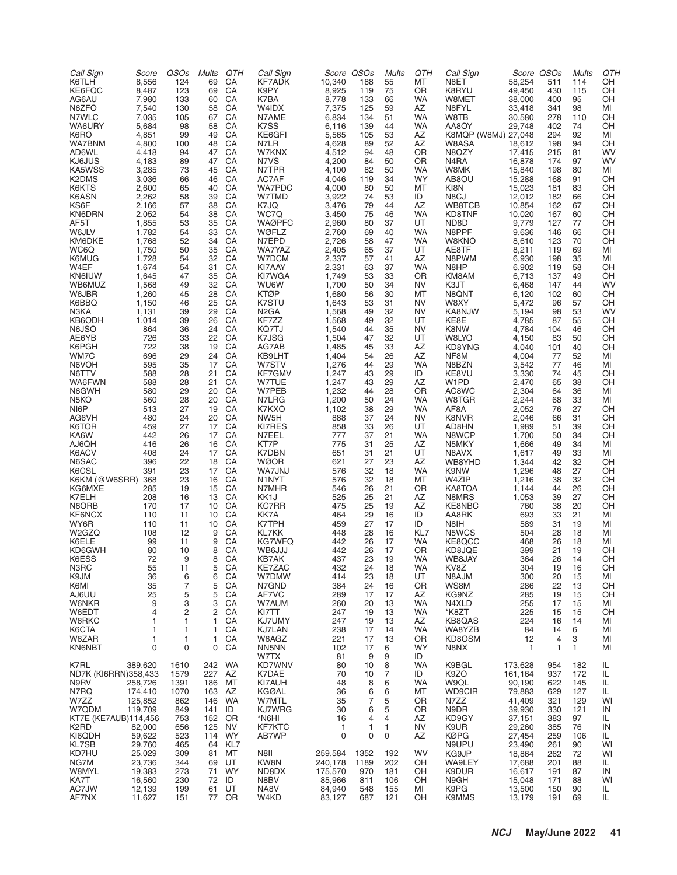| Call Sign                                 | Score            | QSOs                    | Mults      | QTH                    | Call Sign              |                    | Score QSOs  | Mults               | QTH                    | Call Sign                    | Score QSOs       |                   | <b>Mults</b>      | QTH       |
|-------------------------------------------|------------------|-------------------------|------------|------------------------|------------------------|--------------------|-------------|---------------------|------------------------|------------------------------|------------------|-------------------|-------------------|-----------|
| K6TLH<br>KE6FQC                           | 8,556<br>8,487   | 124<br>123              | 69<br>69   | CA<br>CA               | KF7ADK<br>K9PY         | 10,340<br>8,925    | 188<br>119  | 55<br>75            | MT<br><b>OR</b>        | N8ET<br>K8RYU                | 58,254<br>49,450 | 511<br>430        | 114<br>115        | OН<br>OH  |
| AG6AU                                     | 7,980            | 133                     | 60         | CA                     | K7BA                   | 8,778              | 133         | 66                  | WA                     | W8MET                        | 38,000           | 400               | 95                | OH        |
| N6ZFO                                     | 7,540            | 130                     | 58         | CA                     | W4IDX                  | 7,375              | 125         | 59                  | AZ                     | N8FYL                        | 33,418           | 341               | 98                | MI        |
| N7WLC                                     | 7,035            | 105                     | 67         | CA                     | N7AME                  | 6,834              | 134         | 51                  | <b>WA</b>              | W8TB                         | 30,580           | 278               | 110               | OН        |
| WA6URY<br>K6RO                            | 5,684<br>4,851   | 98<br>99                | 58<br>49   | CA<br>CA               | K7SS<br>KE6GFI         | 6,116<br>5,565     | 139<br>105  | 44<br>53            | WA<br>AZ               | AA8OY<br>K8MQP (W8MJ) 27,048 | 29,748           | 402<br>294        | 74<br>92          | OH<br>MI  |
| WA7BNM                                    | 4,800            | 100                     | 48         | CA                     | N7LR                   | 4,628              | 89          | 52                  | AZ                     | W8ASA                        | 18,612           | 198               | 94                | OH        |
| AD6WL                                     | 4,418            | 94                      | 47         | CA                     | W7KNX                  | 4,512              | 94          | 48                  | OR                     | N8OZY                        | 17,415           | 215               | 81                | WV        |
| KJ6JUS                                    | 4,183            | 89                      | 47         | CA                     | N7VS                   | 4,200              | 84          | 50                  | 0R                     | N4RA                         | 16,878           | 174               | 97                | WV        |
| KA5WSS<br>K <sub>2</sub> DM <sub>S</sub>  | 3,285<br>3,036   | 73<br>66                | 45<br>46   | CA<br>CA               | N7TPR<br>AC7AF         | 4,100<br>4,046     | 82<br>119   | 50<br>34            | <b>WA</b><br><b>WY</b> | W8MK<br>AB8OU                | 15,840<br>15,288 | 198<br>168        | 80<br>91          | MI<br>OН  |
| K6KTS                                     | 2,600            | 65                      | 40         | CA                     | <b>WA7PDC</b>          | 4,000              | 80          | 50                  | MT                     | KI8N                         | 15,023           | 181               | 83                | OН        |
| K6ASN                                     | 2,262            | 58                      | 39         | CA                     | W7TMD                  | 3,922              | 74          | 53                  | ID                     | N8CJ                         | 12,012           | 182               | 66                | OH        |
| KS6F                                      | 2.166            | 57                      | 38         | CA                     | K7JQ                   | 3,476              | 79          | 44                  | AZ                     | WB8TCB                       | 10,854           | 162               | 67                | OН        |
| KN6DRN<br>AF5T                            | 2,052<br>1,855   | 54<br>53                | 38<br>35   | CA<br>CA               | WC7Q<br><b>WAØPFC</b>  | 3,450<br>2,960     | 75<br>80    | 46<br>37            | <b>WA</b><br>UT        | KD8TNF<br>ND <sub>8</sub> D  | 10,020<br>9,779  | 167<br>127        | 60<br>77          | OН<br>OН  |
| W6JLV                                     | 1,782            | 54                      | 33         | CA                     | WØFLZ                  | 2,760              | 69          | 40                  | <b>WA</b>              | N8PPF                        | 9,636            | 146               | 66                | OH        |
| KM6DKE                                    | 1,768            | 52                      | 34         | CA                     | N7EPD                  | 2,726              | 58          | 47                  | WA                     | W8KNO                        | 8,610            | 123               | 70                | OН        |
| WC6Q                                      | 1,750            | 50                      | 35         | CA                     | WA7YAZ                 | 2,405              | 65          | 37                  | UT                     | AE8TF                        | 8,211            | 119               | 69                | MI        |
| K6MUG<br>W4EF                             | 1,728<br>1,674   | 54<br>54                | 32<br>31   | CA<br>CA               | W7DCM<br>KI7AAY        | 2,337<br>2,331     | 57<br>63    | 41<br>37            | AZ<br>WA               | N8PWM<br>N <sub>8</sub> HP   | 6,930<br>6,902   | 198<br>119        | 35<br>58          | MI<br>OH  |
| <b>KN6IUW</b>                             | 1,645            | 47                      | 35         | CA                     | KI7WGA                 | 1,749              | 53          | 33                  | 0R                     | KM8AM                        | 6,713            | 137               | 49                | OH        |
| WB6MUZ                                    | 1,568            | 49                      | 32         | CA                     | WU6W                   | 1,700              | 50          | 34                  | NV                     | K3JT                         | 6,468            | 147               | 44                | WV        |
| W6JBR<br>K6BBQ                            | 1,260            | 45                      | 28         | CA                     | <b>KTØP</b>            | 1,680              | 56          | 30                  | MT                     | N8QNT                        | 6,120            | 102               | 60                | OH        |
| N3KA                                      | 1,150<br>1,131   | 46<br>39                | 25<br>29   | CA<br>CA               | K7STU<br>N2GA          | 1,643<br>1,568     | 53<br>49    | 31<br>32            | <b>NV</b><br>NV        | W8XY<br>KA8NJW               | 5,472<br>5,194   | 96<br>98          | 57<br>53          | OH<br>WV  |
| KB6ODH                                    | 1,014            | 39                      | 26         | CA                     | KF7ZZ                  | 1,568              | 49          | 32                  | UT                     | KE8E                         | 4,785            | 87                | 55                | OН        |
| N6JSO                                     | 864              | 36                      | 24         | CA                     | KQ7TJ                  | 1,540              | 44          | 35                  | <b>NV</b>              | K8NW                         | 4,784            | 104               | 46                | OH        |
| AE6YB                                     | 726              | 33                      | 22         | CA                     | K7JSG                  | 1,504              | 47          | 32                  | UT                     | W8LYO                        | 4,150            | 83                | 50                | OH        |
| K6PGH<br>WM7C                             | 722<br>696       | 38<br>29                | 19<br>24   | CA<br>CA               | AG7AB<br>KB9LHT        | 1,485<br>1,404     | 45<br>54    | 33<br>26            | AZ<br>AZ               | KD8YNG<br>NF8M               | 4,040<br>4,004   | 101<br>77         | 40<br>52          | OН<br>MI  |
| N6VOH                                     | 595              | 35                      | 17         | CA                     | W7STV                  | 1,276              | 44          | 29                  | <b>WA</b>              | N8BZN                        | 3,542            | 77                | 46                | MI        |
| N6TTV                                     | 588              | 28                      | 21         | CA                     | KF7GMV                 | 1,247              | 43          | 29                  | ID                     | KE8VU                        | 3,330            | 74                | 45                | OH        |
| WA6FWN<br>N6GWH                           | 588<br>580       | 28<br>29                | 21<br>20   | CA<br>CA               | W7TUE<br>W7PEB         | 1,247<br>1,232     | 43<br>44    | 29<br>28            | AZ<br>OR               | W1PD                         | 2,470            | 65                | 38                | OH        |
| N <sub>5</sub> KO                         | 560              | 28                      | 20         | CA                     | N7LRG                  | 1,200              | 50          | 24                  | WA                     | AC8WC<br>W8TGR               | 2,304<br>2,244   | 64<br>68          | 36<br>33          | MI<br>MI  |
| NI6P                                      | 513              | 27                      | 19         | CA                     | K7KXO                  | 1,102              | 38          | 29                  | <b>WA</b>              | AF8A                         | 2,052            | 76                | 27                | OH        |
| AG6VH                                     | 480              | 24                      | 20         | CA                     | NW5H                   | 888                | 37          | 24                  | NV                     | K8NVR                        | 2,046            | 66                | 31                | OН        |
| K6TOR<br>KA6W                             | 459<br>442       | 27<br>26                | 17<br>17   | CA<br>CA               | KI7RES<br>N7EEL        | 858<br>777         | 33<br>37    | 26<br>21            | UT<br><b>WA</b>        | AD8HN<br>N8WCP               | 1,989<br>1,700   | 51<br>50          | 39<br>34          | OН<br>OH  |
| AJ6QH                                     | 416              | 26                      | 16         | CA                     | KT7P                   | 775                | 31          | 25                  | AZ                     | N5MKY                        | 1,666            | 49                | 34                | MI        |
| K6ACV                                     | 408              | 24                      | 17         | CA                     | K7DBN                  | 651                | 31          | 21                  | UT                     | N8AVX                        | 1,617            | 49                | 33                | MI        |
| N6SAC                                     | 396              | 22                      | 18         | CA                     | <b>WØOR</b>            | 621                | 27          | 23                  | AZ                     | WB8YHD                       | 1,344            | 42                | 32                | OH        |
| K6CSL<br>K6KM (@W6SRR)                    | 391<br>368       | 23<br>23                | 17<br>16   | CA<br>CA               | WA7JNJ<br>N1NYT        | 576<br>576         | 32<br>32    | 18<br>18            | WA<br>MT               | K9NW<br>W4ZIP                | 1,296<br>1,216   | 48<br>38          | 27<br>32          | OН<br>OН  |
| KG6MXE                                    | 285              | 19                      | 15         | CA                     | N7MHR                  | 546                | 26          | 21                  | 0R                     | KA8TOA                       | 1,144            | 44                | 26                | OH        |
| K7ELH                                     | 208              | 16                      | 13         | CA                     | KK <sub>1</sub> J      | 525                | 25          | 21                  | AZ                     | N8MRS                        | 1,053            | 39                | 27                | OН        |
| N6ORB                                     | 170              | 17                      | 10         | CA                     | <b>KC7RR</b>           | 475                | 25          | 19                  | AZ                     | KE8NBC<br>AA8RK              | 760              | 38                | 20                | OH        |
| KF6NCX<br>WY6R                            | 110<br>110       | 11<br>11                | 10<br>10   | CA<br>CA               | KK7A<br>K7TPH          | 464<br>459         | 29<br>27    | 16<br>17            | ID<br>ID               | N8IH                         | 693<br>589       | 33<br>31          | 21<br>19          | MI<br>MI  |
| W2GZQ                                     | 108              | 12                      | 9          | CA                     | <b>KL7KK</b>           | 448                | 28          | 16                  | KL7                    | N5WCS                        | 504              | 28                | 18                | MI        |
| K6ELE                                     | 99               | 11                      | 9          | CA                     | <b>KG7WFQ</b>          | 442                | 26          | 17                  | <b>WA</b>              | KE8QCC                       | 468              | 26                | 18                | MI        |
| KD6GWH<br>K6ESS                           | 80<br>72         | 10<br>9                 | 8<br>8     | CA<br>CA               | WB6JJJ<br>KB7AK        | 442<br>437         | 26<br>23    | 17<br>19            | OR.<br>WA              | KD8JQE<br>WB8JAY             | 399<br>364       | 21<br>26          | 19<br>14          | OН<br>OH  |
| N3RC                                      | 55               | 11                      | 5          | CA                     | KE7ZAC                 | 432                | 24          | 18                  | WA                     | KV8Z                         | 304              | 19                | 16                | OH        |
| K9JM                                      | 36               | 6                       | 6          | CA                     | W7DMW                  | 414                | 23          | 18                  | UT                     | N8AJM                        | 300              | 20                | 15                | MI        |
| K6MI                                      | 35               | 7                       | 5          | CA                     | N7GND                  | 384                | 24          | 16                  | OR                     | WS8M                         | 286              | 22                | 13                | OH        |
| AJ6UU<br>W6NKR                            | 25<br>9          | 5<br>3                  | 5<br>3     | CA<br>CA               | AF7VC<br>W7AUM         | 289<br>260         | 17<br>20    | 17<br>13            | AZ<br>WA               | KG9NZ<br>N4XLD               | 285<br>255       | 19<br>17          | 15<br>15          | OH<br>MI  |
| W6EDT                                     | 4                | $\overline{\mathbf{c}}$ | 2          | CA                     | KI7TT                  | 247                | 19          | 13                  | WA                     | *K8ZT                        | 225              | 15                | 15                | OH        |
| W6RKC                                     | $\mathbf{1}$     | 1                       | 1          | CA                     | KJ7UMY                 | 247                | 19          | 13                  | AZ                     | KB8QAS                       | 224              | 16                | 14                | MI        |
| K6CTA<br>W6ZAR                            | $\mathbf{1}$     | 1                       | 1          | CA                     | KJ7LAN<br>W6AGZ        | 238                | 17          | 14                  | WA                     | WA8YZB                       | 84               | 14                | 6                 | MI        |
| KN6NBT                                    | 1<br>$\mathbf 0$ | 1<br>0                  | 1<br>0     | CA<br>CA               | NN5NN                  | 221<br>102         | 17<br>17    | 13<br>6             | OR<br><b>WY</b>        | KD8OSM<br>N8NX               | 12<br>1          | 4<br>$\mathbf{1}$ | 3<br>$\mathbf{1}$ | MI<br>MI  |
|                                           |                  |                         |            |                        | W7TX                   | 81                 | 9           | 9                   | ID                     |                              |                  |                   |                   |           |
| K7RL                                      | 389,620          | 1610                    | 242        | WA                     | KD7WNV                 | 80                 | 10          | 8                   | WA                     | K9BGL                        | 173,628          | 954               | 182               | IL        |
| ND7K (KI6RRN)358,433<br>N9RV              | 258,726          | 1579<br>1391            | 227<br>186 | AZ<br>МT               | K7DAE<br>KI7AUH        | 70<br>48           | 10<br>8     | 7<br>6              | ID<br>WA               | K9ZO<br>W9QL                 | 161,164          | 937               | 172               | IL        |
| N7RQ                                      | 174,410          | 1070                    | 163        | AZ                     | <b>KGØAL</b>           | 36                 | 6           | 6                   | MT                     | <b>WD9CIR</b>                | 90,190<br>79,883 | 622<br>629        | 145<br>127        | IL<br>IL  |
| W7ZZ                                      | 125,852          | 862                     | 146        | WA                     | W7MTL                  | 35                 | 7           | 5                   | 0R                     | N7ZZ                         | 41,409           | 321               | 129               | WI        |
| W7QDM                                     | 119,709          | 849                     | 141        | ID                     | KJ7WRG                 | 30                 | 6           | 5                   | OR                     | N9DR                         | 39,930           | 330               | 121               | IN        |
| KT7E (KE7AUB)114,456<br>K <sub>2</sub> RD | 82,000           | 753<br>656              | 152<br>125 | <b>OR</b><br><b>NV</b> | *N6HI<br><b>KF7KTC</b> | 16<br>1            | 4<br>1      | $\overline{4}$<br>1 | AZ<br>NV               | KD9GY<br>K9UR                | 37,151<br>29,260 | 383<br>385        | 97<br>76          | IL<br>IN  |
| KI6QDH                                    | 59,622           | 523                     | 114        | WY                     | AB7WP                  | 0                  | 0           | $\mathbf 0$         | AZ                     | <b>KØPG</b>                  | 27,454           | 259               | 106               | IL        |
| <b>KL7SB</b>                              | 29,760           | 465                     | 64         | KL7                    |                        |                    |             |                     |                        | N9UPU                        | 23,490           | 261               | 90                | WI        |
| KD7HU                                     | 25,029           | 309                     | 81         | МT                     | N8II                   | 259,584            | 1352        | 192                 | WV                     | KG9JP                        | 18,864           | 262               | 72                | WI        |
| NG7M<br>W8MYL                             | 23,736<br>19,383 | 344<br>273              | 69<br>71   | UT<br>WY               | KW8N<br>ND8DX          | 240,178<br>175,570 | 1189<br>970 | 202<br>181          | OН<br>OН               | WA9LEY<br>K9DUR              | 17,688<br>16,617 | 201<br>191        | 88<br>87          | IL.<br>IN |
| KA7T                                      | 16,560           | 230                     | 72         | ID                     | N8BV                   | 85,966             | 811         | 106                 | OН                     | N9GH                         | 15,048           | 171               | 88                | WI        |
| AC7JW                                     | 12,139           | 199                     | 61         | UT                     | NA8V                   | 84,940             | 548         | 155                 | ΜI                     | K9PG                         | 13,500           | 150               | 90                | IL.       |
| AF7NX                                     | 11,627           | 151                     | 77         | OR                     | W4KD                   | 83,127             | 687         | 121                 | OH                     | <b>K9MMS</b>                 | 13,179           | 191               | 69                | IL.       |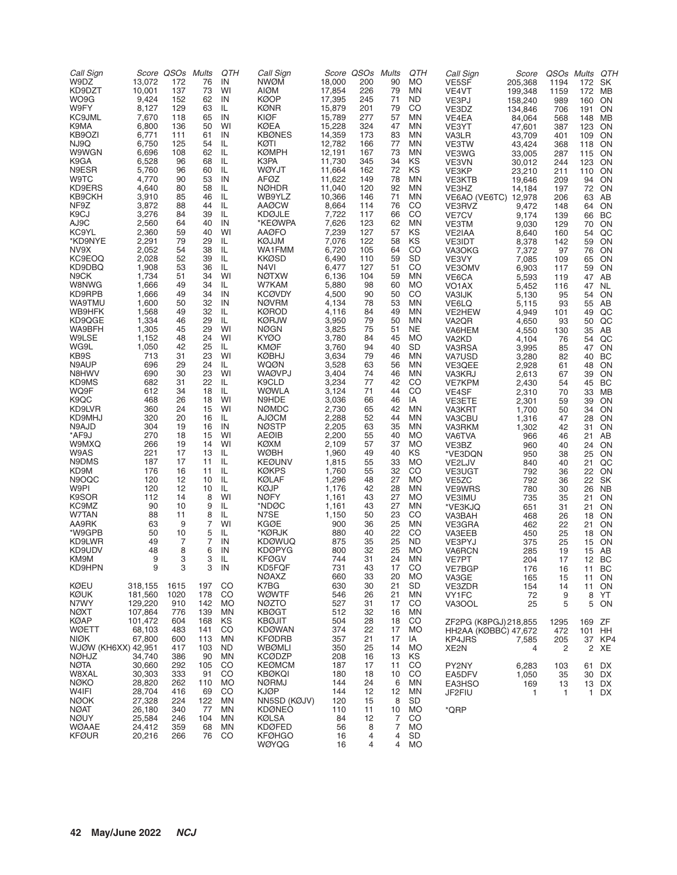| Call Sign                           |                    | Score QSOs  | Mults      | QTH             | Call Sign                      |                  | Score QSOs | Mults          | QTH                    | Call Sign                     | Score              | QSOs Mults   | QTH                    |  |
|-------------------------------------|--------------------|-------------|------------|-----------------|--------------------------------|------------------|------------|----------------|------------------------|-------------------------------|--------------------|--------------|------------------------|--|
| W9DZ<br>KD9DZT                      | 13,072<br>10,001   | 172<br>137  | 76<br>73   | IN<br>WI        | <b>NWØM</b><br>AIØM            | 18,000<br>17,854 | 200<br>226 | 90<br>79       | <b>MO</b><br><b>MN</b> | VE5SF<br>VE4VT                | 205,368<br>199,348 | 1194<br>1159 | SK<br>172<br>172<br>МB |  |
| WO9G                                | 9,424              | 152         | 62         | IN              | <b>KØOP</b>                    | 17,395           | 245        | 71             | ND                     | VE3PJ                         | 158,240            | 989          | ON<br>160              |  |
| W9FY                                | 8,127              | 129         | 63         | IL              | <b>KØNR</b>                    | 15,879           | 201        | 79             | CO                     | VE3DZ                         | 134,846            | 706          | ON<br>191              |  |
| <b>KC9JML</b>                       | 7,670              | 118         | 65         | IN              | KIØF                           | 15,789           | 277        | 57             | <b>MN</b>              | VE4EA                         | 84,064             | 568          | 148 MB                 |  |
| K9MA<br>KB9OZI                      | 6,800<br>6,771     | 136<br>111  | 50<br>61   | WI<br>IN        | KØEA<br><b>KBØNES</b>          | 15,228<br>14,359 | 324<br>173 | 47<br>83       | ΜN<br><b>MN</b>        | VE3YT                         | 47,601             | 387          | 123 ON                 |  |
| NJ9Q                                | 6,750              | 125         | 54         | IL              | KØTI                           | 12,782           | 166        | 77             | <b>MN</b>              | VA3LR<br>VE3TW                | 43,709<br>43,424   | 401<br>368   | 109 ON<br>118 ON       |  |
| W9WGN                               | 6,696              | 108         | 62         | IL              | <b>KØMPH</b>                   | 12,191           | 167        | 73             | <b>MN</b>              | VE3WG                         | 33,005             | 287          | 115 ON                 |  |
| K9GA                                | 6,528              | 96          | 68         | IL              | K3PA                           | 11,730           | 345        | 34             | KS                     | VE3VN                         | 30,012             | 244          | 123 ON                 |  |
| N9ESR                               | 5,760              | 96          | 60         | IL              | <b>WØYJT</b>                   | 11,664           | 162        | 72             | KS                     | VE3KP                         | 23,210             | 211          | 110 ON                 |  |
| <b>W9TC</b><br>KD9ERS               | 4,770<br>4,640     | 90<br>80    | 53<br>58   | IN<br>IL        | AFØZ<br><b>NØHDR</b>           | 11,622<br>11,040 | 149<br>120 | 78<br>92       | ΜN<br><b>MN</b>        | VE3KTB                        | 19,646<br>14,184   | 209          | 94 ON<br>ON            |  |
| KB9CKH                              | 3,910              | 85          | 46         | IL              | WB9YLZ                         | 10,366           | 146        | 71             | <b>MN</b>              | VE3HZ<br>VE6AO (VE6TC) 12,978 |                    | 197<br>206   | 72<br>63 AB            |  |
| NF9Z                                | 3,872              | 88          | 44         | IL              | <b>AAØCW</b>                   | 8,664            | 114        | 76             | CO                     | VE3RVZ                        | 9,472              | 148          | 64 ON                  |  |
| K9CJ                                | 3,276              | 84          | 39         | IL              | <b>KDØJLE</b>                  | 7,722            | 117        | 66             | CO                     | VE7CV                         | 9,174              | 139          | 66 BC                  |  |
| AJ9C                                | 2,560              | 64          | 40         | IN              | *KEØWPA                        | 7,626            | 123        | 62             | <b>MN</b>              | VE3TM                         | 9,030              | 129          | ON<br>70               |  |
| KC9YL<br>*KD9NYE                    | 2,360<br>2,291     | 59<br>79    | 40<br>29   | WI<br>IL        | <b>AAØFO</b><br>KØJJM          | 7,239<br>7,076   | 127<br>122 | 57<br>58       | ΚS<br>KS               | VE2IAA<br>VE3IDT              | 8,640<br>8,378     | 160<br>142   | QC<br>54<br>ON<br>59   |  |
| NV9X                                | 2,052              | 54          | 38         | IL              | WA1FMM                         | 6,720            | 105        | 64             | CO                     | VA3OKG                        | 7,372              | 97           | ON<br>76               |  |
| KC9EOQ                              | 2,028              | 52          | 39         | IL              | <b>KKØSD</b>                   | 6,490            | 110        | 59             | <b>SD</b>              | VE3VY                         | 7,085              | 109          | ON<br>65               |  |
| KD9DBQ                              | 1,908              | 53          | 36         | IL              | N4VI                           | 6,477            | 127        | 51             | CO                     | VE3OMV                        | 6,903              | 117          | ON<br>59               |  |
| N <sub>9</sub> CK                   | 1,734              | 51          | 34         | WI              | <b>NØTXW</b>                   | 6,136            | 104        | 59             | <b>MN</b>              | VE6CA                         | 5,593              | 119          | 47 AB                  |  |
| W8NWG<br>KD9RPB                     | 1,666<br>1,666     | 49<br>49    | 34<br>34   | IL<br>IN        | W7KAM<br><b>KCØVDY</b>         | 5,880<br>4,500   | 98<br>90   | 60<br>50       | MO<br>CO               | VO <sub>1</sub> AX            | 5,452<br>5,130     | 116          | NL<br>47<br>ON<br>54   |  |
| WA9TMU                              | 1,600              | 50          | 32         | IN              | <b>NØVRM</b>                   | 4,134            | 78         | 53             | <b>MN</b>              | VA3IJK<br>VE6LQ               | 5,115              | 95<br>93     | AB<br>55               |  |
| WB9HFK                              | 1,568              | 49          | 32         | IL              | <b>KØROD</b>                   | 4,116            | 84         | 49             | <b>MN</b>              | VE2HEW                        | 4,949              | 101          | QC<br>49               |  |
| KD9QGE                              | 1,334              | 46          | 29         | IL              | <b>KØRJW</b>                   | 3,950            | 79         | 50             | <b>MN</b>              | VA2QR                         | 4,650              | 93           | QC<br>50               |  |
| WA9BFH                              | 1,305              | 45          | 29         | WI              | <b>NØGN</b>                    | 3,825            | 75         | 51             | <b>NE</b>              | VA6HEM                        | 4,550              | 130          | AB<br>35               |  |
| W9LSE<br>WG9L                       | 1,152<br>1,050     | 48<br>42    | 24<br>25   | WI<br>IL        | KYØO<br><b>KMØF</b>            | 3,780<br>3,760   | 84<br>94   | 45<br>40       | <b>MO</b><br><b>SD</b> | VA2KD<br>VA3RSA               | 4,104<br>3,995     | 76<br>85     | QC<br>54<br>ON<br>47   |  |
| KB9S                                | 713                | 31          | 23         | WI              | <b>KØBHJ</b>                   | 3,634            | 79         | 46             | <b>MN</b>              | VA7USD                        | 3,280              | 82           | 40 BC                  |  |
| N9AUP                               | 696                | 29          | 24         | IL              | WQØN                           | 3,528            | 63         | 56             | <b>MN</b>              | VE3QEE                        | 2,928              | 61           | 48 ON                  |  |
| N8HWV                               | 690                | 30          | 23         | WI              | <b>WAØVPJ</b>                  | 3,404            | 74         | 46             | <b>MN</b>              | VA3KRJ                        | 2,613              | 67           | ON<br>39               |  |
| KD9MS                               | 682                | 31          | 22         | IL.             | K9CLD                          | 3,234            | 77         | 42             | CO                     | <b>VE7KPM</b>                 | 2,430              | 54           | BC<br>45               |  |
| WQ9F<br>K9QC                        | 612<br>468         | 34<br>26    | 18<br>18   | IL.<br>WI       | <b>WØWLA</b><br>N9HDE          | 3,124<br>3,036   | 71<br>66   | 44<br>46       | CO<br>IA               | VE4SF<br>VE3ETE               | 2,310<br>2,301     | 70<br>59     | 33 MB<br>39<br>ON      |  |
| KD9LVR                              | 360                | 24          | 15         | WI              | <b>NØMDC</b>                   | 2,730            | 65         | 42             | <b>MN</b>              | VA3KRT                        | 1,700              | 50           | ON<br>34               |  |
| KD9MHJ                              | 320                | 20          | 16         | IL.             | <b>AJØCM</b>                   | 2,288            | 52         | 44             | <b>MN</b>              | VA3CBU                        | 1,316              | 47           | ON<br>28               |  |
| N9AJD                               | 304                | 19          | 16         | IN              | <b>NØSTP</b>                   | 2,205            | 63         | 35             | <b>MN</b>              | VA3RKM                        | 1,302              | 42           | ON<br>31               |  |
| *AF9J                               | 270<br>266         | 18<br>19    | 15<br>14   | WI<br>WI        | <b>AEØIB</b>                   | 2,200            | 55         | 40             | <b>MO</b>              | VA6TVA                        | 966                | 46           | AB<br>21               |  |
| W9MXQ<br>W9AS                       | 221                | 17          | 13         | IL              | KØXM<br><b>WØBH</b>            | 2,109<br>1,960   | 57<br>49   | 37<br>40       | <b>MO</b><br>KS        | VE3BZ<br>*VE3DQN              | 960<br>950         | 40<br>38     | ON<br>24<br>25<br>ON   |  |
| N9DMS                               | 187                | 17          | 11         | IL              | <b>KEØUNV</b>                  | 1,815            | 55         | 33             | <b>MO</b>              | VE2LJV                        | 840                | 40           | QC<br>21               |  |
| KD9M                                | 176                | 16          | 11         | IL              | <b>KØKPS</b>                   | 1,760            | 55         | 32             | CO                     | VE3UGT                        | 792                | 36           | ON<br>22               |  |
| N9OQC                               | 120                | 12          | 10         | IL              | KØLAF                          | 1,296            | 48         | 27             | <b>MO</b>              | VE5ZC                         | 792                | 36           | SK<br>22               |  |
| W9PI<br>K9SOR                       | 120<br>112         | 12<br>14    | 10<br>8    | IL<br>WI        | <b>KØJP</b><br><b>NØFY</b>     | 1,176<br>1,161   | 42<br>43   | 28<br>27       | <b>MN</b><br><b>MO</b> | VE9WRS<br><b>VE3IMU</b>       | 780<br>735         | 30<br>35     | NB<br>26<br>ON<br>21   |  |
| KC9MZ                               | 90                 | 10          | 9          | IL              | *NDØC                          | 1,161            | 43         | 27             | <b>MN</b>              | *VE3KJQ                       | 651                | 31           | ON<br>21               |  |
| W7TAN                               | 88                 | 11          | 8          | IL              | N7SE                           | 1,150            | 50         | 23             | CO                     | VA3BAH                        | 468                | 26           | ON<br>18               |  |
| AA9RK                               | 63                 | 9           | 7          | WI              | <b>KGØE</b>                    | 900              | 36         | 25             | <b>MN</b>              | VE3GRA                        | 462                | 22           | ON<br>21               |  |
| *W9GPB                              | 50                 | 10          | 5          | IL              | *KØRJK                         | 880              | 40         | 22             | CO                     | VA3EEB                        | 450                | 25           | ON<br>18               |  |
| KD9LWR<br>KD9UDV                    | 49<br>48           | 7<br>8      | 7<br>6     | IN<br>IN        | <b>KDØWUQ</b><br><b>KDØPYG</b> | 875<br>800       | 35<br>32   | 25<br>25       | <b>ND</b><br><b>MO</b> | VE3PYJ<br>VA6RCN              | 375<br>285         | 25<br>19     | ON<br>15<br>AB<br>15   |  |
| KM9M                                | 9                  | 3           | 3          | IL              | <b>KFØGV</b>                   | 744              | 31         | 24             | <b>MN</b>              | VE7PT                         | 204                | 17           | 12 BC                  |  |
| KD9HPN                              | 9                  | 3           | 3          | IN              | KD5FQF                         | 731              | 43         | 17             | CO                     | VE7BGP                        | 176                | 16           | BC<br>11               |  |
|                                     |                    |             |            |                 | <b>NØAXZ</b>                   | 660              | 33         | 20             | <b>MO</b>              | VA3GE                         | 165                | 15           | ON<br>11               |  |
| <b>KØEU</b>                         | 318,155            | 1615        | 197        | CO              | K7BG                           | 630              | 30         | 21             | <b>SD</b>              | VE3ZDR                        | 154                | 14           | 11<br>ON               |  |
| KØUK<br>N7WY                        | 181,560<br>129,220 | 1020<br>910 | 178<br>142 | CO<br>MO        | <b>WØWTF</b><br><b>NØZTO</b>   | 546<br>527       | 26<br>31   | 21<br>17       | MN<br>CO               | VY1FC<br>VA3OOL               | 72<br>25           | 9<br>5       | 8<br>YT<br>5<br>ON     |  |
| <b>NØXT</b>                         | 107,864            | 776         | 139        | <b>MN</b>       | <b>KBØGT</b>                   | 512              | 32         | 16             | <b>MN</b>              |                               |                    |              |                        |  |
| <b>KØAP</b>                         | 101,472            | 604         | 168        | ΚS              | <b>KBØJIT</b>                  | 504              | 28         | 18             | CO                     | ZF2PG (K8PGJ) 218,855         |                    | 1295         | ZF<br>169              |  |
| WØETT                               | 68,103             | 483         | 141        | CO              | <b>KDØWAN</b>                  | 374              | 22         | 17             | MO                     | HH2AA (KØBBC) 47,672          |                    | 472          | 101 HH                 |  |
| <b>NIØK</b>                         | 67,800             | 600         | 113        | <b>MN</b>       | <b>KFØDRB</b>                  | 357              | 21         | 17             | IA                     | KP4JRS                        | 7,585              | 205          | 37 KP4                 |  |
| WJØW (KH6XX) 42,951<br><b>NØHJZ</b> | 34,740             | 417<br>386  | 103<br>90  | <b>ND</b><br>MN | <b>WBØMLI</b><br><b>KCØDZP</b> | 350<br>208       | 25<br>16   | 14<br>13       | <b>MO</b><br>ΚS        | XE <sub>2</sub> N             | 4                  | 2            | 2 XE                   |  |
| <b>NØTA</b>                         | 30,660             | 292         | 105        | CO              | <b>KEØMCM</b>                  | 187              | 17         | 11             | CO                     | PY2NY                         | 6,283              | 103          | DX<br>61               |  |
| W8XAL                               | 30,303             | 333         | 91         | CO              | <b>KBØKQI</b>                  | 180              | 18         | 10             | CO                     | EA5DFV                        | 1,050              | 35           | 30 DX                  |  |
| <b>NØKO</b>                         | 28,820             | 262         | 110        | MO              | <b>NØRMJ</b>                   | 144              | 24         | 6              | MN                     | EA3HSO                        | 169                | 13           | 13 DX                  |  |
| W4IFI                               | 28,704             | 416         | 69         | CO              | KJØP                           | 144              | 12         | 12             | ΜN                     | JF2FIU                        | 1                  | -1           | $\mathbf{1}$<br>DX     |  |
| <b>NØOK</b><br><b>NØAT</b>          | 27,328<br>26,180   | 224<br>340  | 122<br>77  | <b>MN</b><br>MN | NN5SD (KØJV)<br><b>KDØNEO</b>  | 120<br>110       | 15<br>11   | 8<br>10        | <b>SD</b><br>MO        | *QRP                          |                    |              |                        |  |
| <b>NØUY</b>                         | 25,584             | 246         | 104        | <b>MN</b>       | <b>KØLSA</b>                   | 84               | 12         | 7              | CO                     |                               |                    |              |                        |  |
| <b>WØAAE</b>                        | 24,412             | 359         | 68         | <b>MN</b>       | <b>KDØFED</b>                  | 56               | 8          | $\overline{7}$ | <b>MO</b>              |                               |                    |              |                        |  |
| <b>KFØUR</b>                        | 20,216             | 266         | 76         | CO              | <b>KFØHGO</b>                  | 16               | 4          | 4              | <b>SD</b>              |                               |                    |              |                        |  |
|                                     |                    |             |            |                 | WØYQG                          | 16               | 4          | 4              | <b>MO</b>              |                               |                    |              |                        |  |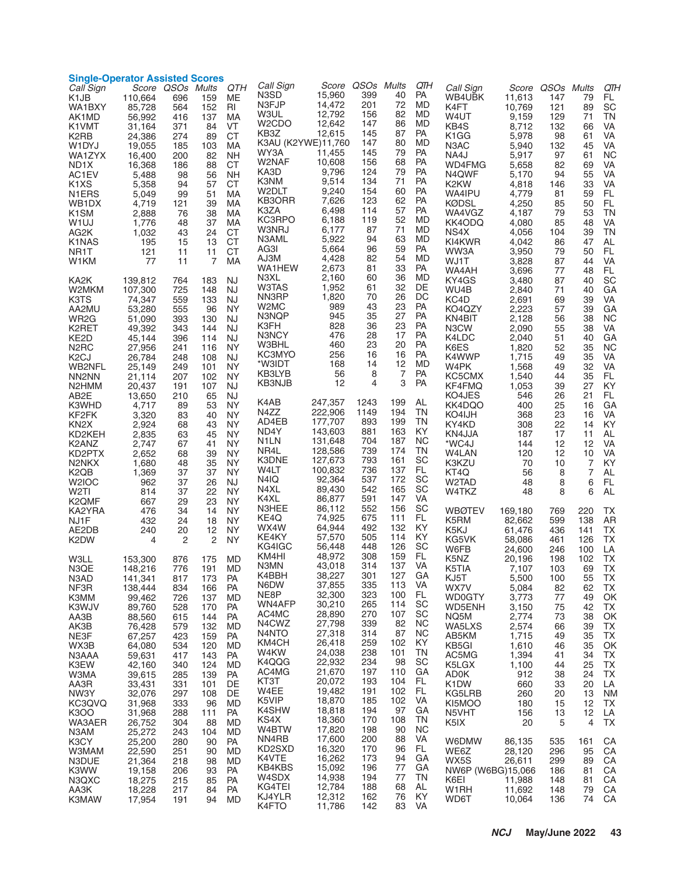| Call Sign<br>K1JB                                            | <b>Single-Operator Assisted Scores</b><br>110,664 | Score QSOs Mults<br>696         | 159                           | QTH<br>MЕ                           | Call Sign<br>N3SD<br>N3FJP                                                    | 15,960<br>14,472                     | Score QSOs Mults<br>399<br>201  | 40<br>72                   | QTH<br>PA<br>MD            | Call Sign<br>WB4UBK                               | Score<br>11,613                            | QSOs Mults<br>147              | 79                         | QTH<br>FL                                        |
|--------------------------------------------------------------|---------------------------------------------------|---------------------------------|-------------------------------|-------------------------------------|-------------------------------------------------------------------------------|--------------------------------------|---------------------------------|----------------------------|----------------------------|---------------------------------------------------|--------------------------------------------|--------------------------------|----------------------------|--------------------------------------------------|
| WA1BXY<br>AK1MD<br>K1VMT<br>K2RB<br>W1DYJ                    | 85,728<br>56,992<br>31,164<br>24,386<br>19,055    | 564<br>416<br>371<br>274<br>185 | 152<br>137<br>84<br>89<br>103 | RI<br>MA<br>VT<br><b>CT</b><br>МA   | W3UL<br>W <sub>2</sub> CDO<br>KB <sub>3</sub> Z<br>K3AU (K2YWE)11,760<br>WY3A | 12,792<br>12,642<br>12.615<br>11,455 | 156<br>147<br>145<br>147<br>145 | 82<br>86<br>87<br>80<br>79 | MD<br>MD<br>PA<br>MD<br>PA | K4FT<br>W4UT<br>KB4S<br>K <sub>1</sub> GG<br>N3AC | 10,769<br>9,159<br>8,712<br>5,978<br>5,940 | 121<br>129<br>132<br>98<br>132 | 89<br>71<br>66<br>61<br>45 | SC<br>ΤN<br>VA<br>VA<br>VA                       |
| WA1ZYX<br>ND <sub>1</sub> X<br>AC1EV                         | 16,400<br>16,368<br>5,488                         | 200<br>186<br>98                | 82<br>88<br>56                | <b>NH</b><br><b>CT</b><br><b>NH</b> | W2NAF<br>KA3D<br>K3NM                                                         | 10,608<br>9,796<br>9,514             | 156<br>124<br>134               | 68<br>79<br>71             | PA<br>PA<br>PA             | NA4J<br>WD4FMG<br>N4QWF                           | 5,917<br>5,658<br>5,170                    | 97<br>82<br>94                 | 61<br>69<br>55             | NС<br>VA<br>VA                                   |
| K <sub>1</sub> X <sub>S</sub><br>N <sub>1</sub> ERS<br>WB1DX | 5,358<br>5,049<br>4,719                           | 94<br>99<br>121                 | 57<br>51<br>39                | CТ<br>МA<br>MA                      | W2DLT<br>KB3ORR<br>K3ZA                                                       | 9,240<br>7,626<br>6,498              | 154<br>123<br>114               | 60<br>62<br>57             | PA<br>PA<br>PA             | K <sub>2</sub> KW<br>WA4IPU<br><b>KØDSL</b>       | 4,818<br>4,779<br>4,250                    | 146<br>81<br>85                | 33<br>59<br>50<br>53       | VA<br>FL<br>FL                                   |
| K <sub>1</sub> SM<br>W <sub>1</sub> UJ<br>AG2K               | 2,888<br>1,776<br>1,032                           | 76<br>48<br>43                  | 38<br>37<br>24                | МA<br>МA<br><b>CT</b><br><b>CT</b>  | KC3RPO<br>W3NRJ<br>N3AML                                                      | 6,188<br>6,177<br>5,922              | 119<br>87<br>94                 | 52<br>71<br>63             | MD<br>MD<br>MD             | WA4VGZ<br>KK4ODQ<br>NS4X<br>KI4KWR                | 4,187<br>4,080<br>4,056                    | 79<br>85<br>104                | 48<br>39                   | ΤN<br>VA<br>TN                                   |
| K1NAS<br>NR1T<br>W1KM                                        | 195<br>121<br>77                                  | 15<br>11<br>11                  | 13<br>11<br>$\overline{7}$    | <b>CT</b><br>MA                     | AG3I<br>AJ3M<br>WA1HEW                                                        | 5,664<br>4,428<br>2,673              | 96<br>82<br>81                  | 59<br>54<br>33             | PA<br>MD<br>PA             | WW3A<br>WJ1T<br>WA4AH                             | 4,042<br>3,950<br>3,828<br>3,696           | 86<br>79<br>87<br>77           | 47<br>50<br>44<br>48       | AL<br>FL<br>VA<br>FL.                            |
| KA2K<br>W2MKM<br>K3TS                                        | 139,812<br>107,300<br>74,347                      | 764<br>725<br>559               | 183<br>148<br>133             | <b>NJ</b><br><b>NJ</b><br><b>NJ</b> | N3XL<br>W3TAS<br>NN3RP                                                        | 2,160<br>1,952<br>1,820              | 60<br>61<br>70                  | 36<br>32<br>26             | MD<br>DE<br>DC             | KY4GS<br>WU4B<br>KC4D                             | 3,480<br>2,840<br>2,691                    | 87<br>71<br>69                 | 40<br>40<br>39             | SC<br>GA<br>VA                                   |
| AA2MU<br>WR <sub>2</sub> G<br>K2RET                          | 53,280<br>51,090<br>49,392                        | 555<br>393<br>343               | 96<br>130<br>144              | <b>NY</b><br>NJ<br><b>NJ</b>        | W2MC<br>N3NQP<br>K3FH                                                         | 989<br>945<br>828                    | 43<br>35<br>36                  | 23<br>27<br>23             | PA<br>PA<br>PA             | KO4QZY<br>KN4BIT<br>N3CW                          | 2,223<br>2,128<br>2,090                    | 57<br>56<br>55                 | 39<br>38<br>38             | GA<br><b>NC</b><br>VA                            |
| KE2D<br>N <sub>2</sub> RC<br>K <sub>2</sub> CJ               | 45,144<br>27,956<br>26,784                        | 396<br>241<br>248               | 114<br>116<br>108             | <b>NJ</b><br><b>NY</b><br><b>NJ</b> | N3NCY<br>W3BHL<br>KC3MYO                                                      | 476<br>460<br>256                    | 28<br>23<br>16                  | 17<br>20<br>16             | PA<br>PA<br>PA             | K4LDC<br>K6ES<br>K4WWP                            | 2.040<br>1,820<br>1,715                    | 51<br>52<br>49                 | 40<br>35<br>35             | GA<br><b>NC</b><br>VA                            |
| <b>WB2NFL</b><br>NN <sub>2</sub> N <sub>N</sub><br>N2HMM     | 25,149<br>21,114<br>20,437                        | 249<br>207<br>191               | 101<br>102<br>107             | <b>NY</b><br><b>NY</b><br><b>NJ</b> | *W3IDT<br>KB3LYB<br>KB3NJB                                                    | 168<br>56<br>12                      | 14<br>8<br>4                    | 12<br>7<br>3               | MD<br>PA<br>PA             | W4PK<br>KC5CMX<br>KF4FMQ                          | 1,568<br>1,540<br>1,053                    | 49<br>44<br>39                 | 32<br>35<br>27             | VA<br>FL.<br>KY                                  |
| AB <sub>2</sub> E<br>K3WHD<br>KF2FK                          | 13,650<br>4,717<br>3,320                          | 210<br>89<br>83                 | 65<br>53<br>40                | <b>NJ</b><br><b>NY</b><br><b>NY</b> | K4AB<br>N4ZZ                                                                  | 247,357<br>222,906                   | 1243<br>1149                    | 199<br>194                 | AL<br>TN                   | KO4JES<br>KK4DQO<br>KO4IJH                        | 546<br>400<br>368                          | 26<br>25<br>23                 | 21<br>16<br>16             | FL<br>GA<br>VA                                   |
| KN <sub>2</sub> X<br>KD2KEH<br>K2ANZ                         | 2,924<br>2,835<br>2,747                           | 68<br>63<br>67                  | 43<br>45<br>41                | <b>NY</b><br><b>NY</b><br><b>NY</b> | AD4EB<br>ND4Y<br>N <sub>1</sub> LN                                            | 177,707<br>143,603<br>131,648        | 893<br>881<br>704               | 199<br>163<br>187          | TN<br>KY<br><b>NC</b>      | KY4KD<br>KN4JJA<br>*WC4J                          | 308<br>187<br>144                          | 22<br>17<br>12                 | 14<br>11<br>12             | KY<br>AL<br>VA                                   |
| KD2PTX<br>N <sub>2</sub> NKX<br>K2QB                         | 2,652<br>1,680<br>1,369                           | 68<br>48<br>37                  | 39<br>35<br>37                | <b>NY</b><br><b>NY</b><br><b>NY</b> | NR4L<br>K3DNE<br>W4LT                                                         | 128,586<br>127,673<br>100,832        | 739<br>793<br>736               | 174<br>161<br>137          | TN<br>SC<br>FL             | W4LAN<br>K3KZU<br>KT4Q                            | 120<br>70<br>56                            | 12<br>10<br>8                  | 10<br>7<br>$\overline{7}$  | VA<br>KY<br>AL                                   |
| W <sub>2</sub> IOC<br>W2TI<br>K <sub>2</sub> QMF             | 962<br>814<br>667                                 | 37<br>37<br>29                  | 26<br>22<br>23                | NJ<br><b>NY</b><br><b>NY</b>        | N4IQ<br>N4XL<br>K4XL<br>N3HEE                                                 | 92,364<br>89,430<br>86,877<br>86,112 | 537<br>542<br>591<br>552        | 172<br>165<br>147<br>156   | SC<br>SC<br>VA<br>SC       | W2TAD<br>W4TKZ                                    | 48<br>48                                   | 8<br>8                         | 6<br>6                     | FL.<br>AL                                        |
| KA2YRA<br>NJ1F<br>AE2DB                                      | 476<br>432<br>240                                 | 34<br>24<br>20                  | 14<br>18<br>12                | NY<br><b>NY</b><br>NY.              | KE4Q<br>WX4W<br>KE4KY                                                         | 74,925<br>64,944<br>57,570           | 675<br>492<br>505               | 111<br>132<br>114          | FL<br>KY<br>KY             | WBØTEV<br>K5RM<br>K5KJ                            | 169,180<br>82,662<br>61,476                | 769<br>599<br>436              | 220<br>138<br>141          | ТX<br>AR<br><b>TX</b>                            |
| K2DW<br>W3LL                                                 | 4<br>153,300                                      | 2<br>876                        | $\overline{2}$<br>175         | <b>NY</b><br>MD                     | KG4IGC<br>KM4HI<br>N3MN                                                       | 56,448<br>48,972<br>43,018           | 448<br>308<br>314               | 126<br>159<br>137 VA       | SC<br>FL.                  | KG5VK<br>W6FB<br>K5NZ                             | 58,086<br>24,600<br>20,196                 | 461<br>246<br>198              | 126<br>100<br>102          | <b>TX</b><br>LA<br>TX                            |
| N3QE<br>N3AD<br>NF3R<br>K3MM                                 | 148,216<br>141,341<br>138,444<br>99,462           | 776<br>817<br>834<br>726        | 191<br>173<br>166<br>137      | MD<br><b>PA</b><br>PA<br>MD         | K4BBH<br>N6DW<br>NE8P                                                         | 38,227<br>37,855<br>32,300           | 301<br>335<br>323               | 127<br>113<br>100          | GA<br>VA<br>FL.            | K5TIA<br>KJ5T<br>WX7V<br><b>WD0GTY</b>            | 7,107<br>5,500<br>5,084<br>3,773           | 103<br>100<br>82<br>77         | 69<br>55<br>62<br>49       | $\mathsf{I} \mathsf{X}$<br>TX<br><b>TX</b><br>OK |
| K3WJV<br>AA3B<br>AK3B                                        | 89,760<br>88,560<br>76,428                        | 528<br>615<br>579               | 170<br>144<br>132             | <b>PA</b><br><b>PA</b><br><b>MD</b> | WN4AFP<br>AC4MC<br>N4CWZ                                                      | 30,210<br>28,890<br>27,798           | 265<br>270<br>339               | 114<br>107<br>82           | SC<br>SC<br><b>NC</b>      | WD5ENH<br>NQ5M<br>WA5LXS                          | 3,150<br>2,774<br>2,574                    | 75<br>73<br>66                 | 42<br>38<br>39             | ТX<br>OK<br><b>TX</b>                            |
| NE3F<br>WX3B<br>N3AAA                                        | 67,257<br>64,080<br>59,631                        | 423<br>534<br>417               | 159<br>120<br>143             | PA<br>MD<br>PA                      | N4NTO<br>KM4CH<br>W4KW                                                        | 27,318<br>26,418<br>24,038           | 314<br>259<br>238               | 87<br>102<br>101           | <b>NC</b><br>KY<br>TN      | AB5KM<br>KB5GI<br>AC5MG                           | 1,715<br>1,610<br>1,394                    | 49<br>46<br>41                 | 35<br>35<br>34             | TX<br>OK<br>TX                                   |
| K3EW<br>W3MA<br>AA3R                                         | 42,160<br>39,615<br>33,431                        | 340<br>285<br>331               | 124<br>139<br>101             | MD<br>PA<br>DE                      | K4QQG<br>AC4MG<br>KT3T                                                        | 22,932<br>21,670<br>20,072           | 234<br>197<br>193               | 98<br>110<br>104           | SC<br>GA<br>FL.            | K5LGX<br><b>AD0K</b><br>K <sub>1</sub> DW         | 1,100<br>912<br>660                        | 44<br>38<br>33                 | 25<br>24<br>20             | TX<br><b>TX</b><br>LA                            |
| NW3Y<br>KC3QVQ<br>K300                                       | 32,076<br>31,968<br>31,968                        | 297<br>333<br>288               | 108<br>96<br>111              | DE<br>MD<br><b>PA</b>               | W4EE<br>K5VIP<br>K4SHW<br>KS4X                                                | 19,482<br>18,870<br>18,818<br>18,360 | 191<br>185<br>194<br>170        | 102<br>102<br>97<br>108    | FL.<br>VA<br>GA<br>TN      | KG5LRB<br>KI5MOO<br>N5VHT                         | 260<br>180<br>156                          | 20<br>15<br>13                 | 13<br>12<br>12             | <b>NM</b><br>TX<br>LA                            |
| WA3AER<br>N3AM<br>K3CY                                       | 26,752<br>25,272<br>25,200                        | 304<br>243<br>280               | 88<br>104<br>90               | MD<br>MD<br>PA                      | W4BTW<br>NN4RB<br>KD2SXD                                                      | 17,820<br>17,600<br>16,320           | 198<br>200<br>170               | 90<br>88<br>96             | <b>NC</b><br>VA<br>FL      | K5IX<br>W6DMW                                     | 20<br>86,135                               | 5<br>535                       | $\overline{4}$<br>161      | <b>TX</b><br>CA                                  |
| <b>W3MAM</b><br>N3DUE<br>K3WW<br>N3QXC                       | 22,590<br>21,364<br>19,158<br>18,275              | 251<br>218<br>206<br>215        | 90<br>98<br>93<br>85          | MD<br>MD<br>PA<br>PA                | K4VTE<br>KB4KBS<br>W4SDX                                                      | 16,262<br>15,092<br>14,938           | 173<br>196<br>194               | 94<br>77<br>77             | GA<br>GА<br>ΤN             | WE6Z<br>WX5S<br>NW6P (W6BG)15,066<br>K6EI         | 28,120<br>26,611                           | 296<br>299<br>186<br>148       | 95<br>89<br>81             | CA<br>CA<br>CA<br>CA                             |
| AA3K<br>K3MAW                                                | 18,228<br>17,954                                  | 217<br>191                      | 84<br>94                      | <b>PA</b><br><b>MD</b>              | KG4TEI<br>KJ4YLR<br>K4FTO                                                     | 12,784<br>12,312<br>11,786           | 188<br>162<br>142               | 68<br>76<br>83             | AL<br>KY<br>VA             | W1RH<br>WD6T                                      | 11,988<br>11,692<br>10,064                 | 148<br>136                     | 81<br>79<br>74             | CA<br>CA                                         |